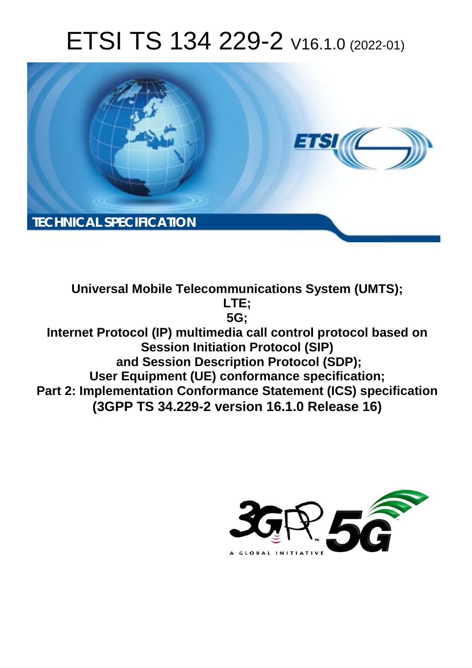# ETSI TS 134 229-2 V16.1.0 (2022-01)



**Universal Mobile Telecommunications System (UMTS); LTE; 5G; Internet Protocol (IP) multimedia call control protocol based on Session Initiation Protocol (SIP) and Session Description Protocol (SDP); User Equipment (UE) conformance specification; Part 2: Implementation Conformance Statement (ICS) specification (3GPP TS 34.229-2 version 16.1.0 Release 16)** 

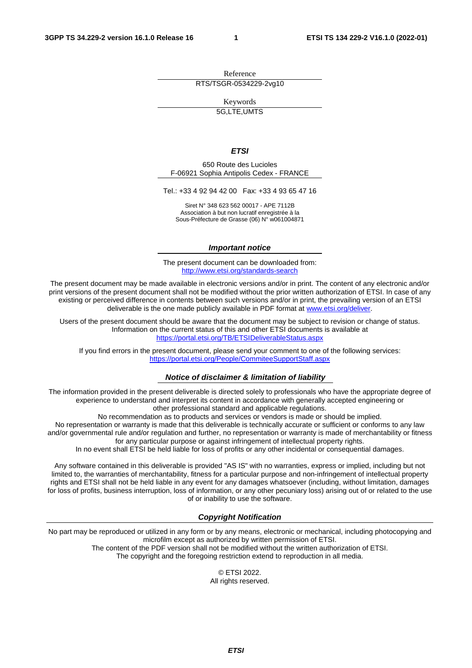Reference RTS/TSGR-0534229-2vg10

Keywords

5G,LTE,UMTS

#### *ETSI*

650 Route des Lucioles F-06921 Sophia Antipolis Cedex - FRANCE

Tel.: +33 4 92 94 42 00 Fax: +33 4 93 65 47 16

Siret N° 348 623 562 00017 - APE 7112B Association à but non lucratif enregistrée à la Sous-Préfecture de Grasse (06) N° w061004871

#### *Important notice*

The present document can be downloaded from: <http://www.etsi.org/standards-search>

The present document may be made available in electronic versions and/or in print. The content of any electronic and/or print versions of the present document shall not be modified without the prior written authorization of ETSI. In case of any existing or perceived difference in contents between such versions and/or in print, the prevailing version of an ETSI deliverable is the one made publicly available in PDF format at [www.etsi.org/deliver](http://www.etsi.org/deliver).

Users of the present document should be aware that the document may be subject to revision or change of status. Information on the current status of this and other ETSI documents is available at <https://portal.etsi.org/TB/ETSIDeliverableStatus.aspx>

If you find errors in the present document, please send your comment to one of the following services: <https://portal.etsi.org/People/CommiteeSupportStaff.aspx>

#### *Notice of disclaimer & limitation of liability*

The information provided in the present deliverable is directed solely to professionals who have the appropriate degree of experience to understand and interpret its content in accordance with generally accepted engineering or other professional standard and applicable regulations.

No recommendation as to products and services or vendors is made or should be implied.

No representation or warranty is made that this deliverable is technically accurate or sufficient or conforms to any law and/or governmental rule and/or regulation and further, no representation or warranty is made of merchantability or fitness for any particular purpose or against infringement of intellectual property rights.

In no event shall ETSI be held liable for loss of profits or any other incidental or consequential damages.

Any software contained in this deliverable is provided "AS IS" with no warranties, express or implied, including but not limited to, the warranties of merchantability, fitness for a particular purpose and non-infringement of intellectual property rights and ETSI shall not be held liable in any event for any damages whatsoever (including, without limitation, damages for loss of profits, business interruption, loss of information, or any other pecuniary loss) arising out of or related to the use of or inability to use the software.

### *Copyright Notification*

No part may be reproduced or utilized in any form or by any means, electronic or mechanical, including photocopying and microfilm except as authorized by written permission of ETSI. The content of the PDF version shall not be modified without the written authorization of ETSI.

The copyright and the foregoing restriction extend to reproduction in all media.

© ETSI 2022. All rights reserved.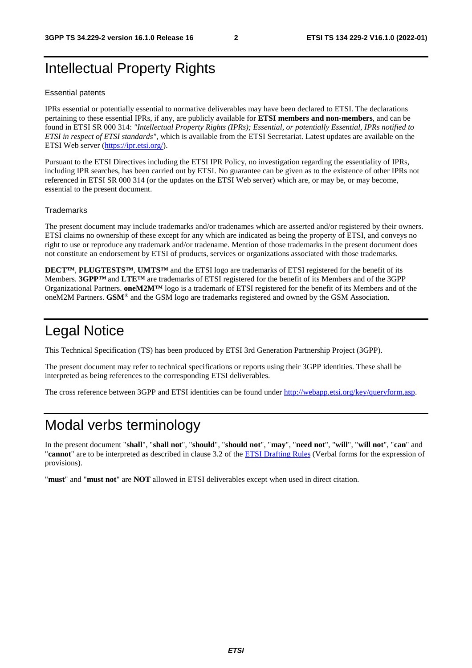# Intellectual Property Rights

#### Essential patents

IPRs essential or potentially essential to normative deliverables may have been declared to ETSI. The declarations pertaining to these essential IPRs, if any, are publicly available for **ETSI members and non-members**, and can be found in ETSI SR 000 314: *"Intellectual Property Rights (IPRs); Essential, or potentially Essential, IPRs notified to ETSI in respect of ETSI standards"*, which is available from the ETSI Secretariat. Latest updates are available on the ETSI Web server ([https://ipr.etsi.org/\)](https://ipr.etsi.org/).

Pursuant to the ETSI Directives including the ETSI IPR Policy, no investigation regarding the essentiality of IPRs, including IPR searches, has been carried out by ETSI. No guarantee can be given as to the existence of other IPRs not referenced in ETSI SR 000 314 (or the updates on the ETSI Web server) which are, or may be, or may become, essential to the present document.

#### **Trademarks**

The present document may include trademarks and/or tradenames which are asserted and/or registered by their owners. ETSI claims no ownership of these except for any which are indicated as being the property of ETSI, and conveys no right to use or reproduce any trademark and/or tradename. Mention of those trademarks in the present document does not constitute an endorsement by ETSI of products, services or organizations associated with those trademarks.

**DECT™**, **PLUGTESTS™**, **UMTS™** and the ETSI logo are trademarks of ETSI registered for the benefit of its Members. **3GPP™** and **LTE™** are trademarks of ETSI registered for the benefit of its Members and of the 3GPP Organizational Partners. **oneM2M™** logo is a trademark of ETSI registered for the benefit of its Members and of the oneM2M Partners. **GSM**® and the GSM logo are trademarks registered and owned by the GSM Association.

# Legal Notice

This Technical Specification (TS) has been produced by ETSI 3rd Generation Partnership Project (3GPP).

The present document may refer to technical specifications or reports using their 3GPP identities. These shall be interpreted as being references to the corresponding ETSI deliverables.

The cross reference between 3GPP and ETSI identities can be found under<http://webapp.etsi.org/key/queryform.asp>.

# Modal verbs terminology

In the present document "**shall**", "**shall not**", "**should**", "**should not**", "**may**", "**need not**", "**will**", "**will not**", "**can**" and "**cannot**" are to be interpreted as described in clause 3.2 of the [ETSI Drafting Rules](https://portal.etsi.org/Services/editHelp!/Howtostart/ETSIDraftingRules.aspx) (Verbal forms for the expression of provisions).

"**must**" and "**must not**" are **NOT** allowed in ETSI deliverables except when used in direct citation.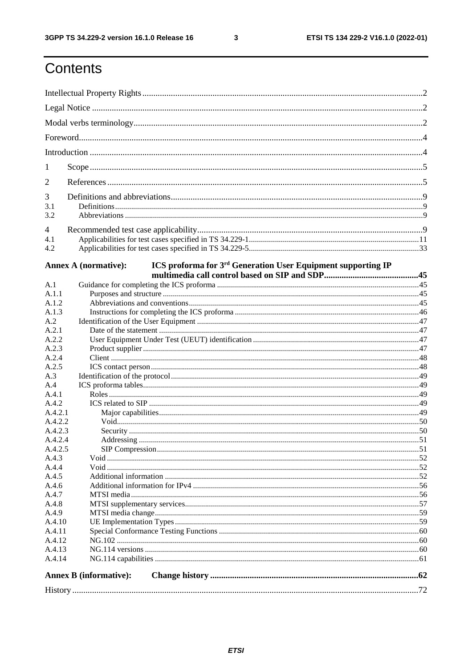$\mathbf{3}$ 

# Contents

| 1               |                                                                                                         |  |  |  |  |
|-----------------|---------------------------------------------------------------------------------------------------------|--|--|--|--|
| 2               |                                                                                                         |  |  |  |  |
| 3<br>3.1<br>3.2 |                                                                                                         |  |  |  |  |
| 4               |                                                                                                         |  |  |  |  |
| 4.1<br>4.2      |                                                                                                         |  |  |  |  |
|                 | ICS proforma for 3 <sup>rd</sup> Generation User Equipment supporting IP<br><b>Annex A (normative):</b> |  |  |  |  |
| A.1             |                                                                                                         |  |  |  |  |
| A.1.1           |                                                                                                         |  |  |  |  |
| A.1.2           |                                                                                                         |  |  |  |  |
| A.1.3           |                                                                                                         |  |  |  |  |
| A.2             |                                                                                                         |  |  |  |  |
| A.2.1           |                                                                                                         |  |  |  |  |
| A.2.2           |                                                                                                         |  |  |  |  |
| A.2.3<br>A.2.4  |                                                                                                         |  |  |  |  |
| A.2.5           |                                                                                                         |  |  |  |  |
| A.3             |                                                                                                         |  |  |  |  |
| A.4             |                                                                                                         |  |  |  |  |
| A.4.1           |                                                                                                         |  |  |  |  |
| A.4.2           |                                                                                                         |  |  |  |  |
| A.4.2.1         |                                                                                                         |  |  |  |  |
| A.4.2.2         |                                                                                                         |  |  |  |  |
| A.4.2.3         |                                                                                                         |  |  |  |  |
| A.4.2.4         |                                                                                                         |  |  |  |  |
| A.4.2.5         |                                                                                                         |  |  |  |  |
| A.4.3           |                                                                                                         |  |  |  |  |
| A.4.4           |                                                                                                         |  |  |  |  |
| A.4.5           |                                                                                                         |  |  |  |  |
| A.4.6           |                                                                                                         |  |  |  |  |
| A.4.7<br>A.4.8  |                                                                                                         |  |  |  |  |
| A.4.9           |                                                                                                         |  |  |  |  |
| A.4.10          |                                                                                                         |  |  |  |  |
| A.4.11          |                                                                                                         |  |  |  |  |
| A.4.12          |                                                                                                         |  |  |  |  |
| A.4.13          |                                                                                                         |  |  |  |  |
| A.4.14          |                                                                                                         |  |  |  |  |
|                 | <b>Annex B</b> (informative):                                                                           |  |  |  |  |
|                 |                                                                                                         |  |  |  |  |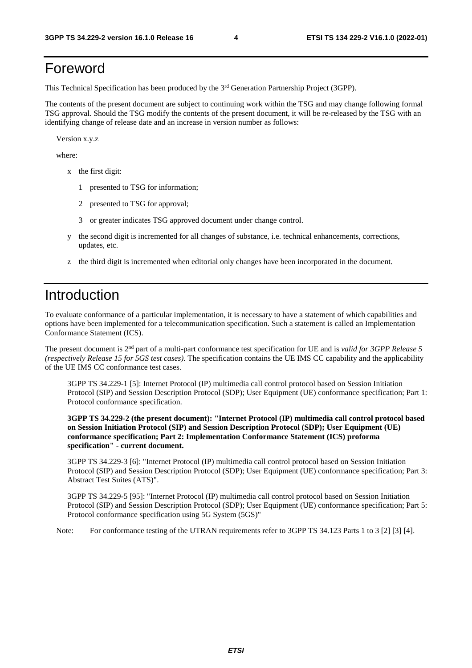# Foreword

This Technical Specification has been produced by the 3rd Generation Partnership Project (3GPP).

The contents of the present document are subject to continuing work within the TSG and may change following formal TSG approval. Should the TSG modify the contents of the present document, it will be re-released by the TSG with an identifying change of release date and an increase in version number as follows:

Version x.y.z

where:

- x the first digit:
	- 1 presented to TSG for information;
	- 2 presented to TSG for approval;
	- 3 or greater indicates TSG approved document under change control.
- y the second digit is incremented for all changes of substance, i.e. technical enhancements, corrections, updates, etc.
- z the third digit is incremented when editorial only changes have been incorporated in the document.

# Introduction

To evaluate conformance of a particular implementation, it is necessary to have a statement of which capabilities and options have been implemented for a telecommunication specification. Such a statement is called an Implementation Conformance Statement (ICS).

The present document is 2nd part of a multi-part conformance test specification for UE and is *valid for 3GPP Release 5 (respectively Release 15 for 5GS test cases)*. The specification contains the UE IMS CC capability and the applicability of the UE IMS CC conformance test cases.

 3GPP TS 34.229-1 [5]: Internet Protocol (IP) multimedia call control protocol based on Session Initiation Protocol (SIP) and Session Description Protocol (SDP); User Equipment (UE) conformance specification; Part 1: Protocol conformance specification.

 **3GPP TS 34.229-2 (the present document): "Internet Protocol (IP) multimedia call control protocol based on Session Initiation Protocol (SIP) and Session Description Protocol (SDP); User Equipment (UE) conformance specification; Part 2: Implementation Conformance Statement (ICS) proforma specification" - current document.** 

 3GPP TS 34.229-3 [6]: "Internet Protocol (IP) multimedia call control protocol based on Session Initiation Protocol (SIP) and Session Description Protocol (SDP); User Equipment (UE) conformance specification; Part 3: Abstract Test Suites (ATS)".

 3GPP TS 34.229-5 [95]: "Internet Protocol (IP) multimedia call control protocol based on Session Initiation Protocol (SIP) and Session Description Protocol (SDP); User Equipment (UE) conformance specification; Part 5: Protocol conformance specification using 5G System (5GS)"

Note: For conformance testing of the UTRAN requirements refer to 3GPP TS 34.123 Parts 1 to 3 [2] [3] [4].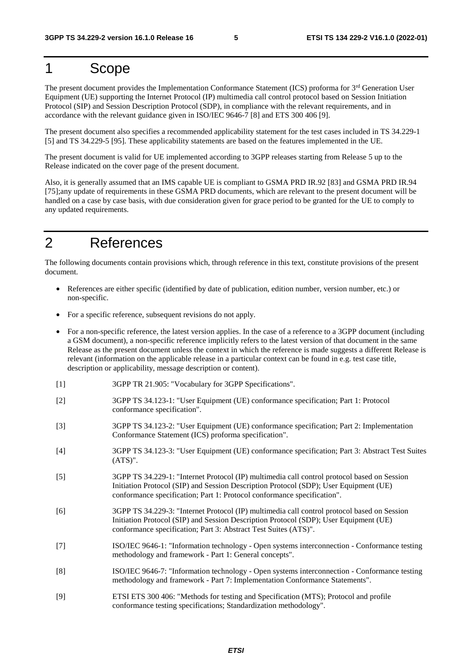# 1 Scope

The present document provides the Implementation Conformance Statement (ICS) proforma for 3<sup>rd</sup> Generation User Equipment (UE) supporting the Internet Protocol (IP) multimedia call control protocol based on Session Initiation Protocol (SIP) and Session Description Protocol (SDP), in compliance with the relevant requirements, and in accordance with the relevant guidance given in ISO/IEC 9646-7 [8] and ETS 300 406 [9].

The present document also specifies a recommended applicability statement for the test cases included in TS 34.229-1 [5] and TS 34.229-5 [95]. These applicability statements are based on the features implemented in the UE.

The present document is valid for UE implemented according to 3GPP releases starting from Release 5 up to the Release indicated on the cover page of the present document.

Also, it is generally assumed that an IMS capable UE is compliant to GSMA PRD IR.92 [83] and GSMA PRD IR.94 [75];any update of requirements in these GSMA PRD documents, which are relevant to the present document will be handled on a case by case basis, with due consideration given for grace period to be granted for the UE to comply to any updated requirements.

# 2 References

The following documents contain provisions which, through reference in this text, constitute provisions of the present document.

- References are either specific (identified by date of publication, edition number, version number, etc.) or non-specific.
- For a specific reference, subsequent revisions do not apply.
- For a non-specific reference, the latest version applies. In the case of a reference to a 3GPP document (including a GSM document), a non-specific reference implicitly refers to the latest version of that document in the same Release as the present document unless the context in which the reference is made suggests a different Release is relevant (information on the applicable release in a particular context can be found in e.g. test case title, description or applicability, message description or content).
- [1] 3GPP TR 21.905: "Vocabulary for 3GPP Specifications".
- [2] 3GPP TS 34.123-1: "User Equipment (UE) conformance specification; Part 1: Protocol conformance specification".
- [3] 3GPP TS 34.123-2: "User Equipment (UE) conformance specification; Part 2: Implementation Conformance Statement (ICS) proforma specification".
- [4] 3GPP TS 34.123-3: "User Equipment (UE) conformance specification; Part 3: Abstract Test Suites (ATS)".
- [5] 3GPP TS 34.229-1: "Internet Protocol (IP) multimedia call control protocol based on Session Initiation Protocol (SIP) and Session Description Protocol (SDP); User Equipment (UE) conformance specification; Part 1: Protocol conformance specification".
- [6] 3GPP TS 34.229-3: "Internet Protocol (IP) multimedia call control protocol based on Session Initiation Protocol (SIP) and Session Description Protocol (SDP); User Equipment (UE) conformance specification; Part 3: Abstract Test Suites (ATS)".
- [7] ISO/IEC 9646-1: "Information technology Open systems interconnection Conformance testing methodology and framework - Part 1: General concepts".
- [8] ISO/IEC 9646-7: "Information technology Open systems interconnection Conformance testing methodology and framework - Part 7: Implementation Conformance Statements".
- [9] ETSI ETS 300 406: "Methods for testing and Specification (MTS); Protocol and profile conformance testing specifications; Standardization methodology".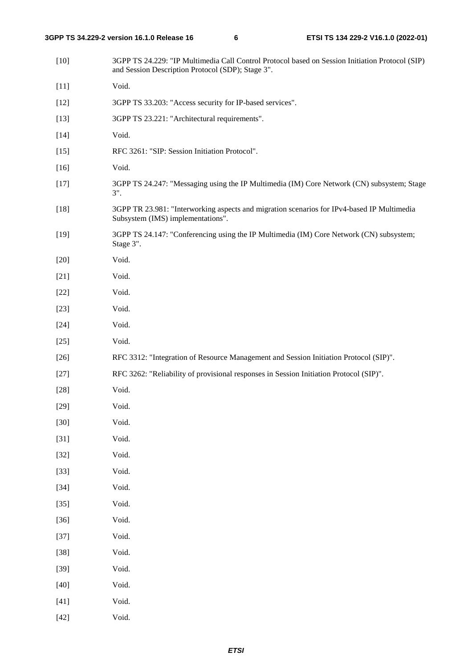| $[10]$ | 3GPP TS 24.229: "IP Multimedia Call Control Protocol based on Session Initiation Protocol (SIP)<br>and Session Description Protocol (SDP); Stage 3". |
|--------|------------------------------------------------------------------------------------------------------------------------------------------------------|
| $[11]$ | Void.                                                                                                                                                |
| $[12]$ | 3GPP TS 33.203: "Access security for IP-based services".                                                                                             |
| $[13]$ | 3GPP TS 23.221: "Architectural requirements".                                                                                                        |
| $[14]$ | Void.                                                                                                                                                |
| $[15]$ | RFC 3261: "SIP: Session Initiation Protocol".                                                                                                        |
| $[16]$ | Void.                                                                                                                                                |
| $[17]$ | 3GPP TS 24.247: "Messaging using the IP Multimedia (IM) Core Network (CN) subsystem; Stage<br>$3$ ".                                                 |
| $[18]$ | 3GPP TR 23.981: "Interworking aspects and migration scenarios for IPv4-based IP Multimedia<br>Subsystem (IMS) implementations".                      |
| $[19]$ | 3GPP TS 24.147: "Conferencing using the IP Multimedia (IM) Core Network (CN) subsystem;<br>Stage 3".                                                 |
| $[20]$ | Void.                                                                                                                                                |
| $[21]$ | Void.                                                                                                                                                |
| $[22]$ | Void.                                                                                                                                                |
| $[23]$ | Void.                                                                                                                                                |
| $[24]$ | Void.                                                                                                                                                |
| $[25]$ | Void.                                                                                                                                                |
| $[26]$ | RFC 3312: "Integration of Resource Management and Session Initiation Protocol (SIP)".                                                                |
| $[27]$ | RFC 3262: "Reliability of provisional responses in Session Initiation Protocol (SIP)".                                                               |
| $[28]$ | Void.                                                                                                                                                |
| $[29]$ | Void.                                                                                                                                                |
| $[30]$ | Void.                                                                                                                                                |
| $[31]$ | Void.                                                                                                                                                |
| $[32]$ | Void.                                                                                                                                                |
| $[33]$ | Void.                                                                                                                                                |
| $[34]$ | Void.                                                                                                                                                |
| $[35]$ | Void.                                                                                                                                                |
| $[36]$ | Void.                                                                                                                                                |
| $[37]$ | Void.                                                                                                                                                |
| $[38]$ | Void.                                                                                                                                                |
| $[39]$ | Void.                                                                                                                                                |
| $[40]$ | Void.                                                                                                                                                |
| $[41]$ | Void.                                                                                                                                                |
| $[42]$ | Void.                                                                                                                                                |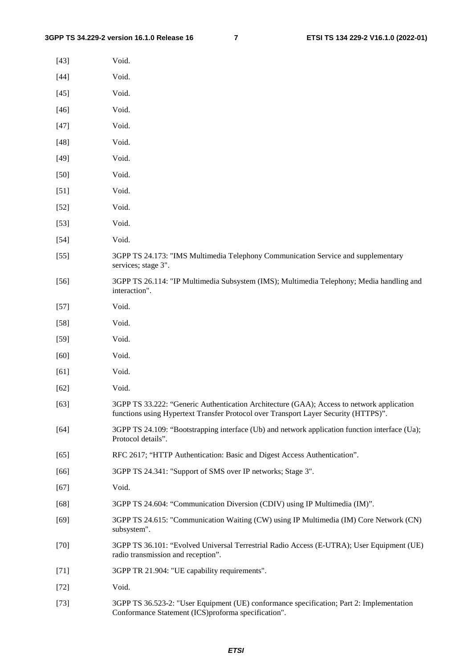| $[43]$ | Void.                                                                                                                                                                            |
|--------|----------------------------------------------------------------------------------------------------------------------------------------------------------------------------------|
| $[44]$ | Void.                                                                                                                                                                            |
| $[45]$ | Void.                                                                                                                                                                            |
| $[46]$ | Void.                                                                                                                                                                            |
| $[47]$ | Void.                                                                                                                                                                            |
| $[48]$ | Void.                                                                                                                                                                            |
| $[49]$ | Void.                                                                                                                                                                            |
| $[50]$ | Void.                                                                                                                                                                            |
| $[51]$ | Void.                                                                                                                                                                            |
| $[52]$ | Void.                                                                                                                                                                            |
| $[53]$ | Void.                                                                                                                                                                            |
| $[54]$ | Void.                                                                                                                                                                            |
| $[55]$ | 3GPP TS 24.173: "IMS Multimedia Telephony Communication Service and supplementary<br>services; stage 3".                                                                         |
| $[56]$ | 3GPP TS 26.114: "IP Multimedia Subsystem (IMS); Multimedia Telephony; Media handling and<br>interaction".                                                                        |
| $[57]$ | Void.                                                                                                                                                                            |
| $[58]$ | Void.                                                                                                                                                                            |
| $[59]$ | Void.                                                                                                                                                                            |
| $[60]$ | Void.                                                                                                                                                                            |
| [61]   | Void.                                                                                                                                                                            |
| $[62]$ | Void.                                                                                                                                                                            |
| $[63]$ | 3GPP TS 33.222: "Generic Authentication Architecture (GAA); Access to network application<br>functions using Hypertext Transfer Protocol over Transport Layer Security (HTTPS)". |
| $[64]$ | 3GPP TS 24.109: "Bootstrapping interface (Ub) and network application function interface (Ua);<br>Protocol details".                                                             |
| $[65]$ | RFC 2617; "HTTP Authentication: Basic and Digest Access Authentication".                                                                                                         |
| $[66]$ | 3GPP TS 24.341: "Support of SMS over IP networks; Stage 3".                                                                                                                      |
| $[67]$ | Void.                                                                                                                                                                            |
| $[68]$ | 3GPP TS 24.604: "Communication Diversion (CDIV) using IP Multimedia (IM)".                                                                                                       |
| $[69]$ | 3GPP TS 24.615: "Communication Waiting (CW) using IP Multimedia (IM) Core Network (CN)<br>subsystem".                                                                            |
| $[70]$ | 3GPP TS 36.101: "Evolved Universal Terrestrial Radio Access (E-UTRA); User Equipment (UE)<br>radio transmission and reception".                                                  |
| $[71]$ | 3GPP TR 21.904: "UE capability requirements".                                                                                                                                    |
| $[72]$ | Void.                                                                                                                                                                            |
| $[73]$ | 3GPP TS 36.523-2: "User Equipment (UE) conformance specification; Part 2: Implementation                                                                                         |

Conformance Statement (ICS)proforma specification".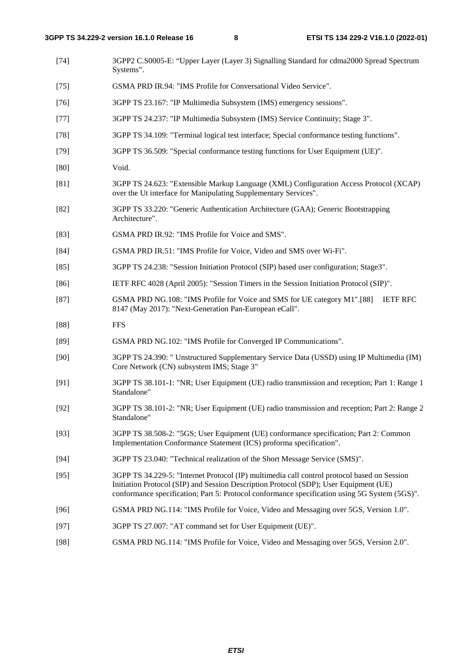- [74] 3GPP2 C.S0005-E: "Upper Layer (Layer 3) Signalling Standard for cdma2000 Spread Spectrum Systems".
- [75] GSMA PRD IR.94: "IMS Profile for Conversational Video Service".
- [76] 3GPP TS 23.167: "IP Multimedia Subsystem (IMS) emergency sessions".
- [77] 3GPP TS 24.237: "IP Multimedia Subsystem (IMS) Service Continuity; Stage 3".
- [78] 3GPP TS 34.109: "Terminal logical test interface; Special conformance testing functions".
- [79] 3GPP TS 36.509: "Special conformance testing functions for User Equipment (UE)".
- [80] Void.
- [81] 3GPP TS 24.623: "Extensible Markup Language (XML) Configuration Access Protocol (XCAP) over the Ut interface for Manipulating Supplementary Services".
- [82] 3GPP TS 33.220: "Generic Authentication Architecture (GAA); Generic Bootstrapping Architecture".
- [83] GSMA PRD IR.92: "IMS Profile for Voice and SMS".
- [84] GSMA PRD IR.51: "IMS Profile for Voice, Video and SMS over Wi-Fi".
- [85] 3GPP TS 24.238: "Session Initiation Protocol (SIP) based user configuration; Stage3".
- [86] IETF RFC 4028 (April 2005): "Session Timers in the Session Initiation Protocol (SIP)".
- [87] GSMA PRD NG.108: "IMS Profile for Voice and SMS for UE category M1".[88] IETF RFC 8147 (May 2017): "Next-Generation Pan-European eCall".
- [88] FFS
- [89] GSMA PRD NG.102: "IMS Profile for Converged IP Communications".
- [90] 3GPP TS 24.390: " Unstructured Supplementary Service Data (USSD) using IP Multimedia (IM) Core Network (CN) subsystem IMS; Stage 3"
- [91] 3GPP TS 38.101-1: "NR; User Equipment (UE) radio transmission and reception; Part 1: Range 1 Standalone"
- [92] 3GPP TS 38.101-2: "NR; User Equipment (UE) radio transmission and reception; Part 2: Range 2 Standalone"
- [93] 3GPP TS 38.508-2: "5GS; User Equipment (UE) conformance specification; Part 2: Common Implementation Conformance Statement (ICS) proforma specification".
- [94] 3GPP TS 23.040: "Technical realization of the Short Message Service (SMS)".
- [95] 3GPP TS 34.229-5: "Internet Protocol (IP) multimedia call control protocol based on Session Initiation Protocol (SIP) and Session Description Protocol (SDP); User Equipment (UE) conformance specification; Part 5: Protocol conformance specification using 5G System (5GS)".
- [96] GSMA PRD NG.114: "IMS Profile for Voice, Video and Messaging over 5GS, Version 1.0".
- [97] 3GPP TS 27.007: "AT command set for User Equipment (UE)".
- [98] GSMA PRD NG.114: "IMS Profile for Voice, Video and Messaging over 5GS, Version 2.0".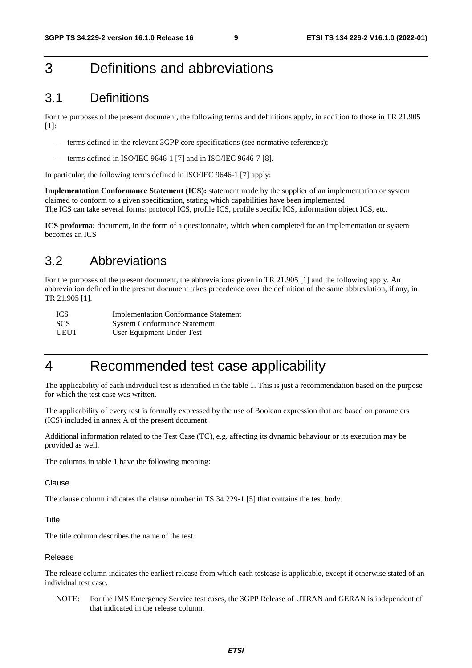# 3 Definitions and abbreviations

### 3.1 Definitions

For the purposes of the present document, the following terms and definitions apply, in addition to those in TR 21.905 [1]:

- terms defined in the relevant 3GPP core specifications (see normative references);
- terms defined in ISO/IEC 9646-1 [7] and in ISO/IEC 9646-7 [8].

In particular, the following terms defined in ISO/IEC 9646-1 [7] apply:

**Implementation Conformance Statement (ICS):** statement made by the supplier of an implementation or system claimed to conform to a given specification, stating which capabilities have been implemented The ICS can take several forms: protocol ICS, profile ICS, profile specific ICS, information object ICS, etc.

**ICS proforma:** document, in the form of a questionnaire, which when completed for an implementation or system becomes an ICS

### 3.2 Abbreviations

For the purposes of the present document, the abbreviations given in TR 21.905 [1] and the following apply. An abbreviation defined in the present document takes precedence over the definition of the same abbreviation, if any, in TR 21.905 [1].

| <b>ICS</b>  | <b>Implementation Conformance Statement</b> |
|-------------|---------------------------------------------|
| <b>SCS</b>  | <b>System Conformance Statement</b>         |
| <b>UEUT</b> | User Equipment Under Test                   |

# 4 Recommended test case applicability

The applicability of each individual test is identified in the table 1. This is just a recommendation based on the purpose for which the test case was written.

The applicability of every test is formally expressed by the use of Boolean expression that are based on parameters (ICS) included in annex A of the present document.

Additional information related to the Test Case (TC), e.g. affecting its dynamic behaviour or its execution may be provided as well.

The columns in table 1 have the following meaning:

#### Clause

The clause column indicates the clause number in TS 34.229-1 [5] that contains the test body.

**Title** 

The title column describes the name of the test.

#### Release

The release column indicates the earliest release from which each testcase is applicable, except if otherwise stated of an individual test case.

NOTE: For the IMS Emergency Service test cases, the 3GPP Release of UTRAN and GERAN is independent of that indicated in the release column.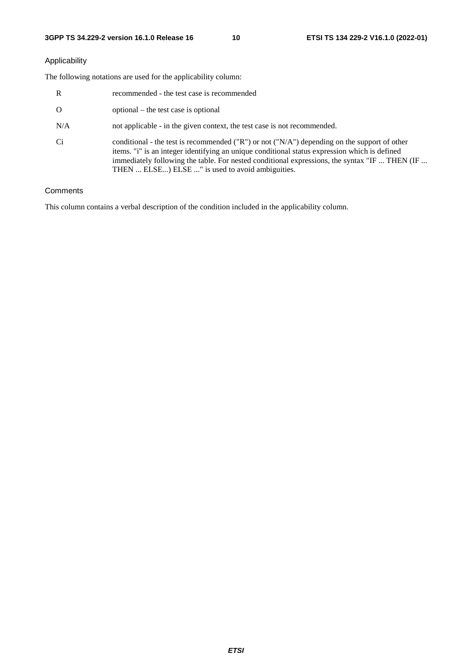### Applicability

The following notations are used for the applicability column:

| $\mathbb{R}$ | recommended - the test case is recommended                                                                                                                                                                                                                                                                                                                                                                                                  |
|--------------|---------------------------------------------------------------------------------------------------------------------------------------------------------------------------------------------------------------------------------------------------------------------------------------------------------------------------------------------------------------------------------------------------------------------------------------------|
| $\Omega$     | optional – the test case is optional                                                                                                                                                                                                                                                                                                                                                                                                        |
| N/A          | not applicable - in the given context, the test case is not recommended.                                                                                                                                                                                                                                                                                                                                                                    |
| Ci           | conditional - the test is recommended ( $\langle \mathbb{T} \mathbb{R}^n \rangle$ ) or not ( $\langle \mathbb{T} \mathbb{A} \mathbb{A}^n \rangle$ ) depending on the support of other<br>items. "i" is an integer identifying an unique conditional status expression which is defined<br>immediately following the table. For nested conditional expressions, the syntax "IF  THEN (IF<br>THEN  ELSE) ELSE " is used to avoid ambiguities. |

### **Comments**

This column contains a verbal description of the condition included in the applicability column.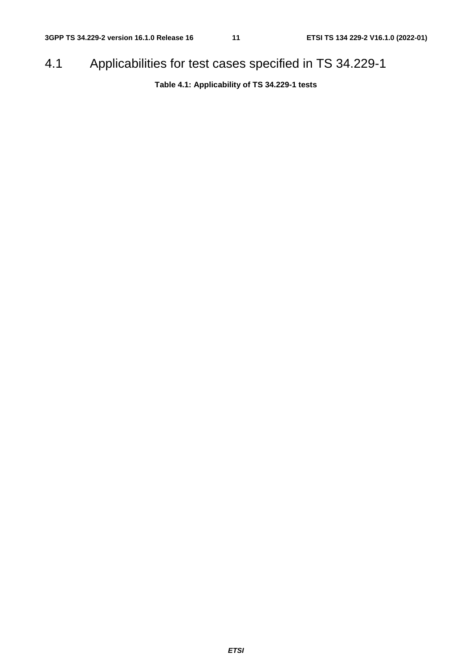# 4.1 Applicabilities for test cases specified in TS 34.229-1

**Table 4.1: Applicability of TS 34.229-1 tests**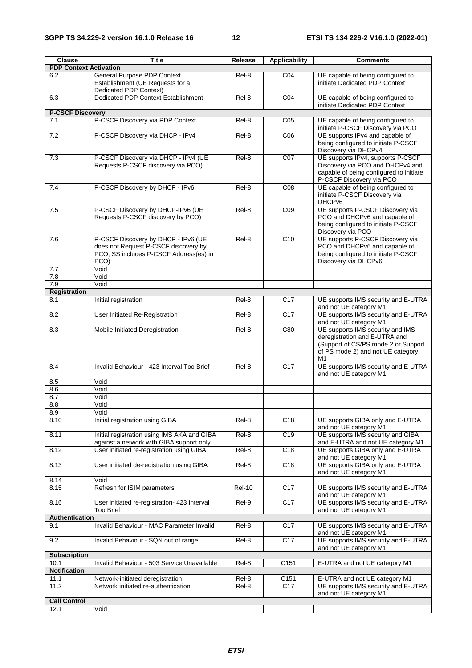| Clause                        | <b>Title</b>                                                                                                                          | Release       | <b>Applicability</b> | <b>Comments</b>                                                                                                                                     |
|-------------------------------|---------------------------------------------------------------------------------------------------------------------------------------|---------------|----------------------|-----------------------------------------------------------------------------------------------------------------------------------------------------|
| <b>PDP Context Activation</b> |                                                                                                                                       |               |                      |                                                                                                                                                     |
| 6.2                           | <b>General Purpose PDP Context</b><br>Establishment (UE Requests for a<br>Dedicated PDP Context)                                      | Rel-8         | CO <sub>4</sub>      | UE capable of being configured to<br>initiate Dedicated PDP Context                                                                                 |
| 6.3                           | Dedicated PDP Context Establishment                                                                                                   | Rel-8         | CO <sub>4</sub>      | UE capable of being configured to<br>initiate Dedicated PDP Context                                                                                 |
| <b>P-CSCF Discovery</b>       |                                                                                                                                       |               |                      |                                                                                                                                                     |
| 7.1                           | P-CSCF Discovery via PDP Context                                                                                                      | Rel-8         | C <sub>05</sub>      | UE capable of being configured to<br>initiate P-CSCF Discovery via PCO                                                                              |
| 7.2                           | P-CSCF Discovery via DHCP - IPv4                                                                                                      | Rel-8         | C <sub>06</sub>      | UE supports IPv4 and capable of<br>being configured to initiate P-CSCF<br>Discovery via DHCPv4                                                      |
| 7.3                           | P-CSCF Discovery via DHCP - IPv4 (UE<br>Requests P-CSCF discovery via PCO)                                                            | Rel-8         | C07                  | UE supports IPv4, supports P-CSCF<br>Discovery via PCO and DHCPv4 and<br>capable of being configured to initiate<br>P-CSCF Discovery via PCO        |
| 7.4                           | P-CSCF Discovery by DHCP - IPv6                                                                                                       | Rel-8         | CO8                  | UE capable of being configured to<br>initiate P-CSCF Discovery via<br>DHCP <sub>v6</sub>                                                            |
| 7.5                           | P-CSCF Discovery by DHCP-IPv6 (UE<br>Requests P-CSCF discovery by PCO)                                                                | Rel-8         | CO9                  | UE supports P-CSCF Discovery via<br>PCO and DHCPv6 and capable of<br>being configured to initiate P-CSCF<br>Discovery via PCO                       |
| 7.6<br>7.7                    | P-CSCF Discovery by DHCP - IPv6 (UE<br>does not Request P-CSCF discovery by<br>PCO, SS includes P-CSCF Address(es) in<br>PCO)<br>Void | Rel-8         | C10                  | UE supports P-CSCF Discovery via<br>PCO and DHCPv6 and capable of<br>being configured to initiate P-CSCF<br>Discovery via DHCPv6                    |
| 7.8                           | Void                                                                                                                                  |               |                      |                                                                                                                                                     |
| 7.9                           | Void                                                                                                                                  |               |                      |                                                                                                                                                     |
| <b>Registration</b>           |                                                                                                                                       |               |                      |                                                                                                                                                     |
| 8.1                           | Initial registration                                                                                                                  | Rel-8         | C17                  | UE supports IMS security and E-UTRA<br>and not UE category M1                                                                                       |
| 8.2                           | User Initiated Re-Registration                                                                                                        | Rel-8         | C17                  | UE supports IMS security and E-UTRA<br>and not UE category M1                                                                                       |
| 8.3                           | Mobile Initiated Deregistration                                                                                                       | Rel-8         | C80                  | UE supports IMS security and IMS<br>deregistration and E-UTRA and<br>(Support of CS/PS mode 2 or Support<br>of PS mode 2) and not UE category<br>M1 |
| 8.4                           | Invalid Behaviour - 423 Interval Too Brief                                                                                            | Rel-8         | C17                  | UE supports IMS security and E-UTRA<br>and not UE category M1                                                                                       |
| 8.5                           | Void                                                                                                                                  |               |                      |                                                                                                                                                     |
| 8.6                           | Void                                                                                                                                  |               |                      |                                                                                                                                                     |
| 8.7                           | Void                                                                                                                                  |               |                      |                                                                                                                                                     |
| 8.8                           | Void                                                                                                                                  |               |                      |                                                                                                                                                     |
| 8.9                           | Void                                                                                                                                  |               |                      |                                                                                                                                                     |
| 8.10                          | Initial registration using GIBA                                                                                                       | Rel-8         | C18                  | UE supports GIBA only and E-UTRA<br>and not UE category M1                                                                                          |
| 8.11                          | Initial registration using IMS AKA and GIBA<br>against a network with GIBA support only                                               | Rel-8         | C19                  | UE supports IMS security and GIBA<br>and E-UTRA and not UE category M1                                                                              |
| 8.12                          | User initiated re-registration using GIBA                                                                                             | Rel-8         | C18                  | UE supports GIBA only and E-UTRA<br>and not UE category M1                                                                                          |
| 8.13                          | User initiated de-registration using GIBA                                                                                             | Rel-8         | C18                  | UE supports GIBA only and E-UTRA<br>and not UE category M1                                                                                          |
| 8.14                          | Void                                                                                                                                  |               |                      |                                                                                                                                                     |
| 8.15                          | Refresh for ISIM parameters                                                                                                           | <b>Rel-10</b> | C <sub>17</sub>      | UE supports IMS security and E-UTRA<br>and not UE category M1                                                                                       |
| 8.16                          | User initiated re-registration- 423 Interval<br><b>Too Brief</b>                                                                      | Rel-9         | C <sub>17</sub>      | UE supports IMS security and E-UTRA<br>and not UE category M1                                                                                       |
| Authentication                |                                                                                                                                       |               |                      |                                                                                                                                                     |
| 9.1                           | Invalid Behaviour - MAC Parameter Invalid                                                                                             | Rel-8         | C <sub>17</sub>      | UE supports IMS security and E-UTRA<br>and not UE category M1                                                                                       |
| 9.2                           | Invalid Behaviour - SQN out of range                                                                                                  | Rel-8         | C17                  | UE supports IMS security and E-UTRA<br>and not UE category M1                                                                                       |
| <b>Subscription</b>           |                                                                                                                                       |               |                      |                                                                                                                                                     |
| 10.1                          | Invalid Behaviour - 503 Service Unavailable                                                                                           | Rel-8         | C151                 | E-UTRA and not UE category M1                                                                                                                       |
| <b>Notification</b>           |                                                                                                                                       |               |                      |                                                                                                                                                     |
| 11.1                          | Network-initiated deregistration                                                                                                      | Rel-8         | C151                 | E-UTRA and not UE category M1                                                                                                                       |
| 11.2                          | Network initiated re-authentication                                                                                                   | Rel-8         | C17                  | UE supports IMS security and E-UTRA<br>and not UE category M1                                                                                       |
| <b>Call Control</b>           |                                                                                                                                       |               |                      |                                                                                                                                                     |
| 12.1                          | Void                                                                                                                                  |               |                      |                                                                                                                                                     |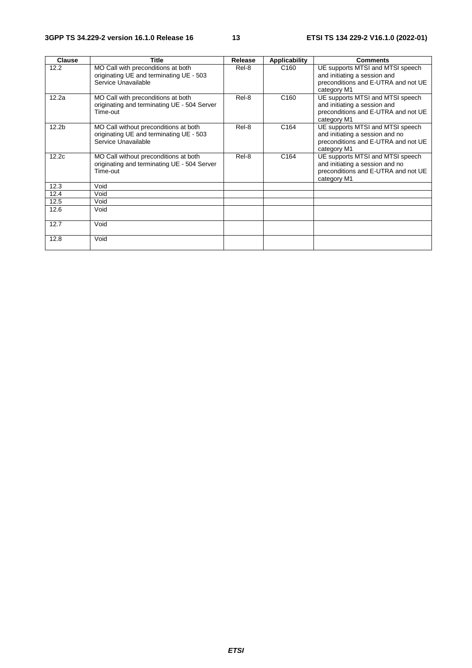| Clause            | <b>Title</b>                                                                                            | Release | Applicability    | <b>Comments</b>                                                                                                           |
|-------------------|---------------------------------------------------------------------------------------------------------|---------|------------------|---------------------------------------------------------------------------------------------------------------------------|
| 12.2              | MO Call with preconditions at both<br>originating UE and terminating UE - 503<br>Service Unavailable    | Rel-8   | C <sub>160</sub> | UE supports MTSI and MTSI speech<br>and initiating a session and<br>preconditions and E-UTRA and not UE<br>category M1    |
| 12.2a             | MO Call with preconditions at both<br>originating and terminating UE - 504 Server<br>Time-out           | Rel-8   | C <sub>160</sub> | UE supports MTSI and MTSI speech<br>and initiating a session and<br>preconditions and E-UTRA and not UE<br>category M1    |
| 12.2 <sub>b</sub> | MO Call without preconditions at both<br>originating UE and terminating UE - 503<br>Service Unavailable | Rel-8   | C <sub>164</sub> | UE supports MTSI and MTSI speech<br>and initiating a session and no<br>preconditions and E-UTRA and not UE<br>category M1 |
| 12.2c             | MO Call without preconditions at both<br>originating and terminating UE - 504 Server<br>Time-out        | Rel-8   | C <sub>164</sub> | UE supports MTSI and MTSI speech<br>and initiating a session and no<br>preconditions and E-UTRA and not UE<br>category M1 |
| 12.3              | Void                                                                                                    |         |                  |                                                                                                                           |
| 12.4              | Void                                                                                                    |         |                  |                                                                                                                           |
| 12.5              | Void                                                                                                    |         |                  |                                                                                                                           |
| 12.6              | Void                                                                                                    |         |                  |                                                                                                                           |
| 12.7              | Void                                                                                                    |         |                  |                                                                                                                           |
| 12.8              | Void                                                                                                    |         |                  |                                                                                                                           |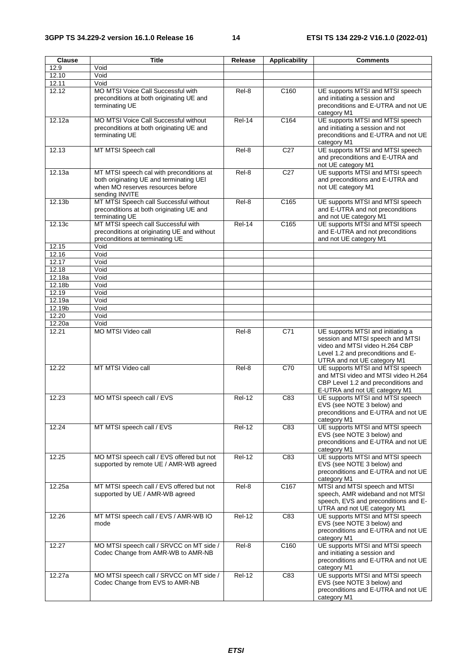| Clause          | <b>Title</b>                                                                                                                               | Release       | <b>Applicability</b> | <b>Comments</b>                                                                                                                                                              |
|-----------------|--------------------------------------------------------------------------------------------------------------------------------------------|---------------|----------------------|------------------------------------------------------------------------------------------------------------------------------------------------------------------------------|
| 12.9            | Void                                                                                                                                       |               |                      |                                                                                                                                                                              |
| 12.10           | Void                                                                                                                                       |               |                      |                                                                                                                                                                              |
| 12.11           | Void                                                                                                                                       |               |                      |                                                                                                                                                                              |
| 12.12           | MO MTSI Voice Call Successful with<br>preconditions at both originating UE and<br>terminating UE                                           | Rel-8         | C <sub>160</sub>     | UE supports MTSI and MTSI speech<br>and initiating a session and<br>preconditions and E-UTRA and not UE                                                                      |
| 12.12a          | MO MTSI Voice Call Successful without                                                                                                      | $Rel-14$      | C164                 | category M1<br>UE supports MTSI and MTSI speech                                                                                                                              |
|                 | preconditions at both originating UE and<br>terminating UE                                                                                 |               |                      | and initiating a session and not<br>preconditions and E-UTRA and not UE<br>category M1                                                                                       |
| 12.13           | MT MTSI Speech call                                                                                                                        | Rel-8         | C <sub>27</sub>      | UE supports MTSI and MTSI speech<br>and preconditions and E-UTRA and<br>not UE category M1                                                                                   |
| 12.13a          | MT MTSI speech cal with preconditions at<br>both originating UE and terminating UEI<br>when MO reserves resources before<br>sending INVITE | Rel-8         | C27                  | UE supports MTSI and MTSI speech<br>and preconditions and E-UTRA and<br>not UE category M1                                                                                   |
| 12.13b          | MT MTSI Speech call Successful without<br>preconditions at both originating UE and<br>terminating UE                                       | Rel-8         | C165                 | UE supports MTSI and MTSI speech<br>and E-UTRA and not preconditions<br>and not UE category M1                                                                               |
| 12.13c          | MT MTSI speech call Successful with<br>preconditions at originating UE and without<br>preconditions at terminating UE                      | <b>Rel-14</b> | C <sub>165</sub>     | UE supports MTSI and MTSI speech<br>and E-UTRA and not preconditions<br>and not UE category M1                                                                               |
| 12.15           | Void                                                                                                                                       |               |                      |                                                                                                                                                                              |
| 12.16           | Void                                                                                                                                       |               |                      |                                                                                                                                                                              |
| 12.17           | Void                                                                                                                                       |               |                      |                                                                                                                                                                              |
| 12.18<br>12.18a | Void<br>Void                                                                                                                               |               |                      |                                                                                                                                                                              |
| 12.18b          | Void                                                                                                                                       |               |                      |                                                                                                                                                                              |
| 12.19           | Void                                                                                                                                       |               |                      |                                                                                                                                                                              |
| 12.19a          | Void                                                                                                                                       |               |                      |                                                                                                                                                                              |
| 12.19b          | Void                                                                                                                                       |               |                      |                                                                                                                                                                              |
| 12.20           | Void                                                                                                                                       |               |                      |                                                                                                                                                                              |
| 12.20a          | Void                                                                                                                                       |               |                      |                                                                                                                                                                              |
| 12.21           | MO MTSI Video call                                                                                                                         | Rel-8         | C71                  | UE supports MTSI and initiating a<br>session and MTSI speech and MTSI<br>video and MTSI video H.264 CBP<br>Level 1.2 and preconditions and E-<br>UTRA and not UE category M1 |
| 12.22           | MT MTSI Video call                                                                                                                         | Rel-8         | C70                  | UE supports MTSI and MTSI speech<br>and MTSI video and MTSI video H.264<br>CBP Level 1.2 and preconditions and<br>E-UTRA and not UE category M1                              |
| 12.23           | MO MTSI speech call / EVS                                                                                                                  | <b>Rel-12</b> | C83                  | UE supports MTSI and MTSI speech<br>EVS (see NOTE 3 below) and<br>preconditions and E-UTRA and not UE<br>category M1                                                         |
| 12.24           | MT MTSI speech call / EVS                                                                                                                  | Rel-12        | C83                  | UE supports MTSI and MTSI speech<br>EVS (see NOTE 3 below) and<br>preconditions and E-UTRA and not UE<br>category M1                                                         |
| 12.25           | MO MTSI speech call / EVS offered but not<br>supported by remote UE / AMR-WB agreed                                                        | <b>Rel-12</b> | C83                  | UE supports MTSI and MTSI speech<br>EVS (see NOTE 3 below) and<br>preconditions and E-UTRA and not UE<br>category M1                                                         |
| 12.25a          | MT MTSI speech call / EVS offered but not<br>supported by UE / AMR-WB agreed                                                               | Rel-8         | C167                 | MTSI and MTSI speech and MTSI<br>speech, AMR wideband and not MTSI<br>speech, EVS and preconditions and E-<br>UTRA and not UE category M1                                    |
| 12.26           | MT MTSI speech call / EVS / AMR-WB IO<br>mode                                                                                              | <b>Rel-12</b> | C83                  | UE supports MTSI and MTSI speech<br>EVS (see NOTE 3 below) and<br>preconditions and E-UTRA and not UE<br>category M1                                                         |
| 12.27           | MO MTSI speech call / SRVCC on MT side /<br>Codec Change from AMR-WB to AMR-NB                                                             | Rel-8         | C160                 | UE supports MTSI and MTSI speech<br>and initiating a session and<br>preconditions and E-UTRA and not UE<br>category M1                                                       |
| 12.27a          | MO MTSI speech call / SRVCC on MT side /<br>Codec Change from EVS to AMR-NB                                                                | $Rel-12$      | C83                  | UE supports MTSI and MTSI speech<br>EVS (see NOTE 3 below) and<br>preconditions and E-UTRA and not UE<br>category M1                                                         |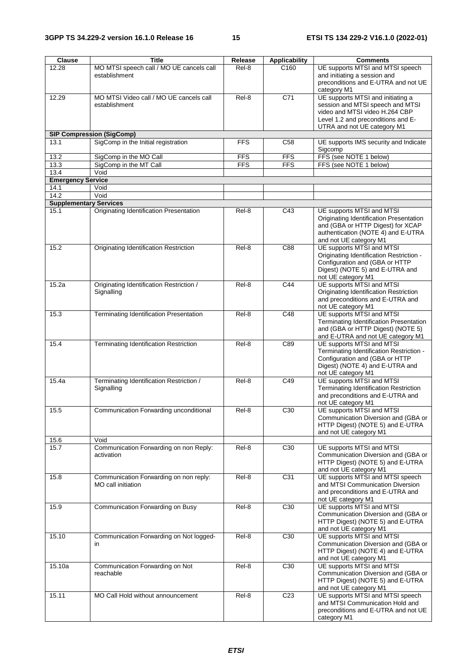| Clause                        | <b>Title</b>                                                 | Release                  | <b>Applicability</b>     | <b>Comments</b>                                                                                                                                                              |
|-------------------------------|--------------------------------------------------------------|--------------------------|--------------------------|------------------------------------------------------------------------------------------------------------------------------------------------------------------------------|
| 12.28                         | MO MTSI speech call / MO UE cancels call<br>establishment    | Rel-8                    | C <sub>160</sub>         | UE supports MTSI and MTSI speech<br>and initiating a session and<br>preconditions and E-UTRA and not UE<br>category M1                                                       |
| 12.29                         | MO MTSI Video call / MO UE cancels call<br>establishment     | Rel-8                    | C71                      | UE supports MTSI and initiating a<br>session and MTSI speech and MTSI<br>video and MTSI video H.264 CBP<br>Level 1.2 and preconditions and E-<br>UTRA and not UE category M1 |
|                               | <b>SIP Compression (SigComp)</b>                             |                          |                          |                                                                                                                                                                              |
| 13.1                          | SigComp in the Initial registration                          | <b>FFS</b>               | C <sub>58</sub>          | UE supports IMS security and Indicate<br>Sigcomp                                                                                                                             |
| 13.2                          | SigComp in the MO Call<br>SigComp in the MT Call             | <b>FFS</b><br><b>FFS</b> | <b>FFS</b><br><b>FFS</b> | FFS (see NOTE 1 below)<br>FFS (see NOTE 1 below)                                                                                                                             |
| 13.3<br>13.4                  | Void                                                         |                          |                          |                                                                                                                                                                              |
| <b>Emergency Service</b>      |                                                              |                          |                          |                                                                                                                                                                              |
| 14.1                          | Void                                                         |                          |                          |                                                                                                                                                                              |
| 14.2                          | Void                                                         |                          |                          |                                                                                                                                                                              |
| <b>Supplementary Services</b> |                                                              |                          |                          |                                                                                                                                                                              |
| 15.1                          | <b>Originating Identification Presentation</b>               | Rel-8                    | C43                      | UE supports MTSI and MTSI<br>Originating Identification Presentation<br>and (GBA or HTTP Digest) for XCAP<br>authentication (NOTE 4) and E-UTRA<br>and not UE category M1    |
| 15.2                          | Originating Identification Restriction                       | Rel-8                    | C88                      | UE supports MTSI and MTSI<br>Originating Identification Restriction -<br>Configuration and (GBA or HTTP<br>Digest) (NOTE 5) and E-UTRA and<br>not UE category M1             |
| 15.2a                         | Originating Identification Restriction /<br>Signalling       | Rel-8                    | $\overline{C44}$         | UE supports MTSI and MTSI<br>Originating Identification Restriction<br>and preconditions and E-UTRA and<br>not UE category M1                                                |
| 15.3                          | <b>Terminating Identification Presentation</b>               | Rel-8                    | C48                      | UE supports MTSI and MTSI<br>Terminating Identification Presentation<br>and (GBA or HTTP Digest) (NOTE 5)<br>and E-UTRA and not UE category M1                               |
| 15.4                          | Terminating Identification Restriction                       | Rel-8                    | C89                      | UE supports MTSI and MTSI<br>Terminating Identification Restriction -<br>Configuration and (GBA or HTTP<br>Digest) (NOTE 4) and E-UTRA and<br>not UE category M1             |
| 15.4a                         | Terminating Identification Restriction /<br>Signalling       | Rel-8                    | C49                      | UE supports MTSI and MTSI<br>Terminating Identification Restriction<br>and preconditions and E-UTRA and<br>not UE category M1                                                |
| 15.5                          | Communication Forwarding unconditional                       | Rel-8                    | C30                      | UE supports MTSI and MTSI<br>Communication Diversion and (GBA or<br>HTTP Digest) (NOTE 5) and E-UTRA<br>and not UE category M1                                               |
| 15.6                          | Void                                                         |                          |                          |                                                                                                                                                                              |
| 15.7                          | Communication Forwarding on non Reply:<br>activation         | Rel-8                    | C30                      | UE supports MTSI and MTSI<br>Communication Diversion and (GBA or<br>HTTP Digest) (NOTE 5) and E-UTRA<br>and not UE category M1                                               |
| 15.8                          | Communication Forwarding on non reply:<br>MO call initiation | Rel-8                    | C <sub>31</sub>          | UE supports MTSI and MTSI speech<br>and MTSI Communication Diversion<br>and preconditions and E-UTRA and<br>not UE category M1                                               |
| 15.9                          | Communication Forwarding on Busy                             | Rel-8                    | C <sub>30</sub>          | UE supports MTSI and MTSI<br>Communication Diversion and (GBA or<br>HTTP Digest) (NOTE 5) and E-UTRA<br>and not UE category M1                                               |
| 15.10                         | Communication Forwarding on Not logged-<br>in                | Rel-8                    | C <sub>30</sub>          | UE supports MTSI and MTSI<br>Communication Diversion and (GBA or<br>HTTP Digest) (NOTE 4) and E-UTRA<br>and not UE category M1                                               |
| 15.10a                        | Communication Forwarding on Not<br>reachable                 | Rel-8                    | C30                      | UE supports MTSI and MTSI<br>Communication Diversion and (GBA or<br>HTTP Digest) (NOTE 5) and E-UTRA<br>and not UE category M1                                               |
| 15.11                         | MO Call Hold without announcement                            | Rel-8                    | C <sub>23</sub>          | UE supports MTSI and MTSI speech<br>and MTSI Communication Hold and<br>preconditions and E-UTRA and not UE<br>category M1                                                    |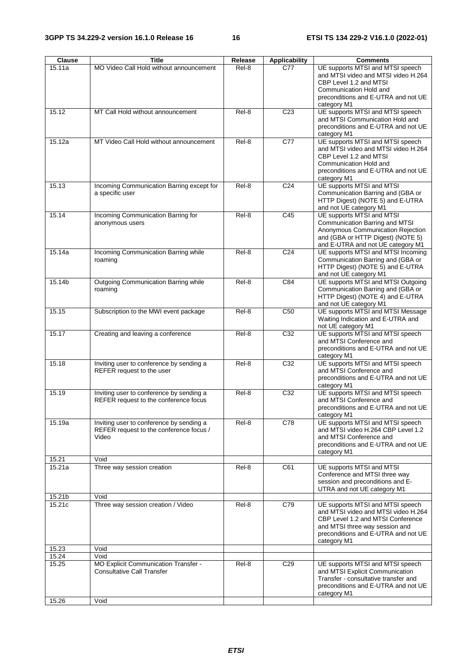| Clause           | <b>Title</b>                                                                                 | Release | <b>Applicability</b> | <b>Comments</b>                                                                                                                                                                                      |
|------------------|----------------------------------------------------------------------------------------------|---------|----------------------|------------------------------------------------------------------------------------------------------------------------------------------------------------------------------------------------------|
| 15.11a           | MO Video Call Hold without announcement                                                      | Rel-8   | C77                  | UE supports MTSI and MTSI speech<br>and MTSI video and MTSI video H.264<br>CBP Level 1.2 and MTSI<br>Communication Hold and<br>preconditions and E-UTRA and not UE<br>category M1                    |
| 15.12            | MT Call Hold without announcement                                                            | Rel-8   | C <sub>23</sub>      | UE supports MTSI and MTSI speech<br>and MTSI Communication Hold and<br>preconditions and E-UTRA and not UE<br>category M1                                                                            |
| 15.12a           | MT Video Call Hold without announcement                                                      | Rel-8   | $\overline{C77}$     | UE supports MTSI and MTSI speech<br>and MTSI video and MTSI video H.264<br>CBP Level 1.2 and MTSI<br>Communication Hold and<br>preconditions and E-UTRA and not UE<br>category M1                    |
| 15.13            | Incoming Communication Barring except for<br>a specific user                                 | Rel-8   | C <sub>24</sub>      | UE supports MTSI and MTSI<br>Communication Barring and (GBA or<br>HTTP Digest) (NOTE 5) and E-UTRA<br>and not UE category M1                                                                         |
| 15.14            | Incoming Communication Barring for<br>anonymous users                                        | Rel-8   | C45                  | UE supports MTSI and MTSI<br>Communication Barring and MTSI<br>Anonymous Communication Rejection<br>and (GBA or HTTP Digest) (NOTE 5)<br>and E-UTRA and not UE category M1                           |
| 15.14a           | Incoming Communication Barring while<br>roaming                                              | Rel-8   | C <sub>24</sub>      | UE supports MTSI and MTSI Incoming<br>Communication Barring and (GBA or<br>HTTP Digest) (NOTE 5) and E-UTRA<br>and not UE category M1                                                                |
| 15.14b           | <b>Outgoing Communication Barring while</b><br>roaming                                       | Rel-8   | C84                  | UE supports MTSI and MTSI Outgoing<br>Communication Barring and (GBA or<br>HTTP Digest) (NOTE 4) and E-UTRA<br>and not UE category M1                                                                |
| 15.15            | Subscription to the MWI event package                                                        | Rel-8   | C <sub>50</sub>      | UE supports MTSI and MTSI Message<br>Waiting Indication and E-UTRA and<br>not UE category M1                                                                                                         |
| 15.17            | Creating and leaving a conference                                                            | Rel-8   | $\overline{C32}$     | UE supports MTSI and MTSI speech<br>and MTSI Conference and<br>preconditions and E-UTRA and not UE<br>category M1                                                                                    |
| 15.18            | Inviting user to conference by sending a<br>REFER request to the user                        | Rel-8   | C32                  | UE supports MTSI and MTSI speech<br>and MTSI Conference and<br>preconditions and E-UTRA and not UE<br>category M1                                                                                    |
| 15.19            | Inviting user to conference by sending a<br>REFER request to the conference focus            | Rel-8   | $\overline{C32}$     | UE supports MTSI and MTSI speech<br>and MTSI Conference and<br>preconditions and E-UTRA and not UE<br>category M1                                                                                    |
| 15.19a           | Inviting user to conference by sending a<br>REFER request to the conference focus /<br>Video | Rel-8   | C78                  | UE supports MTSI and MTSI speech<br>and MTSI video H.264 CBP Level 1.2<br>and MTSI Conference and<br>preconditions and E-UTRA and not UE<br>category M1                                              |
| 15.21            | Void                                                                                         |         |                      |                                                                                                                                                                                                      |
| 15.21a<br>15.21b | Three way session creation<br>Void                                                           | Rel-8   | C61                  | UE supports MTSI and MTSI<br>Conference and MTSI three way<br>session and preconditions and E-<br>UTRA and not UE category M1                                                                        |
| 15.21c           | Three way session creation / Video                                                           | Rel-8   | C79                  | UE supports MTSI and MTSI speech<br>and MTSI video and MTSI video H.264<br>CBP Level 1.2 and MTSI Conference<br>and MTSI three way session and<br>preconditions and E-UTRA and not UE<br>category M1 |
| 15.23            | Void                                                                                         |         |                      |                                                                                                                                                                                                      |
| 15.24            | Void                                                                                         |         |                      |                                                                                                                                                                                                      |
| 15.25            | MO Explicit Communication Transfer -<br><b>Consultative Call Transfer</b>                    | Rel-8   | C <sub>29</sub>      | UE supports MTSI and MTSI speech<br>and MTSI Explicit Communication<br>Transfer - consultative transfer and<br>preconditions and E-UTRA and not UE<br>category M1                                    |
| 15.26            | Void                                                                                         |         |                      |                                                                                                                                                                                                      |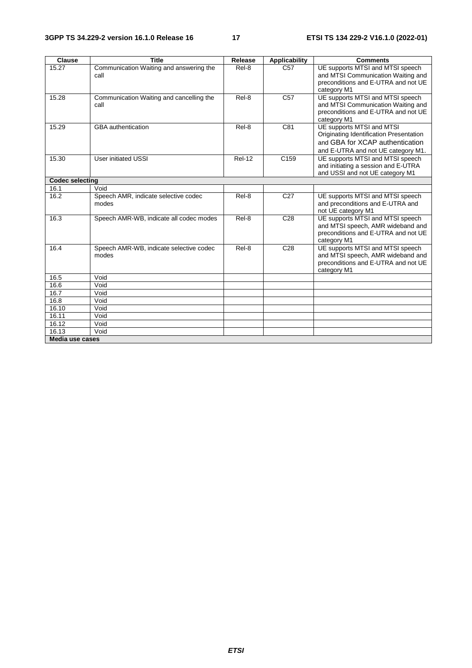| <b>Clause</b>          | <b>Title</b>                                     | Release       | <b>Applicability</b> | <b>Comments</b>                                                                                                                               |
|------------------------|--------------------------------------------------|---------------|----------------------|-----------------------------------------------------------------------------------------------------------------------------------------------|
| 15.27                  | Communication Waiting and answering the<br>call  | Rel-8         | $\overline{C57}$     | UE supports MTSI and MTSI speech<br>and MTSI Communication Waiting and<br>preconditions and E-UTRA and not UE<br>category M1                  |
| 15.28                  | Communication Waiting and cancelling the<br>call | Rel-8         | C <sub>57</sub>      | UE supports MTSI and MTSI speech<br>and MTSI Communication Waiting and<br>preconditions and E-UTRA and not UE<br>category M1                  |
| $15.\overline{29}$     | <b>GBA</b> authentication                        | Rel-8         | C81                  | UE supports MTSI and MTSI<br>Originating Identification Presentation<br>and GBA for XCAP authentication<br>and E-UTRA and not UE category M1. |
| 15.30                  | User initiated USSI                              | <b>Rel-12</b> | C <sub>159</sub>     | UE supports MTSI and MTSI speech<br>and initiating a session and E-UTRA<br>and USSI and not UE category M1                                    |
| <b>Codec selecting</b> |                                                  |               |                      |                                                                                                                                               |
| 16.1                   | Void                                             |               |                      |                                                                                                                                               |
| 16.2                   | Speech AMR, indicate selective codec<br>modes    | Rel-8         | C <sub>27</sub>      | UE supports MTSI and MTSI speech<br>and preconditions and E-UTRA and<br>not UE category M1                                                    |
| 16.3                   | Speech AMR-WB, indicate all codec modes          | Rel-8         | C <sub>28</sub>      | UE supports MTSI and MTSI speech<br>and MTSI speech, AMR wideband and<br>preconditions and E-UTRA and not UE<br>category M1                   |
| 16.4                   | Speech AMR-WB, indicate selective codec<br>modes | Rel-8         | C <sub>28</sub>      | UE supports MTSI and MTSI speech<br>and MTSI speech, AMR wideband and<br>preconditions and E-UTRA and not UE<br>category M1                   |
| 16.5                   | Void                                             |               |                      |                                                                                                                                               |
| 16.6                   | Void                                             |               |                      |                                                                                                                                               |
| 16.7                   | Void                                             |               |                      |                                                                                                                                               |
| 16.8                   | Void                                             |               |                      |                                                                                                                                               |
| 16.10                  | Void                                             |               |                      |                                                                                                                                               |
| 16.11                  | Void                                             |               |                      |                                                                                                                                               |
| 16.12                  | Void                                             |               |                      |                                                                                                                                               |
| 16.13                  | Void                                             |               |                      |                                                                                                                                               |
| <b>Media use cases</b> |                                                  |               |                      |                                                                                                                                               |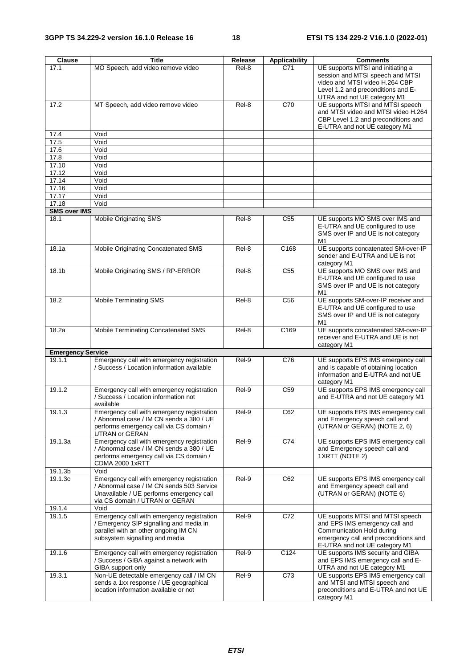| <b>Clause</b>            | <b>Title</b>                                                                                                                                                          | Release | <b>Applicability</b> | <b>Comments</b>                                                                                                                                                              |
|--------------------------|-----------------------------------------------------------------------------------------------------------------------------------------------------------------------|---------|----------------------|------------------------------------------------------------------------------------------------------------------------------------------------------------------------------|
| 17.1                     | MO Speech, add video remove video                                                                                                                                     | Rel-8   | C71                  | UE supports MTSI and initiating a<br>session and MTSI speech and MTSI<br>video and MTSI video H.264 CBP<br>Level 1.2 and preconditions and E-<br>UTRA and not UE category M1 |
| 17.2                     | MT Speech, add video remove video                                                                                                                                     | Rel-8   | C70                  | UE supports MTSI and MTSI speech<br>and MTSI video and MTSI video H.264<br>CBP Level 1.2 and preconditions and<br>E-UTRA and not UE category M1                              |
| 17.4                     | Void                                                                                                                                                                  |         |                      |                                                                                                                                                                              |
| 17.5                     | Void                                                                                                                                                                  |         |                      |                                                                                                                                                                              |
| 17.6                     | Void                                                                                                                                                                  |         |                      |                                                                                                                                                                              |
| 17.8<br>17.10            | Void<br>Void                                                                                                                                                          |         |                      |                                                                                                                                                                              |
| 17.12                    | Void                                                                                                                                                                  |         |                      |                                                                                                                                                                              |
| 17.14                    | Void                                                                                                                                                                  |         |                      |                                                                                                                                                                              |
| 17.16                    | Void                                                                                                                                                                  |         |                      |                                                                                                                                                                              |
| 17.17                    | Void                                                                                                                                                                  |         |                      |                                                                                                                                                                              |
| 17.18                    | Void                                                                                                                                                                  |         |                      |                                                                                                                                                                              |
| <b>SMS over IMS</b>      |                                                                                                                                                                       |         |                      |                                                                                                                                                                              |
| 18.1                     | <b>Mobile Originating SMS</b>                                                                                                                                         | Rel-8   | C <sub>55</sub>      | UE supports MO SMS over IMS and<br>E-UTRA and UE configured to use<br>SMS over IP and UE is not category<br>M1                                                               |
| 18.1a                    | Mobile Originating Concatenated SMS                                                                                                                                   | Rel-8   | C <sub>168</sub>     | UE supports concatenated SM-over-IP<br>sender and E-UTRA and UE is not<br>category M1                                                                                        |
| 18.1b                    | Mobile Originating SMS / RP-ERROR                                                                                                                                     | Rel-8   | C <sub>55</sub>      | UE supports MO SMS over IMS and<br>E-UTRA and UE configured to use<br>SMS over IP and UE is not category<br>M1                                                               |
| 18.2                     | <b>Mobile Terminating SMS</b>                                                                                                                                         | Rel-8   | C <sub>56</sub>      | UE supports SM-over-IP receiver and<br>E-UTRA and UE configured to use<br>SMS over IP and UE is not category<br>M1                                                           |
| 18.2a                    | Mobile Terminating Concatenated SMS                                                                                                                                   | Rel-8   | C <sub>169</sub>     | UE supports concatenated SM-over-IP<br>receiver and E-UTRA and UE is not<br>category M1                                                                                      |
| <b>Emergency Service</b> |                                                                                                                                                                       |         |                      |                                                                                                                                                                              |
| 19.1.1                   | Emergency call with emergency registration<br>/ Success / Location information available                                                                              | Rel-9   | C76                  | UE supports EPS IMS emergency call<br>and is capable of obtaining location<br>information and E-UTRA and not UE<br>category M1                                               |
| 19.1.2                   | Emergency call with emergency registration<br>/ Success / Location information not<br>available                                                                       | Rel-9   | C <sub>59</sub>      | UE supports EPS IMS emergency call<br>and E-UTRA and not UE category M1                                                                                                      |
| 19.1.3                   | Emergency call with emergency registration<br>/ Abnormal case / IM CN sends a 380 / UE<br>performs emergency call via CS domain /<br>UTRAN or GERAN                   | $Rel-9$ | C62                  | UE supports EPS IMS emergency call<br>and Emergency speech call and<br>(UTRAN or GERAN) (NOTE 2, 6)                                                                          |
| 19.1.3a                  | Emergency call with emergency registration<br>/ Abnormal case / IM CN sends a 380 / UE<br>performs emergency call via CS domain /<br><b>CDMA 2000 1xRTT</b>           | Rel-9   | C <sub>74</sub>      | UE supports EPS IMS emergency call<br>and Emergency speech call and<br>1XRTT (NOTE 2)                                                                                        |
| 19.1.3b                  | Void                                                                                                                                                                  |         |                      |                                                                                                                                                                              |
| 19.1.3c                  | Emergency call with emergency registration<br>/ Abnormal case / IM CN sends 503 Service<br>Unavailable / UE performs emergency call<br>via CS domain / UTRAN or GERAN | Rel-9   | C62                  | UE supports EPS IMS emergency call<br>and Emergency speech call and<br>(UTRAN or GERAN) (NOTE 6)                                                                             |
| 19.1.4                   | Void                                                                                                                                                                  |         |                      |                                                                                                                                                                              |
| 19.1.5                   | Emergency call with emergency registration<br>/ Emergency SIP signalling and media in<br>parallel with an other ongoing IM CN<br>subsystem signalling and media       | Rel-9   | C72                  | UE supports MTSI and MTSI speech<br>and EPS IMS emergency call and<br>Communication Hold during<br>emergency call and preconditions and<br>E-UTRA and not UE category M1     |
| 19.1.6                   | Emergency call with emergency registration<br>/ Success / GIBA against a network with<br>GIBA support only                                                            | Rel-9   | C124                 | UE supports IMS security and GIBA<br>and EPS IMS emergency call and E-<br>UTRA and not UE category M1                                                                        |
| 19.3.1                   | Non-UE detectable emergency call / IM CN<br>sends a 1xx response / UE geographical<br>location information available or not                                           | Rel-9   | C73                  | UE supports EPS IMS emergency call<br>and MTSI and MTSI speech and<br>preconditions and E-UTRA and not UE<br>category M1                                                     |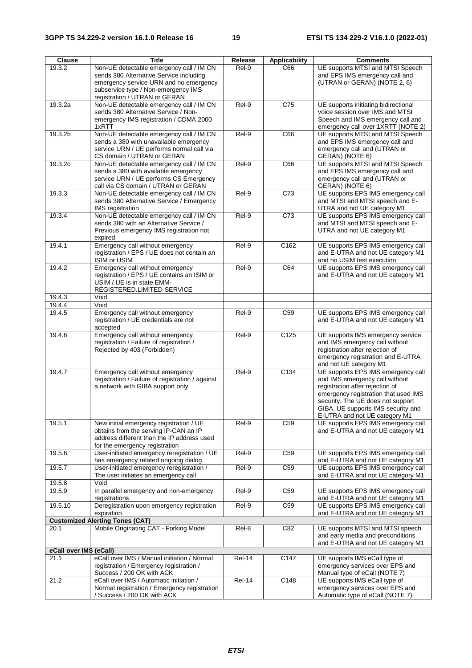| <b>Clause</b>          | <b>Title</b>                                                                                                                                                                                          | Release       | <b>Applicability</b> | <b>Comments</b>                                                                                                                                                                                                                                             |
|------------------------|-------------------------------------------------------------------------------------------------------------------------------------------------------------------------------------------------------|---------------|----------------------|-------------------------------------------------------------------------------------------------------------------------------------------------------------------------------------------------------------------------------------------------------------|
| 19.3.2                 | Non-UE detectable emergency call / IM CN<br>sends 380 Alternative Service including<br>emergency service URN and no emergency<br>subservice type / Non-emergency IMS<br>registration / UTRAN or GERAN | Rel-9         | C66                  | UE supports MTSI and MTSI Speech<br>and EPS IMS emergency call and<br>(UTRAN or GERAN) (NOTE 2, 6)                                                                                                                                                          |
| 19.3.2a                | Non-UE detectable emergency call / IM CN<br>sends 380 Alternative Service / Non-<br>emergency IMS registration / CDMA 2000<br>1xRTT                                                                   | Rel-9         | $\overline{C75}$     | UE supports initiating bidirectional<br>voice session over IMS and MTSI<br>Speech and IMS emergency call and<br>emergency call over 1XRTT (NOTE 2)                                                                                                          |
| 19.3.2b                | Non-UE detectable emergency call / IM CN<br>sends a 380 with unavailable emergency<br>service URN / UE performs normal call via<br>CS domain / UTRAN or GERAN                                         | Rel-9         | C66                  | UE supports MTSI and MTSI Speech<br>and EPS IMS emergency call and<br>emergency call and (UTRAN or<br>GERAN) (NOTE 6)                                                                                                                                       |
| 19.3.2c                | Non-UE detectable emergency call / IM CN<br>sends a 380 with available emergency<br>service URN / UE performs CS Emergency<br>call via CS domain / UTRAN or GERAN                                     | Rel-9         | C66                  | UE supports MTSI and MTSI Speech<br>and EPS IMS emergency call and<br>emergency call and (UTRAN or<br>GERAN) (NOTE 6)                                                                                                                                       |
| 19.3.3                 | Non-UE detectable emergency call / IM CN<br>sends 380 Alternative Service / Emergency<br><b>IMS</b> registration                                                                                      | Rel-9         | C73                  | UE supports EPS IMS emergency call<br>and MTSI and MTSI speech and E-<br>UTRA and not UE category M1                                                                                                                                                        |
| 19.3.4                 | Non-UE detectable emergency call / IM CN<br>sends 380 with an Alternative Service /<br>Previous emergency IMS registration not<br>expired                                                             | Rel-9         | $\overline{C73}$     | UE supports EPS IMS emergency call<br>and MTSI and MTSI speech and E-<br>UTRA and not UE category M1                                                                                                                                                        |
| 19.4.1                 | Emergency call without emergency<br>registration / EPS / UE does not contain an<br>ISIM or USIM                                                                                                       | Rel-9         | C162                 | UE supports EPS IMS emergency call<br>and E-UTRA and not UE category M1<br>and no USIM test execution                                                                                                                                                       |
| 19.4.2                 | Emergency call without emergency<br>registration / EPS / UE contains an ISIM or<br>USIM / UE is in state EMM-<br>REGISTERED.LIMITED-SERVICE                                                           | Rel-9         | C64                  | UE supports EPS IMS emergency call<br>and E-UTRA and not UE category M1                                                                                                                                                                                     |
| 19.4.3<br>19.4.4       | Void<br>Void                                                                                                                                                                                          |               |                      |                                                                                                                                                                                                                                                             |
| 19.4.5                 | Emergency call without emergency                                                                                                                                                                      | Rel-9         | C59                  | UE supports EPS IMS emergency call                                                                                                                                                                                                                          |
|                        | registration / UE credentials are not<br>accepted                                                                                                                                                     |               |                      | and E-UTRA and not UE category M1                                                                                                                                                                                                                           |
| 19.4.6                 | Emergency call without emergency<br>registration / Failure of registration /<br>Rejected by 403 (Forbidden)                                                                                           | Rel-9         | C125                 | UE supports IMS emergency service<br>and IMS emergency call without<br>registration after rejection of<br>emergency registration and E-UTRA<br>and not UE category M1                                                                                       |
| 19.4.7                 | Emergency call without emergency<br>registration / Failure of registration / against<br>a network with GIBA support only                                                                              | Rel-9         | $\overline{C134}$    | UE supports EPS IMS emergency call<br>and IMS emergency call without<br>registration after rejection of<br>emergency registration that used IMS<br>security. The UE does not support<br>GIBA. UE supports IMS security and<br>E-UTRA and not UE category M1 |
| 19.5.1                 | New initial emergency registration / UE<br>obtains from the serving IP-CAN an IP<br>address different than the IP address used<br>for the emergency registration                                      | Rel-9         | C <sub>59</sub>      | UE supports EPS IMS emergency call<br>and E-UTRA and not UE category M1                                                                                                                                                                                     |
| 19.5.6                 | User-initiated emergency reregistration / UE<br>has emergency related ongoing dialog                                                                                                                  | Rel-9         | C <sub>59</sub>      | UE supports EPS IMS emergency call<br>and E-UTRA and not UE category M1                                                                                                                                                                                     |
| 19.5.7                 | User-initiated emergency reregistration /<br>The user initiates an emergency call                                                                                                                     | Rel-9         | C59                  | UE supports EPS IMS emergency call<br>and E-UTRA and not UE category M1                                                                                                                                                                                     |
| 19.5.8                 | Void                                                                                                                                                                                                  |               |                      |                                                                                                                                                                                                                                                             |
| 19.5.9                 | In parallel emergency and non-emergency<br>registrations                                                                                                                                              | Rel-9         | C <sub>59</sub>      | UE supports EPS IMS emergency call<br>and E-UTRA and not UE category M1                                                                                                                                                                                     |
| 19.5.10                | Deregistration upon emergency registration<br>expiration                                                                                                                                              | Rel-9         | C <sub>59</sub>      | UE supports EPS IMS emergency call<br>and E-UTRA and not UE category M1                                                                                                                                                                                     |
|                        | <b>Customized Alerting Tones (CAT)</b>                                                                                                                                                                |               |                      |                                                                                                                                                                                                                                                             |
| 20.1                   | Mobile Originating CAT - Forking Model                                                                                                                                                                | Rel-8         | C82                  | UE supports MTSI and MTSI speech<br>and early media and preconditions<br>and E-UTRA and not UE category M1                                                                                                                                                  |
| eCall over IMS (eCall) |                                                                                                                                                                                                       |               |                      |                                                                                                                                                                                                                                                             |
| 21.1                   | eCall over IMS / Manual initiation / Normal<br>registration / Emergency registration /<br>Success / 200 OK with ACK                                                                                   | <b>Rel-14</b> | C147                 | UE supports IMS eCall type of<br>emergency services over EPS and<br>Manual type of eCall (NOTE 7)                                                                                                                                                           |
| 21.2                   | eCall over IMS / Automatic initiation /<br>Normal registration / Emergency registration<br>/ Success / 200 OK with ACK                                                                                | <b>Rel-14</b> | C148                 | UE supports IMS eCall type of<br>emergency services over EPS and<br>Automatic type of eCall (NOTE 7)                                                                                                                                                        |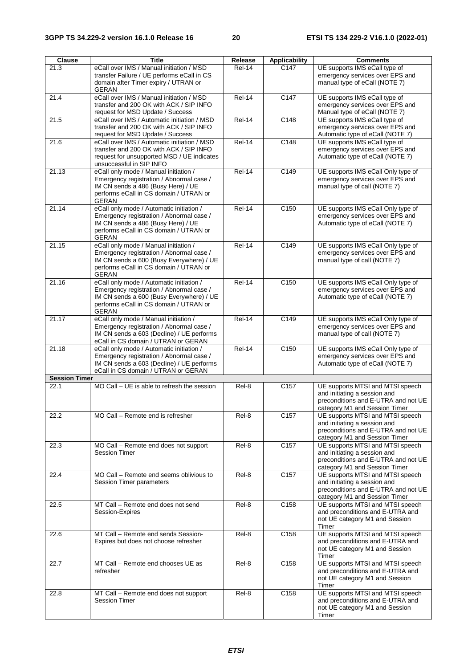| <b>Clause</b>        | <b>Title</b>                                                                                                                                                                               | Release       | <b>Applicability</b> | <b>Comments</b>                                                                                                                          |
|----------------------|--------------------------------------------------------------------------------------------------------------------------------------------------------------------------------------------|---------------|----------------------|------------------------------------------------------------------------------------------------------------------------------------------|
| 21.3                 | eCall over IMS / Manual initiation / MSD<br>transfer Failure / UE performs eCall in CS<br>domain after Timer expiry / UTRAN or<br>GERAN                                                    | <b>Rel-14</b> | C147                 | UE supports IMS eCall type of<br>emergency services over EPS and<br>manual type of eCall (NOTE 7)                                        |
| 21.4                 | eCall over IMS / Manual initiation / MSD<br>transfer and 200 OK with ACK / SIP INFO<br>request for MSD Update / Success                                                                    | <b>Rel-14</b> | C147                 | UE supports IMS eCall type of<br>emergency services over EPS and<br>Manual type of eCall (NOTE 7)                                        |
| 21.5                 | eCall over IMS / Automatic initiation / MSD<br>transfer and 200 OK with ACK / SIP INFO<br>request for MSD Update / Success                                                                 | $Rel-14$      | C148                 | UE supports IMS eCall type of<br>emergency services over EPS and<br>Automatic type of eCall (NOTE 7)                                     |
| 21.6                 | eCall over IMS / Automatic initiation / MSD<br>transfer and 200 OK with ACK / SIP INFO<br>request for unsupported MSD / UE indicates<br>unsuccessful in SIP INFO                           | <b>Rel-14</b> | C148                 | UE supports IMS eCall type of<br>emergency services over EPS and<br>Automatic type of eCall (NOTE 7)                                     |
| 21.13                | eCall only mode / Manual initiation /<br>Emergency registration / Abnormal case /<br>IM CN sends a 486 (Busy Here) / UE<br>performs eCall in CS domain / UTRAN or<br><b>GERAN</b>          | Rel-14        | C149                 | UE supports IMS eCall Only type of<br>emergency services over EPS and<br>manual type of call (NOTE 7)                                    |
| 21.14                | eCall only mode / Automatic initiation /<br>Emergency registration / Abnormal case /<br>IM CN sends a 486 (Busy Here) / UE<br>performs eCall in CS domain / UTRAN or<br><b>GERAN</b>       | <b>Rel-14</b> | C150                 | UE supports IMS eCall Only type of<br>emergency services over EPS and<br>Automatic type of eCall (NOTE 7)                                |
| 21.15                | eCall only mode / Manual initiation /<br>Emergency registration / Abnormal case /<br>IM CN sends a 600 (Busy Everywhere) / UE<br>performs eCall in CS domain / UTRAN or<br>GERAN           | $ReI-14$      | C149                 | UE supports IMS eCall Only type of<br>emergency services over EPS and<br>manual type of call (NOTE 7)                                    |
| 21.16                | eCall only mode / Automatic initiation /<br>Emergency registration / Abnormal case /<br>IM CN sends a 600 (Busy Everywhere) / UE<br>performs eCall in CS domain / UTRAN or<br><b>GERAN</b> | $ReI-14$      | C <sub>150</sub>     | UE supports IMS eCall Only type of<br>emergency services over EPS and<br>Automatic type of eCall (NOTE 7)                                |
| 21.17                | eCall only mode / Manual initiation /<br>Emergency registration / Abnormal case /<br>IM CN sends a 603 (Decline) / UE performs<br>eCall in CS domain / UTRAN or GERAN                      | $Rel-14$      | C149                 | UE supports IMS eCall Only type of<br>emergency services over EPS and<br>manual type of call (NOTE 7)                                    |
| 21.18                | eCall only mode / Automatic initiation /<br>Emergency registration / Abnormal case /<br>IM CN sends a 603 (Decline) / UE performs<br>eCall in CS domain / UTRAN or GERAN                   | <b>Rel-14</b> | C150                 | UE supports IMS eCall Only type of<br>emergency services over EPS and<br>Automatic type of eCall (NOTE 7)                                |
| <b>Session Timer</b> |                                                                                                                                                                                            |               |                      |                                                                                                                                          |
| 22.1                 | MO Call - UE is able to refresh the session                                                                                                                                                | Rel-8         | C <sub>157</sub>     | UE supports MTSI and MTSI speech<br>and initiating a session and<br>preconditions and E-UTRA and not UE<br>category M1 and Session Timer |
| 22.2                 | MO Call - Remote end is refresher                                                                                                                                                          | Rel-8         | C157                 | UE supports MTSI and MTSI speech<br>and initiating a session and<br>preconditions and E-UTRA and not UE<br>category M1 and Session Timer |
| 22.3                 | MO Call - Remote end does not support<br><b>Session Timer</b>                                                                                                                              | Rel-8         | C157                 | UE supports MTSI and MTSI speech<br>and initiating a session and<br>preconditions and E-UTRA and not UE<br>category M1 and Session Timer |
| 22.4                 | MO Call - Remote end seems oblivious to<br>Session Timer parameters                                                                                                                        | Rel-8         | $\overline{C157}$    | UE supports MTSI and MTSI speech<br>and initiating a session and<br>preconditions and E-UTRA and not UE<br>category M1 and Session Timer |
| 22.5                 | MT Call - Remote end does not send<br>Session-Expires                                                                                                                                      | Rel-8         | C <sub>158</sub>     | UE supports MTSI and MTSI speech<br>and preconditions and E-UTRA and<br>not UE category M1 and Session<br>Timer                          |
| 22.6                 | MT Call - Remote end sends Session-<br>Expires but does not choose refresher                                                                                                               | Rel-8         | C158                 | UE supports MTSI and MTSI speech<br>and preconditions and E-UTRA and<br>not UE category M1 and Session<br>Timer                          |
| 22.7                 | MT Call – Remote end chooses UE as<br>refresher                                                                                                                                            | Rel-8         | C158                 | UE supports MTSI and MTSI speech<br>and preconditions and E-UTRA and<br>not UE category M1 and Session<br>Timer                          |
| 22.8                 | MT Call - Remote end does not support<br><b>Session Timer</b>                                                                                                                              | Rel-8         | C158                 | UE supports MTSI and MTSI speech<br>and preconditions and E-UTRA and<br>not UE category M1 and Session<br>Timer                          |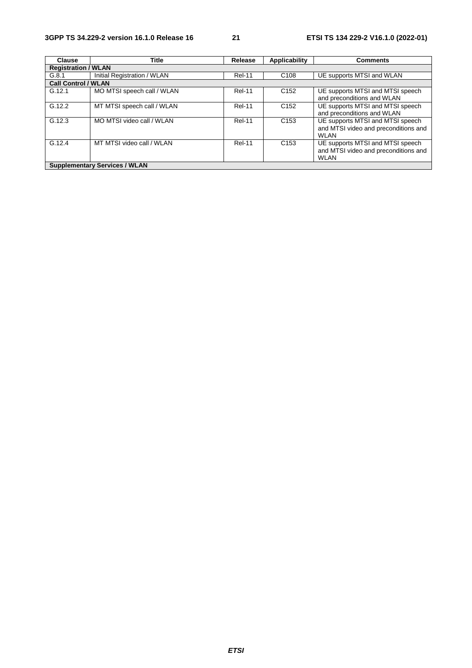| <b>Clause</b>              | <b>Title</b>                         | Release       | Applicability    | <b>Comments</b>                                                                         |
|----------------------------|--------------------------------------|---------------|------------------|-----------------------------------------------------------------------------------------|
| <b>Registration / WLAN</b> |                                      |               |                  |                                                                                         |
| G.8.1                      | Initial Registration / WLAN          | <b>Rel-11</b> | C <sub>108</sub> | UE supports MTSI and WLAN                                                               |
| <b>Call Control / WLAN</b> |                                      |               |                  |                                                                                         |
| G.12.1                     | MO MTSI speech call / WLAN           | <b>Rel-11</b> | C <sub>152</sub> | UE supports MTSI and MTSI speech<br>and preconditions and WLAN                          |
| G.12.2                     | MT MTSI speech call / WLAN           | <b>Rel-11</b> | C <sub>152</sub> | UE supports MTSI and MTSI speech<br>and preconditions and WLAN                          |
| G.12.3                     | MO MTSI video call / WLAN            | <b>Rel-11</b> | C <sub>153</sub> | UE supports MTSI and MTSI speech<br>and MTSI video and preconditions and<br><b>WLAN</b> |
| G.12.4                     | MT MTSI video call / WLAN            | <b>Rel-11</b> | C <sub>153</sub> | UE supports MTSI and MTSI speech<br>and MTSI video and preconditions and<br><b>WLAN</b> |
|                            | <b>Supplementary Services / WLAN</b> |               |                  |                                                                                         |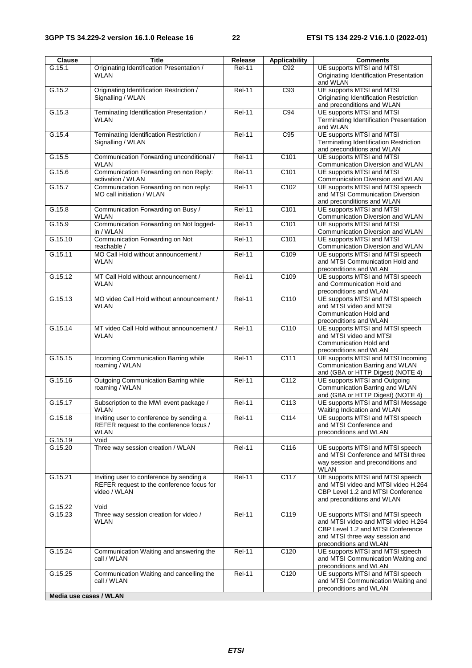| <b>Clause</b>          | <b>Title</b>                                                                                          | Release       | <b>Applicability</b> | <b>Comments</b>                                                                                                                                                          |
|------------------------|-------------------------------------------------------------------------------------------------------|---------------|----------------------|--------------------------------------------------------------------------------------------------------------------------------------------------------------------------|
| G.15.1                 | Originating Identification Presentation /<br><b>WLAN</b>                                              | <b>Rel-11</b> | C92                  | UE supports MTSI and MTSI<br>Originating Identification Presentation<br>and WLAN                                                                                         |
| G.15.2                 | Originating Identification Restriction /<br>Signalling / WLAN                                         | <b>Rel-11</b> | C93                  | UE supports MTSI and MTSI<br>Originating Identification Restriction<br>and preconditions and WLAN                                                                        |
| G.15.3                 | Terminating Identification Presentation /<br><b>WLAN</b>                                              | <b>Rel-11</b> | C94                  | UE supports MTSI and MTSI<br>Terminating Identification Presentation<br>and WLAN                                                                                         |
| G.15.4                 | Terminating Identification Restriction /<br>Signalling / WLAN                                         | $ReI-11$      | C95                  | UE supports MTSI and MTSI<br>Terminating Identification Restriction<br>and preconditions and WLAN                                                                        |
| G.15.5                 | Communication Forwarding unconditional /<br>WLAN                                                      | <b>Rel-11</b> | C <sub>101</sub>     | UE supports MTSI and MTSI<br>Communication Diversion and WLAN                                                                                                            |
| G.15.6                 | Communication Forwarding on non Reply:<br>activation / WLAN                                           | <b>Rel-11</b> | C101                 | UE supports MTSI and MTSI<br>Communication Diversion and WLAN                                                                                                            |
| G.15.7                 | Communication Forwarding on non reply:<br>MO call initiation / WLAN                                   | <b>Rel-11</b> | C <sub>102</sub>     | UE supports MTSI and MTSI speech<br>and MTSI Communication Diversion<br>and preconditions and WLAN                                                                       |
| G.15.8                 | Communication Forwarding on Busy /<br>WLAN                                                            | <b>Rel-11</b> | C <sub>101</sub>     | UE supports MTSI and MTSI<br>Communication Diversion and WLAN                                                                                                            |
| G.15.9                 | Communication Forwarding on Not logged-<br>in / WLAN                                                  | <b>Rel-11</b> | C <sub>101</sub>     | UE supports MTSI and MTSI<br>Communication Diversion and WLAN                                                                                                            |
| G.15.10                | Communication Forwarding on Not<br>reachable /                                                        | <b>Rel-11</b> | C <sub>101</sub>     | UE supports MTSI and MTSI<br>Communication Diversion and WLAN                                                                                                            |
| G.15.11                | MO Call Hold without announcement /<br>WLAN                                                           | <b>Rel-11</b> | C109                 | UE supports MTSI and MTSI speech<br>and MTSI Communication Hold and<br>preconditions and WLAN                                                                            |
| G.15.12                | MT Call Hold without announcement /<br>WLAN                                                           | <b>Rel-11</b> | C109                 | UE supports MTSI and MTSI speech<br>and Communication Hold and<br>preconditions and WLAN                                                                                 |
| G.15.13                | MO video Call Hold without announcement /<br>WLAN                                                     | <b>Rel-11</b> | C110                 | UE supports MTSI and MTSI speech<br>and MTSI video and MTSI<br>Communication Hold and<br>preconditions and WLAN                                                          |
| G.15.14                | MT video Call Hold without announcement /<br><b>WLAN</b>                                              | $ReI-11$      | C110                 | UE supports MTSI and MTSI speech<br>and MTSI video and MTSI<br>Communication Hold and<br>preconditions and WLAN                                                          |
| G.15.15                | Incoming Communication Barring while<br>roaming / WLAN                                                | <b>Rel-11</b> | $\overline{C111}$    | UE supports MTSI and MTSI Incoming<br>Communication Barring and WLAN<br>and (GBA or HTTP Digest) (NOTE 4)                                                                |
| G.15.16                | Outgoing Communication Barring while<br>roaming / WLAN                                                | <b>Rel-11</b> | C112                 | UE supports MTSI and Outgoing<br>Communication Barring and WLAN<br>and (GBA or HTTP Digest) (NOTE 4)                                                                     |
| G.15.17                | Subscription to the MWI event package /<br>WLAN                                                       | <b>Rel-11</b> | $\overline{C113}$    | UE supports MTSI and MTSI Message<br>Waiting Indication and WLAN                                                                                                         |
| G.15.18                | Inviting user to conference by sending a<br>REFER request to the conference focus /<br>WLAN           | <b>Rel-11</b> | C114                 | UE supports MTSI and MTSI speech<br>and MTSI Conference and<br>preconditions and WLAN                                                                                    |
| G.15.19                | Void                                                                                                  |               |                      |                                                                                                                                                                          |
| G.15.20                | Three way session creation / WLAN                                                                     | Rel-11        | C116                 | UE supports MTSI and MTSI speech<br>and MTSI Conference and MTSI three<br>way session and preconditions and<br>WLAN                                                      |
| G.15.21                | Inviting user to conference by sending a<br>REFER request to the conference focus for<br>video / WLAN | $ReI-11$      | C117                 | UE supports MTSI and MTSI speech<br>and MTSI video and MTSI video H.264<br>CBP Level 1.2 and MTSI Conference<br>and preconditions and WLAN                               |
| G.15.22                | Void                                                                                                  |               |                      |                                                                                                                                                                          |
| G.15.23                | Three way session creation for video /<br>WLAN                                                        | <b>Rel-11</b> | C119                 | UE supports MTSI and MTSI speech<br>and MTSI video and MTSI video H.264<br>CBP Level 1.2 and MTSI Conference<br>and MTSI three way session and<br>preconditions and WLAN |
| G.15.24                | Communication Waiting and answering the<br>call / WLAN                                                | <b>Rel-11</b> | C120                 | UE supports MTSI and MTSI speech<br>and MTSI Communication Waiting and<br>preconditions and WLAN                                                                         |
| G.15.25                | Communication Waiting and cancelling the<br>call / WLAN                                               | <b>Rel-11</b> | C120                 | UE supports MTSI and MTSI speech<br>and MTSI Communication Waiting and<br>preconditions and WLAN                                                                         |
| Media use cases / WLAN |                                                                                                       |               |                      |                                                                                                                                                                          |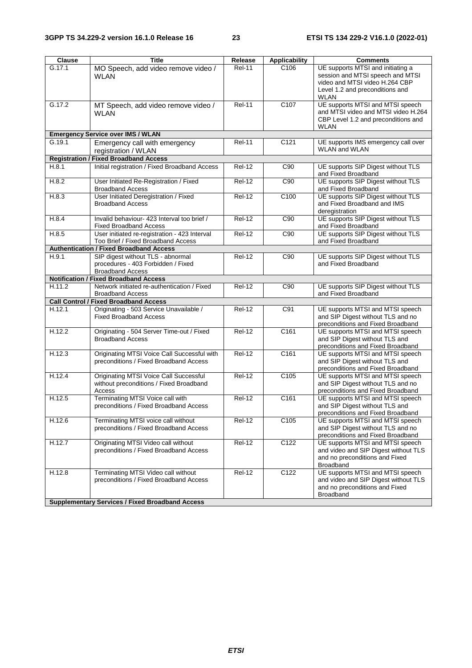| Clause | <b>Title</b>                                                  | Release       | <b>Applicability</b> | <b>Comments</b>                                                       |
|--------|---------------------------------------------------------------|---------------|----------------------|-----------------------------------------------------------------------|
| G.17.1 | MO Speech, add video remove video /                           | <b>Rel-11</b> | C <sub>106</sub>     | UE supports MTSI and initiating a                                     |
|        | <b>WLAN</b>                                                   |               |                      | session and MTSI speech and MTSI                                      |
|        |                                                               |               |                      | video and MTSI video H.264 CBP                                        |
|        |                                                               |               |                      | Level 1.2 and preconditions and                                       |
|        |                                                               |               |                      | <b>WLAN</b>                                                           |
| G.17.2 | MT Speech, add video remove video /                           | $ReI-11$      | C107                 | UE supports MTSI and MTSI speech                                      |
|        | <b>WLAN</b>                                                   |               |                      | and MTSI video and MTSI video H.264                                   |
|        |                                                               |               |                      | CBP Level 1.2 and preconditions and                                   |
|        |                                                               |               |                      | WLAN                                                                  |
| G.19.1 | <b>Emergency Service over IMS / WLAN</b>                      | <b>Rel-11</b> | C <sub>121</sub>     |                                                                       |
|        | Emergency call with emergency                                 |               |                      | UE supports IMS emergency call over<br><b>WLAN and WLAN</b>           |
|        | registration / WLAN                                           |               |                      |                                                                       |
|        | <b>Registration / Fixed Broadband Access</b>                  |               |                      |                                                                       |
| H.8.1  | Initial registration / Fixed Broadband Access                 | <b>Rel-12</b> | C90                  | UE supports SIP Digest without TLS<br>and Fixed Broadband             |
| H.8.2  | User Initiated Re-Registration / Fixed                        | <b>Rel-12</b> | C90                  | UE supports SIP Digest without TLS                                    |
|        | <b>Broadband Access</b>                                       |               |                      | and Fixed Broadband                                                   |
| H.8.3  | User Initiated Deregistration / Fixed                         | Rel-12        | C <sub>100</sub>     | UE supports SIP Digest without TLS                                    |
|        | <b>Broadband Access</b>                                       |               |                      | and Fixed Broadband and IMS                                           |
|        |                                                               |               |                      | deregistration                                                        |
| H.8.4  | Invalid behaviour-423 Interval too brief /                    | Rel-12        | C90                  | UE supports SIP Digest without TLS                                    |
|        | <b>Fixed Broadband Access</b>                                 |               |                      | and Fixed Broadband                                                   |
| H.8.5  | User initiated re-registration - 423 Interval                 | Rel-12        | C90                  | UE supports SIP Digest without TLS                                    |
|        | Too Brief / Fixed Broadband Access                            |               |                      | and Fixed Broadband                                                   |
|        | <b>Authentication / Fixed Broadband Access</b>                |               |                      |                                                                       |
| H.9.1  | SIP digest without TLS - abnormal                             | <b>Rel-12</b> | C90                  | UE supports SIP Digest without TLS                                    |
|        | procedures - 403 Forbidden / Fixed<br><b>Broadband Access</b> |               |                      | and Fixed Broadband                                                   |
|        | <b>Notification / Fixed Broadband Access</b>                  |               |                      |                                                                       |
| H.11.2 | Network initiated re-authentication / Fixed                   | <b>Rel-12</b> | C90                  | UE supports SIP Digest without TLS                                    |
|        | <b>Broadband Access</b>                                       |               |                      | and Fixed Broadband                                                   |
|        | <b>Call Control / Fixed Broadband Access</b>                  |               |                      |                                                                       |
| H.12.1 | Originating - 503 Service Unavailable /                       | <b>Rel-12</b> | C91                  | UE supports MTSI and MTSI speech                                      |
|        | <b>Fixed Broadband Access</b>                                 |               |                      | and SIP Digest without TLS and no                                     |
|        |                                                               |               |                      | preconditions and Fixed Broadband                                     |
| H.12.2 | Originating - 504 Server Time-out / Fixed                     | <b>Rel-12</b> | C161                 | UE supports MTSI and MTSI speech                                      |
|        | <b>Broadband Access</b>                                       |               |                      | and SIP Digest without TLS and                                        |
|        |                                                               |               |                      | preconditions and Fixed Broadband                                     |
| H.12.3 | Originating MTSI Voice Call Successful with                   | $ReI-12$      | C161                 | UE supports MTSI and MTSI speech                                      |
|        | preconditions / Fixed Broadband Access                        |               |                      | and SIP Digest without TLS and                                        |
|        |                                                               |               |                      | preconditions and Fixed Broadband                                     |
| H.12.4 | <b>Originating MTSI Voice Call Successful</b>                 | $ReI-12$      | C105                 | UE supports MTSI and MTSI speech                                      |
|        | without preconditions / Fixed Broadband                       |               |                      | and SIP Digest without TLS and no                                     |
|        | Access                                                        |               |                      | preconditions and Fixed Broadband                                     |
| H.12.5 | Terminating MTSI Voice call with                              | <b>Rel-12</b> | C161                 | UE supports MTSI and MTSI speech                                      |
|        | preconditions / Fixed Broadband Access                        |               |                      | and SIP Digest without TLS and                                        |
|        |                                                               |               |                      | preconditions and Fixed Broadband                                     |
| H.12.6 | Terminating MTSI voice call without                           | <b>Rel-12</b> | C105                 | UE supports MTSI and MTSI speech                                      |
|        | preconditions / Fixed Broadband Access                        |               |                      | and SIP Digest without TLS and no                                     |
| H.12.7 | Originating MTSI Video call without                           | <b>Rel-12</b> | C122                 | preconditions and Fixed Broadband<br>UE supports MTSI and MTSI speech |
|        | preconditions / Fixed Broadband Access                        |               |                      | and video and SIP Digest without TLS                                  |
|        |                                                               |               |                      | and no preconditions and Fixed                                        |
|        |                                                               |               |                      | Broadband                                                             |
| H.12.8 | Terminating MTSI Video call without                           | <b>Rel-12</b> | C122                 | UE supports MTSI and MTSI speech                                      |
|        | preconditions / Fixed Broadband Access                        |               |                      | and video and SIP Digest without TLS                                  |
|        |                                                               |               |                      | and no preconditions and Fixed                                        |
|        |                                                               |               |                      | <b>Broadband</b>                                                      |
|        | <b>Supplementary Services / Fixed Broadband Access</b>        |               |                      |                                                                       |
|        |                                                               |               |                      |                                                                       |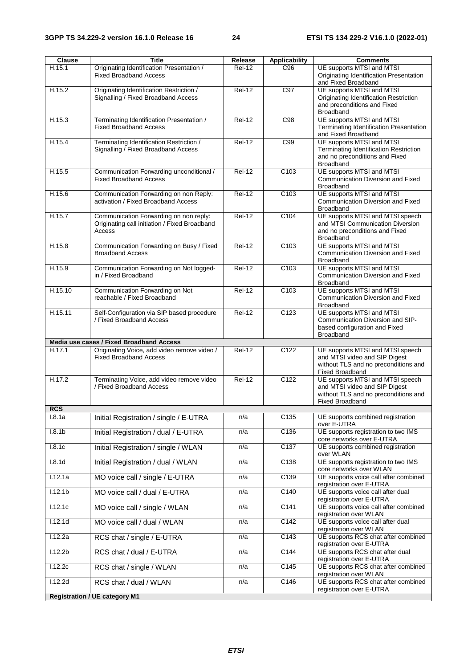| Clause               | <b>Title</b>                                                                                      | Release       | <b>Applicability</b> | <b>Comments</b>                                                                                                                     |
|----------------------|---------------------------------------------------------------------------------------------------|---------------|----------------------|-------------------------------------------------------------------------------------------------------------------------------------|
| H.15.1               | Originating Identification Presentation /<br><b>Fixed Broadband Access</b>                        | <b>Rel-12</b> | C96                  | UE supports MTSI and MTSI<br>Originating Identification Presentation<br>and Fixed Broadband                                         |
| H.15.2               | Originating Identification Restriction /<br>Signalling / Fixed Broadband Access                   | <b>Rel-12</b> | C97                  | UE supports MTSI and MTSI<br>Originating Identification Restriction<br>and preconditions and Fixed<br>Broadband                     |
| H.15.3               | Terminating Identification Presentation /<br><b>Fixed Broadband Access</b>                        | $ReI-12$      | C98                  | UE supports MTSI and MTSI<br>Terminating Identification Presentation<br>and Fixed Broadband                                         |
| H.15.4               | Terminating Identification Restriction /<br>Signalling / Fixed Broadband Access                   | $ReI-12$      | C99                  | UE supports MTSI and MTSI<br>Terminating Identification Restriction<br>and no preconditions and Fixed<br>Broadband                  |
| H.15.5               | Communication Forwarding unconditional /<br><b>Fixed Broadband Access</b>                         | <b>Rel-12</b> | C <sub>103</sub>     | UE supports MTSI and MTSI<br>Communication Diversion and Fixed<br>Broadband                                                         |
| H.15.6               | Communication Forwarding on non Reply:<br>activation / Fixed Broadband Access                     | <b>Rel-12</b> | C103                 | UE supports MTSI and MTSI<br>Communication Diversion and Fixed<br><b>Broadband</b>                                                  |
| H.15.7               | Communication Forwarding on non reply:<br>Originating call initiation / Fixed Broadband<br>Access | <b>Rel-12</b> | C <sub>104</sub>     | UE supports MTSI and MTSI speech<br>and MTSI Communication Diversion<br>and no preconditions and Fixed<br><b>Broadband</b>          |
| H.15.8               | Communication Forwarding on Busy / Fixed<br><b>Broadband Access</b>                               | $ReI-12$      | C103                 | UE supports MTSI and MTSI<br>Communication Diversion and Fixed<br><b>Broadband</b>                                                  |
| H.15.9               | Communication Forwarding on Not logged-<br>in / Fixed Broadband                                   | $ReI-12$      | C <sub>103</sub>     | UE supports MTSI and MTSI<br>Communication Diversion and Fixed<br><b>Broadband</b>                                                  |
| H.15.10              | Communication Forwarding on Not<br>reachable / Fixed Broadband                                    | $Rel-12$      | C103                 | UE supports MTSI and MTSI<br>Communication Diversion and Fixed<br><b>Broadband</b>                                                  |
| H.15.11              | Self-Configuration via SIP based procedure<br>/ Fixed Broadband Access                            | $ReI-12$      | C <sub>123</sub>     | UE supports MTSI and MTSI<br>Communication Diversion and SIP-<br>based configuration and Fixed<br><b>Broadband</b>                  |
|                      | Media use cases / Fixed Broadband Access                                                          |               |                      |                                                                                                                                     |
| H.17.1               | Originating Voice, add video remove video /<br><b>Fixed Broadband Access</b>                      | <b>Rel-12</b> | C122                 | UE supports MTSI and MTSI speech<br>and MTSI video and SIP Digest<br>without TLS and no preconditions and<br>Fixed Broadband        |
| H.17.2               | Terminating Voice, add video remove video<br>/ Fixed Broadband Access                             | $Rel-12$      | C <sub>122</sub>     | UE supports MTSI and MTSI speech<br>and MTSI video and SIP Digest<br>without TLS and no preconditions and<br><b>Fixed Broadband</b> |
| <b>RCS</b><br>1.8.1a |                                                                                                   |               | C135                 | UE supports combined registration                                                                                                   |
|                      | Initial Registration / single / E-UTRA                                                            | n/a           |                      | over E-UTRA                                                                                                                         |
| 1.8.1 <sub>b</sub>   | Initial Registration / dual / E-UTRA                                                              | n/a           | C136                 | UE supports registration to two IMS<br>core networks over E-UTRA                                                                    |
| 1.8.1c               | Initial Registration / single / WLAN                                                              | n/a           | C137                 | UE supports combined registration<br>over WLAN                                                                                      |
| 1.8.1d               | Initial Registration / dual / WLAN                                                                | n/a           | C138                 | UE supports registration to two IMS<br>core networks over WLAN                                                                      |
| 1.12.1a              | MO voice call / single / E-UTRA                                                                   | n/a           | C139                 | UE supports voice call after combined<br>registration over E-UTRA                                                                   |
| 1.12.1 <sub>b</sub>  | MO voice call / dual / E-UTRA                                                                     | n/a           | C <sub>140</sub>     | UE supports voice call after dual<br>registration over E-UTRA                                                                       |
| 1.12.1c              | MO voice call / single / WLAN                                                                     | n/a           | C <sub>141</sub>     | UE supports voice call after combined<br>registration over WLAN                                                                     |
| 1.12.1d              | MO voice call / dual / WLAN                                                                       | n/a           | C <sub>142</sub>     | UE supports voice call after dual<br>registration over WLAN                                                                         |
| 1.12.2a              | RCS chat / single / E-UTRA                                                                        | n/a           | C <sub>143</sub>     | UE supports RCS chat after combined<br>registration over E-UTRA                                                                     |
| 1.12.2 <sub>b</sub>  | RCS chat / dual / E-UTRA                                                                          | n/a           | C144                 | UE supports RCS chat after dual<br>registration over E-UTRA                                                                         |
| 1.12.2c              | RCS chat / single / WLAN                                                                          | n/a           | C <sub>145</sub>     | UE supports RCS chat after combined<br>registration over WLAN                                                                       |
| 1.12.2d              | RCS chat / dual / WLAN                                                                            | n/a           | C146                 | UE supports RCS chat after combined<br>registration over E-UTRA                                                                     |
|                      | <b>Registration / UE category M1</b>                                                              |               |                      |                                                                                                                                     |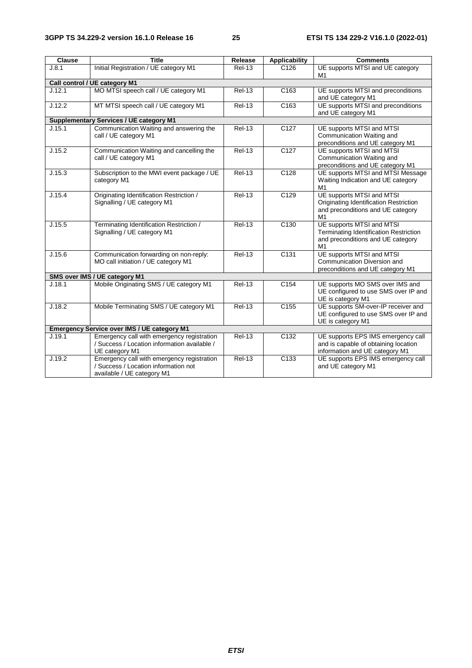| <b>Clause</b> | <b>Title</b>                                                                                                     | Release       | <b>Applicability</b> | <b>Comments</b>                                                                                                       |
|---------------|------------------------------------------------------------------------------------------------------------------|---------------|----------------------|-----------------------------------------------------------------------------------------------------------------------|
| J.8.1         | Initial Registration / UE category M1                                                                            | <b>Rel-13</b> | C <sub>126</sub>     | UE supports MTSI and UE category<br>M1                                                                                |
|               | Call control / UE category M1                                                                                    |               |                      |                                                                                                                       |
| J.12.1        | MO MTSI speech call / UE category M1                                                                             | <b>Rel-13</b> | C <sub>163</sub>     | UE supports MTSI and preconditions<br>and UE category M1                                                              |
| J.12.2        | MT MTSI speech call / UE category M1                                                                             | <b>Rel-13</b> | C <sub>163</sub>     | UE supports MTSI and preconditions<br>and UE category M1                                                              |
|               | <b>Supplementary Services / UE category M1</b>                                                                   |               |                      |                                                                                                                       |
| J.15.1        | Communication Waiting and answering the<br>call / UE category M1                                                 | <b>Rel-13</b> | C <sub>127</sub>     | UE supports MTSI and MTSI<br>Communication Waiting and<br>preconditions and UE category M1                            |
| J.15.2        | Communication Waiting and cancelling the<br>call / UE category M1                                                | $Rel-13$      | $\overline{C127}$    | UE supports MTSI and MTSI<br>Communication Waiting and<br>preconditions and UE category M1                            |
| J.15.3        | Subscription to the MWI event package / UE<br>category M1                                                        | $ReI-13$      | C128                 | UE supports MTSI and MTSI Message<br>Waiting Indication and UE category<br>M1                                         |
| J.15.4        | Originating Identification Restriction /<br>Signalling / UE category M1                                          | <b>Rel-13</b> | C129                 | UE supports MTSI and MTSI<br>Originating Identification Restriction<br>and preconditions and UE category<br>M1        |
| J.15.5        | Terminating Identification Restriction /<br>Signalling / UE category M1                                          | $ReI-13$      | C <sub>130</sub>     | UE supports MTSI and MTSI<br><b>Terminating Identification Restriction</b><br>and preconditions and UE category<br>M1 |
| J.15.6        | Communication forwarding on non-reply:<br>MO call initiation / UE category M1                                    | <b>Rel-13</b> | C <sub>131</sub>     | UE supports MTSI and MTSI<br>Communication Diversion and<br>preconditions and UE category M1                          |
|               | SMS over IMS / UE category M1                                                                                    |               |                      |                                                                                                                       |
| J.18.1        | Mobile Originating SMS / UE category M1                                                                          | <b>Rel-13</b> | C <sub>154</sub>     | UE supports MO SMS over IMS and<br>UE configured to use SMS over IP and<br>UE is category M1                          |
| J.18.2        | Mobile Terminating SMS / UE category M1                                                                          | <b>Rel-13</b> | C <sub>155</sub>     | UE supports SM-over-IP receiver and<br>UE configured to use SMS over IP and<br>UE is category M1                      |
|               | <b>Emergency Service over IMS / UE category M1</b>                                                               |               |                      |                                                                                                                       |
| J.19.1        | Emergency call with emergency registration<br>/ Success / Location information available /<br>UE category M1     | $ReI-13$      | $\overline{C132}$    | UE supports EPS IMS emergency call<br>and is capable of obtaining location<br>information and UE category M1          |
| J.19.2        | Emergency call with emergency registration<br>/ Success / Location information not<br>available / UE category M1 | $ReI-13$      | C <sub>133</sub>     | UE supports EPS IMS emergency call<br>and UE category M1                                                              |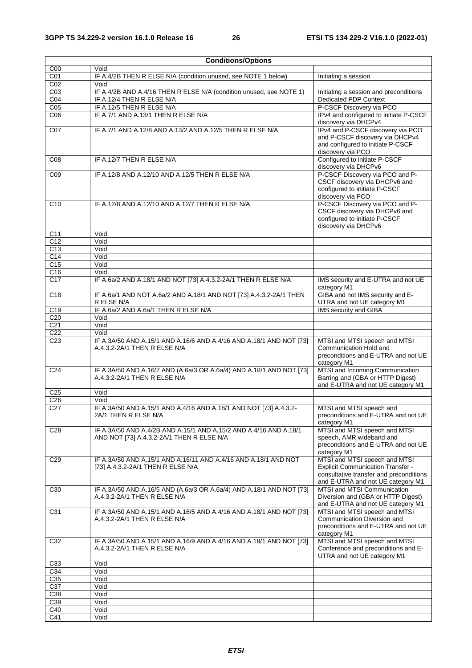| <b>Conditions/Options</b> |                                                                                                                |                                                                                                                                                           |  |  |
|---------------------------|----------------------------------------------------------------------------------------------------------------|-----------------------------------------------------------------------------------------------------------------------------------------------------------|--|--|
| C <sub>00</sub>           | Void                                                                                                           |                                                                                                                                                           |  |  |
| C <sub>01</sub>           | IF A.4/2B THEN R ELSE N/A (condition unused, see NOTE 1 below)                                                 | Initiating a session                                                                                                                                      |  |  |
| CO <sub>2</sub>           | Void                                                                                                           |                                                                                                                                                           |  |  |
| C <sub>03</sub>           | IF A.4/2B AND A.4/16 THEN R ELSE N/A (condition unused, see NOTE 1)                                            | Initiating a session and preconditions                                                                                                                    |  |  |
| CO <sub>4</sub>           | IF A.12/4 THEN R ELSE N/A                                                                                      | <b>Dedicated PDP Context</b>                                                                                                                              |  |  |
| C <sub>05</sub>           | IF A.12/5 THEN R ELSE N/A                                                                                      | P-CSCF Discovery via PCO                                                                                                                                  |  |  |
| C <sub>06</sub>           | IF A.7/1 AND A.13/1 THEN R ELSE N/A                                                                            | IPv4 and configured to initiate P-CSCF<br>discovery via DHCPv4                                                                                            |  |  |
| CO7                       | IF A.7/1 AND A.12/8 AND A.13/2 AND A.12/5 THEN R ELSE N/A                                                      | IPv4 and P-CSCF discovery via PCO<br>and P-CSCF discovery via DHCPv4<br>and configured to initiate P-CSCF<br>discovery via PCO                            |  |  |
| C <sub>08</sub>           | IF A.12/7 THEN R ELSE N/A                                                                                      | Configured to initiate P-CSCF<br>discovery via DHCPv6                                                                                                     |  |  |
| CO9                       | IF A.12/8 AND A.12/10 AND A.12/5 THEN R ELSE N/A                                                               | P-CSCF Discovery via PCO and P-<br>CSCF discovery via DHCPv6 and<br>configured to initiate P-CSCF<br>discovery via PCO                                    |  |  |
| C10                       | IF A.12/8 AND A.12/10 AND A.12/7 THEN R ELSE N/A                                                               | P-CSCF Discovery via PCO and P-<br>CSCF discovery via DHCPv6 and<br>configured to initiate P-CSCF<br>discovery via DHCPv6                                 |  |  |
| C <sub>11</sub>           | Void                                                                                                           |                                                                                                                                                           |  |  |
| C <sub>12</sub>           | Void                                                                                                           |                                                                                                                                                           |  |  |
| C13                       | Void                                                                                                           |                                                                                                                                                           |  |  |
| C <sub>14</sub>           | Void                                                                                                           |                                                                                                                                                           |  |  |
| $\overline{C15}$          | Void                                                                                                           |                                                                                                                                                           |  |  |
| C <sub>16</sub>           | Void                                                                                                           |                                                                                                                                                           |  |  |
| C <sub>17</sub>           | IF A.6a/2 AND A.18/1 AND NOT [73] A.4.3.2-2A/1 THEN R ELSE N/A                                                 | IMS security and E-UTRA and not UE<br>category M1                                                                                                         |  |  |
| C <sub>18</sub>           | IF A.6a/1 AND NOT A.6a/2 AND A.18/1 AND NOT [73] A.4.3.2-2A/1 THEN<br>R ELSE N/A                               | GIBA and not IMS security and E-<br>UTRA and not UE category M1                                                                                           |  |  |
| C <sub>19</sub>           | IF A.6a/2 AND A.6a/1 THEN R ELSE N/A                                                                           | IMS security and GIBA                                                                                                                                     |  |  |
| C <sub>20</sub>           | Void                                                                                                           |                                                                                                                                                           |  |  |
| C <sub>21</sub>           | Void                                                                                                           |                                                                                                                                                           |  |  |
| C <sub>22</sub>           | Void                                                                                                           |                                                                                                                                                           |  |  |
| C <sub>23</sub>           | IF A.3A/50 AND A.15/1 AND A.16/6 AND A.4/16 AND A.18/1 AND NOT [73]<br>A.4.3.2-2A/1 THEN R ELSE N/A            | MTSI and MTSI speech and MTSI<br>Communication Hold and<br>preconditions and E-UTRA and not UE<br>category M1                                             |  |  |
| C <sub>24</sub>           | IF A.3A/50 AND A.16/7 AND (A.6a/3 OR A.6a/4) AND A.18/1 AND NOT [73]<br>A.4.3.2-2A/1 THEN R ELSE N/A           | MTSI and Incoming Communication<br>Barring and (GBA or HTTP Digest)<br>and E-UTRA and not UE category M1                                                  |  |  |
| C <sub>25</sub>           | Void                                                                                                           |                                                                                                                                                           |  |  |
| C <sub>26</sub>           | Void                                                                                                           |                                                                                                                                                           |  |  |
| C <sub>27</sub>           | IF A.3A/50 AND A.15/1 AND A.4/16 AND A.18/1 AND NOT [73] A.4.3.2-<br>2A/1 THEN R ELSE N/A                      | MTSI and MTSI speech and<br>preconditions and E-UTRA and not UE<br>category M1                                                                            |  |  |
| C <sub>28</sub>           | IF A.3A/50 AND A.4/2B AND A.15/1 AND A.15/2 AND A.4/16 AND A.18/1<br>AND NOT [73] A.4.3.2-2A/1 THEN R ELSE N/A | MTSI and MTSI speech and MTSI<br>speech, AMR wideband and<br>preconditions and E-UTRA and not UE<br>category M1                                           |  |  |
| C <sub>29</sub>           | IF A.3A/50 AND A.15/1 AND A.16/11 AND A.4/16 AND A.18/1 AND NOT<br>[73] A.4.3.2-2A/1 THEN R ELSE N/A           | MTSI and MTSI speech and MTSI<br><b>Explicit Communication Transfer -</b><br>consultative transfer and preconditions<br>and E-UTRA and not UE category M1 |  |  |
| C <sub>30</sub>           | IF A.3A/50 AND A.16/5 AND (A.6a/3 OR A.6a/4) AND A.18/1 AND NOT [73]<br>A.4.3.2-2A/1 THEN R ELSE N/A           | MTSI and MTSI Communication<br>Diversion and (GBA or HTTP Digest)<br>and E-UTRA and not UE category M1                                                    |  |  |
| C31                       | IF A.3A/50 AND A.15/1 AND A.16/5 AND A.4/16 AND A.18/1 AND NOT [73]<br>A.4.3.2-2A/1 THEN R ELSE N/A            | MTSI and MTSI speech and MTSI<br>Communication Diversion and<br>preconditions and E-UTRA and not UE<br>category M1                                        |  |  |
| C32                       | IF A.3A/50 AND A.15/1 AND A.16/9 AND A.4/16 AND A.18/1 AND NOT [73]<br>A.4.3.2-2A/1 THEN R ELSE N/A            | MTSI and MTSI speech and MTSI<br>Conference and preconditions and E-<br>UTRA and not UE category M1                                                       |  |  |
| C33                       | Void                                                                                                           |                                                                                                                                                           |  |  |
| C34                       | Void                                                                                                           |                                                                                                                                                           |  |  |
| C <sub>35</sub>           | Void                                                                                                           |                                                                                                                                                           |  |  |
| C37                       | Void                                                                                                           |                                                                                                                                                           |  |  |
| C38                       | Void                                                                                                           |                                                                                                                                                           |  |  |
| C39                       | Void                                                                                                           |                                                                                                                                                           |  |  |
| C40                       | Void                                                                                                           |                                                                                                                                                           |  |  |
| C41                       | Void                                                                                                           |                                                                                                                                                           |  |  |
|                           |                                                                                                                |                                                                                                                                                           |  |  |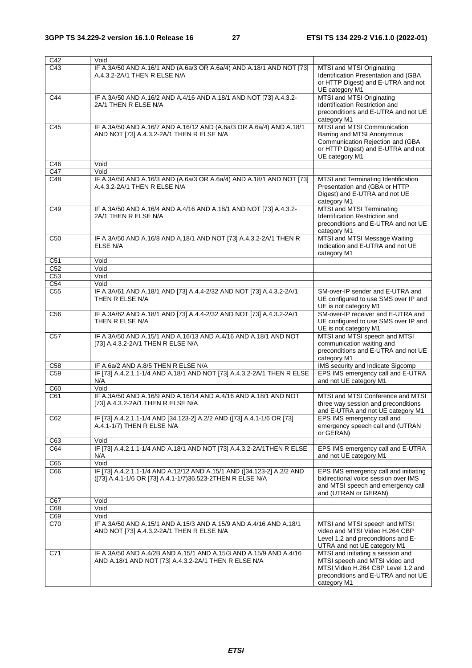| C42                                 | Void                                                                                                                                |                                                                                                                                                                 |
|-------------------------------------|-------------------------------------------------------------------------------------------------------------------------------------|-----------------------------------------------------------------------------------------------------------------------------------------------------------------|
| C43                                 | IF A.3A/50 AND A.16/1 AND (A.6a/3 OR A.6a/4) AND A.18/1 AND NOT [73]<br>A.4.3.2-2A/1 THEN R ELSE N/A                                | MTSI and MTSI Originating<br>Identification Presentation and (GBA<br>or HTTP Digest) and E-UTRA and not<br>UE category M1                                       |
| C44                                 | IF A.3A/50 AND A.16/2 AND A.4/16 AND A.18/1 AND NOT [73] A.4.3.2-<br>2A/1 THEN R ELSE N/A                                           | MTSI and MTSI Originating<br>Identification Restriction and<br>preconditions and E-UTRA and not UE<br>category M1                                               |
| C45                                 | IF A.3A/50 AND A.16/7 AND A.16/12 AND (A.6a/3 OR A.6a/4) AND A.18/1<br>AND NOT [73] A.4.3.2-2A/1 THEN R ELSE N/A                    | MTSI and MTSI Communication<br>Barring and MTSI Anonymous<br>Communication Rejection and (GBA<br>or HTTP Digest) and E-UTRA and not<br>UE category M1           |
| C46                                 | Void                                                                                                                                |                                                                                                                                                                 |
| C47                                 | Void                                                                                                                                |                                                                                                                                                                 |
| C48                                 | IF A.3A/50 AND A.16/3 AND (A.6a/3 OR A.6a/4) AND A.18/1 AND NOT [73]<br>A.4.3.2-2A/1 THEN R ELSE N/A                                | MTSI and Terminating Identification<br>Presentation and (GBA or HTTP<br>Digest) and E-UTRA and not UE<br>category M1                                            |
| C49                                 | IF A.3A/50 AND A.16/4 AND A.4/16 AND A.18/1 AND NOT [73] A.4.3.2-<br>2A/1 THEN R ELSE N/A                                           | MTSI and MTSI Terminating<br>Identification Restriction and<br>preconditions and E-UTRA and not UE<br>category M1                                               |
| C <sub>50</sub>                     | IF A.3A/50 AND A.16/8 AND A.18/1 AND NOT [73] A.4.3.2-2A/1 THEN R<br>ELSE N/A                                                       | MTSI and MTSI Message Waiting<br>Indication and E-UTRA and not UE<br>category M1                                                                                |
| C <sub>51</sub>                     | Void                                                                                                                                |                                                                                                                                                                 |
| C <sub>52</sub><br>$\overline{C53}$ | Void<br>Void                                                                                                                        |                                                                                                                                                                 |
| C <sub>54</sub>                     | Void                                                                                                                                |                                                                                                                                                                 |
| C <sub>55</sub>                     | IF A.3A/61 AND A.18/1 AND [73] A.4.4-2/32 AND NOT [73] A.4.3.2-2A/1<br>THEN R ELSE N/A                                              | SM-over-IP sender and E-UTRA and<br>UE configured to use SMS over IP and<br>UE is not category M1                                                               |
| C <sub>56</sub>                     | IF A.3A/62 AND A.18/1 AND [73] A.4.4-2/32 AND NOT [73] A.4.3.2-2A/1<br>THEN R ELSE N/A                                              | SM-over-IP receiver and E-UTRA and<br>UE configured to use SMS over IP and<br>UE is not category M1                                                             |
| C <sub>57</sub>                     | IF A.3A/50 AND A.15/1 AND A.16/13 AND A.4/16 AND A.18/1 AND NOT<br>[73] A.4.3.2-2A/1 THEN R ELSE N/A                                | MTSI and MTSI speech and MTSI<br>communication waiting and<br>preconditions and E-UTRA and not UE<br>category M1                                                |
| C58                                 | IF A.6a/2 AND A.8/5 THEN R ELSE N/A                                                                                                 | IMS security and Indicate Sigcomp                                                                                                                               |
| C <sub>59</sub>                     | IF [73] A.4.2.1.1-1/4 AND A.18/1 AND NOT [73] A.4.3.2-2A/1 THEN R ELSE<br>N/A                                                       | EPS IMS emergency call and E-UTRA<br>and not UE category M1                                                                                                     |
| C60                                 | Void                                                                                                                                |                                                                                                                                                                 |
| C61                                 | IF A.3A/50 AND A.16/9 AND A.16/14 AND A.4/16 AND A.18/1 AND NOT<br>[73] A.4.3.2-2A/1 THEN R ELSE N/A                                | MTSI and MTSI Conference and MTSI<br>three way session and preconditions<br>and E-UTRA and not UE category M1                                                   |
| C62                                 | IF [73] A.4.2.1.1-1/4 AND [34.123-2] A.2/2 AND ([73] A.4.1-1/6 OR [73]<br>A.4.1-1/7) THEN R ELSE N/A                                | EPS IMS emergency call and<br>emergency speech call and (UTRAN<br>or GERAN)                                                                                     |
| C63                                 | Void                                                                                                                                |                                                                                                                                                                 |
| C64                                 | IF [73] A.4.2.1.1-1/4 AND A.18/1 AND NOT [73] A.4.3.2-2A/1THEN R ELSE<br>N/A                                                        | EPS IMS emergency call and E-UTRA<br>and not UE category M1                                                                                                     |
| C65                                 | Void                                                                                                                                |                                                                                                                                                                 |
| C66                                 | IF [73] A.4.2.1.1-1/4 AND A.12/12 AND A.15/1 AND ([34.123-2] A.2/2 AND<br>([73] A.4.1-1/6 OR [73] A.4.1-1/7)36.523-2THEN R ELSE N/A | EPS IMS emergency call and initiating<br>bidirectional voice session over IMS<br>and MTSI speech and emergency call<br>and (UTRAN or GERAN)                     |
| C67                                 | Void                                                                                                                                |                                                                                                                                                                 |
| C68                                 | Void                                                                                                                                |                                                                                                                                                                 |
| C69                                 | Void                                                                                                                                |                                                                                                                                                                 |
| C70                                 | IF A.3A/50 AND A.15/1 AND A.15/3 AND A.15/9 AND A.4/16 AND A.18/1<br>AND NOT [73] A.4.3.2-2A/1 THEN R ELSE N/A                      | MTSI and MTSI speech and MTSI<br>video and MTSI Video H.264 CBP<br>Level 1.2 and preconditions and E-<br>UTRA and not UE category M1                            |
| C71                                 | IF A.3A/50 AND A.4/2B AND A.15/1 AND A.15/3 AND A.15/9 AND A.4/16<br>AND A.18/1 AND NOT [73] A.4.3.2-2A/1 THEN R ELSE N/A           | MTSI and initiating a session and<br>MTSI speech and MTSI video and<br>MTSI Video H.264 CBP Level 1.2 and<br>preconditions and E-UTRA and not UE<br>category M1 |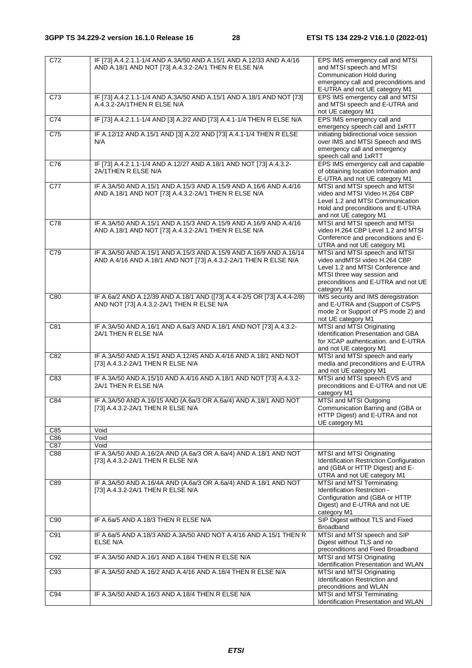| C72              | IF [73] A.4.2.1.1-1/4 AND A.3A/50 AND A.15/1 AND A.12/33 AND A.4/16<br>AND A.18/1 AND NOT [73] A.4.3.2-2A/1 THEN R ELSE N/A           | EPS IMS emergency call and MTSI<br>and MTSI speech and MTSI<br>Communication Hold during                                                                                                |
|------------------|---------------------------------------------------------------------------------------------------------------------------------------|-----------------------------------------------------------------------------------------------------------------------------------------------------------------------------------------|
|                  |                                                                                                                                       | emergency call and preconditions and<br>E-UTRA and not UE category M1                                                                                                                   |
| C73              | IF [73] A.4.2.1.1-1/4 AND A.3A/50 AND A.15/1 AND A.18/1 AND NOT [73]<br>A.4.3.2-2A/1THEN R ELSE N/A                                   | EPS IMS emergency call and MTSI<br>and MTSI speech and E-UTRA and<br>not UE category M1                                                                                                 |
| C74              | IF [73] A.4.2.1.1-1/4 AND [3] A.2/2 AND [73] A.4.1-1/4 THEN R ELSE N/A                                                                | EPS IMS emergency call and<br>emergency speech call and 1xRTT                                                                                                                           |
| $\overline{C75}$ | IF A.12/12 AND A.15/1 AND [3] A.2/2 AND [73] A.4.1-1/4 THEN R ELSE<br>N/A                                                             | initiating bidirectional voice session<br>over IMS and MTSI Speech and IMS<br>emergency call and emergency<br>speech call and 1xRTT                                                     |
| C76              | IF [73] A.4.2.1.1-1/4 AND A.12/27 AND A.18/1 AND NOT [73] A.4.3.2-<br>2A/1THEN R ELSE N/A                                             | EPS IMS emergency call and capable<br>of obtaining location Information and<br>E-UTRA and not UE category M1                                                                            |
| C77              | IF A.3A/50 AND A.15/1 AND A.15/3 AND A.15/9 AND A.16/6 AND A.4/16<br>AND A.18/1 AND NOT [73] A.4.3.2-2A/1 THEN R ELSE N/A             | MTSI and MTSI speech and MTSI<br>video and MTSI Video H.264 CBP<br>Level 1.2 and MTSI Communication<br>Hold and preconditions and E-UTRA<br>and not UE category M1                      |
| C78              | IF A.3A/50 AND A.15/1 AND A.15/3 AND A.15/9 AND A.16/9 AND A.4/16<br>AND A.18/1 AND NOT [73] A.4.3.2-2A/1 THEN R ELSE N/A             | MTSI and MTSI speech and MTSI<br>video H.264 CBP Level 1.2 and MTSI<br>Conference and preconditions and E-<br>UTRA and not UE category M1                                               |
| C79              | IF A.3A/50 AND A.15/1 AND A.15/3 AND A.15/9 AND A.16/9 AND A.16/14<br>AND A.4/16 AND A.18/1 AND NOT [73] A.4.3.2-2A/1 THEN R ELSE N/A | MTSI and MTSI speech and MTSI<br>video andMTSI video H.264 CBP<br>Level 1.2 and MTSI Conference and<br>MTSI three way session and<br>preconditions and E-UTRA and not UE<br>category M1 |
| C80              | IF A.6a/2 AND A.12/39 AND A.18/1 AND ([73] A.4.4-2/5 OR [73] A.4.4-2/8)<br>AND NOT [73] A.4.3.2-2A/1 THEN R ELSE N/A                  | IMS security and IMS deregistration<br>and E-UTRA and (Support of CS/PS<br>mode 2 or Support of PS mode 2) and<br>not UE category M1                                                    |
| C81              | IF A.3A/50 AND A.16/1 AND A.6a/3 AND A.18/1 AND NOT [73] A.4.3.2-<br>2A/1 THEN R ELSE N/A                                             | MTSI and MTSI Originating<br>Identification Presentation and GBA<br>for XCAP authentication. and E-UTRA<br>and not UE category M1                                                       |
| C82              | IF A.3A/50 AND A.15/1 AND A.12/45 AND A.4/16 AND A.18/1 AND NOT<br>[73] A.4.3.2-2A/1 THEN R ELSE N/A                                  | MTSI and MTSI speech and early<br>media and preconditions and E-UTRA<br>and not UE category M1                                                                                          |
| C83              | IF A.3A/50 AND A.15/10 AND A.4/16 AND A.18/1 AND NOT [73] A.4.3.2-<br>2A/1 THEN R ELSE N/A                                            | MTSI and MTSI speech EVS and<br>preconditions and E-UTRA and not UE<br>category M1                                                                                                      |
| C84              | IF A.3A/50 AND A.16/15 AND (A.6a/3 OR A.6a/4) AND A.18/1 AND NOT<br>[73] A.4.3.2-2A/1 THEN R ELSE N/A                                 | MTSI and MTSI Outgoing<br>Communication Barring and (GBA or<br>HTTP Digest) and E-UTRA and not<br>UE category M1                                                                        |
| C85<br>C86       | Void<br>Void                                                                                                                          |                                                                                                                                                                                         |
| C87              | Void                                                                                                                                  |                                                                                                                                                                                         |
| C88              | IF A.3A/50 AND A.16/2A AND (A.6a/3 OR A.6a/4) AND A.18/1 AND NOT<br>[73] A.4.3.2-2A/1 THEN R ELSE N/A                                 | MTSI and MTSI Originating<br>Identification Restriction Configuration<br>and (GBA or HTTP Digest) and E-<br>UTRA and not UE category M1                                                 |
| C89              | IF A.3A/50 AND A.16/4A AND (A.6a/3 OR A.6a/4) AND A.18/1 AND NOT<br>[73] A.4.3.2-2A/1 THEN R ELSE N/A                                 | MTSI and MTSI Terminating<br>Identification Restriction -<br>Configuration and (GBA or HTTP<br>Digest) and E-UTRA and not UE<br>category M1                                             |
| C90              | IF A.6a/5 AND A.18/3 THEN R ELSE N/A                                                                                                  | SIP Digest without TLS and Fixed<br>Broadband                                                                                                                                           |
| C91              | IF A.6a/5 AND A.18/3 AND A.3A/50 AND NOT A.4/16 AND A.15/1 THEN R<br>ELSE N/A                                                         | MTSI and MTSI speech and SIP<br>Digest without TLS and no<br>preconditions and Fixed Broadband                                                                                          |
| C <sub>92</sub>  | IF A.3A/50 AND A.16/1 AND A.18/4 THEN R ELSE N/A                                                                                      | MTSI and MTSI Originating<br>Identification Presentation and WLAN                                                                                                                       |
| C93              | IF A.3A/50 AND A.16/2 AND A.4/16 AND A.18/4 THEN R ELSE N/A                                                                           | MTSI and MTSI Originating<br>Identification Restriction and<br>preconditions and WLAN                                                                                                   |
| C94              | IF A.3A/50 AND A.16/3 AND A.18/4 THEN R ELSE N/A                                                                                      | MTSI and MTSI Terminating<br>Identification Presentation and WLAN                                                                                                                       |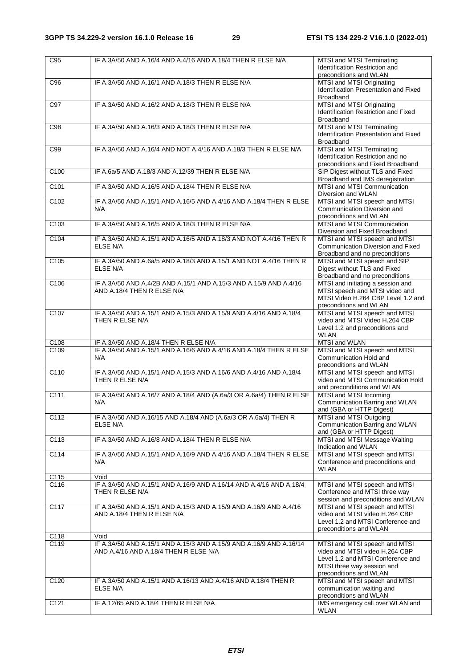| C <sub>95</sub>  | IF A.3A/50 AND A.16/4 AND A.4/16 AND A.18/4 THEN R ELSE N/A                                                 | MTSI and MTSI Terminating<br>Identification Restriction and<br>preconditions and WLAN                                                                        |
|------------------|-------------------------------------------------------------------------------------------------------------|--------------------------------------------------------------------------------------------------------------------------------------------------------------|
| C96              | IF A.3A/50 AND A.16/1 AND A.18/3 THEN R ELSE N/A                                                            | MTSI and MTSI Originating<br>Identification Presentation and Fixed<br><b>Broadband</b>                                                                       |
| C97              | IF A.3A/50 AND A.16/2 AND A.18/3 THEN R ELSE N/A                                                            | MTSI and MTSI Originating<br>Identification Restriction and Fixed<br>Broadband                                                                               |
| C98              | IF A.3A/50 AND A.16/3 AND A.18/3 THEN R ELSE N/A                                                            | MTSI and MTSI Terminating<br>Identification Presentation and Fixed<br><b>Broadband</b>                                                                       |
| C99              | IF A.3A/50 AND A.16/4 AND NOT A.4/16 AND A.18/3 THEN R ELSE N/A                                             | MTSI and MTSI Terminating<br>Identification Restriction and no<br>preconditions and Fixed Broadband                                                          |
| C <sub>100</sub> | IF A.6a/5 AND A.18/3 AND A.12/39 THEN R ELSE N/A                                                            | SIP Digest without TLS and Fixed<br>Broadband and IMS deregistration                                                                                         |
| C101             | IF A.3A/50 AND A.16/5 AND A.18/4 THEN R ELSE N/A                                                            | MTSI and MTSI Communication<br>Diversion and WLAN                                                                                                            |
| C102             | IF A.3A/50 AND A.15/1 AND A.16/5 AND A.4/16 AND A.18/4 THEN R ELSE<br>N/A                                   | MTSI and MTSI speech and MTSI<br>Communication Diversion and<br>preconditions and WLAN                                                                       |
| C <sub>103</sub> | IF A 3A/50 AND A 16/5 AND A 18/3 THEN R ELSE N/A                                                            | MTSI and MTSI Communication<br>Diversion and Fixed Broadband                                                                                                 |
| C104             | IF A.3A/50 AND A.15/1 AND A.16/5 AND A.18/3 AND NOT A.4/16 THEN R<br><b>ELSE N/A</b>                        | MTSI and MTSI speech and MTSI<br>Communication Diversion and Fixed<br>Broadband and no preconditions                                                         |
| C <sub>105</sub> | IF A.3A/50 AND A.6a/5 AND A.18/3 AND A.15/1 AND NOT A.4/16 THEN R<br>ELSE N/A                               | MTSI and MTSI speech and SIP<br>Digest without TLS and Fixed<br>Broadband and no preconditions                                                               |
| C <sub>106</sub> | IF A.3A/50 AND A.4/2B AND A.15/1 AND A.15/3 AND A.15/9 AND A.4/16<br>AND A.18/4 THEN R ELSE N/A             | MTSI and initiating a session and<br>MTSI speech and MTSI video and<br>MTSI Video H.264 CBP Level 1.2 and<br>preconditions and WLAN                          |
| C <sub>107</sub> | IF A.3A/50 AND A.15/1 AND A.15/3 AND A.15/9 AND A.4/16 AND A.18/4<br>THEN R ELSE N/A                        | MTSI and MTSI speech and MTSI<br>video and MTSI Video H.264 CBP<br>Level 1.2 and preconditions and<br><b>WLAN</b>                                            |
| C108             | IF A.3A/50 AND A.18/4 THEN R ELSE N/A                                                                       | MTSI and WLAN                                                                                                                                                |
| C <sub>109</sub> | IF A.3A/50 AND A.15/1 AND A.16/6 AND A.4/16 AND A.18/4 THEN R ELSE<br>N/A                                   | MTSI and MTSI speech and MTSI<br>Communication Hold and<br>preconditions and WLAN                                                                            |
| C <sub>110</sub> | IF A.3A/50 AND A.15/1 AND A.15/3 AND A.16/6 AND A.4/16 AND A.18/4<br>THEN R ELSE N/A                        | MTSI and MTSI speech and MTSI<br>video and MTSI Communication Hold<br>and preconditions and WLAN                                                             |
| C <sub>111</sub> | IF A.3A/50 AND A.16/7 AND A.18/4 AND (A.6a/3 OR A.6a/4) THEN R ELSE<br>N/A                                  | MTSI and MTSI Incoming<br>Communication Barring and WLAN<br>and (GBA or HTTP Digest)                                                                         |
| C112             | IF A.3A/50 AND A.16/15 AND A.18/4 AND (A.6a/3 OR A.6a/4) THEN R<br><b>ELSE N/A</b>                          | MTSI and MTSI Outgoing<br>Communication Barring and WLAN<br>and (GBA or HTTP Digest)                                                                         |
| C113             | IF A.3A/50 AND A.16/8 AND A.18/4 THEN R ELSE N/A                                                            | MTSI and MTSI Message Waiting<br>Indication and WLAN                                                                                                         |
| C114             | IF A.3A/50 AND A.15/1 AND A.16/9 AND A.4/16 AND A.18/4 THEN R ELSE<br>N/A                                   | MTSI and MTSI speech and MTSI<br>Conference and preconditions and<br><b>WLAN</b>                                                                             |
| C115             | Void                                                                                                        |                                                                                                                                                              |
| C <sub>116</sub> | IF A.3A/50 AND A.15/1 AND A.16/9 AND A.16/14 AND A.4/16 AND A.18/4<br>THEN R ELSE N/A                       | MTSI and MTSI speech and MTSI<br>Conference and MTSI three way<br>session and preconditions and WLAN                                                         |
| C117             | IF A.3A/50 AND A.15/1 AND A.15/3 AND A.15/9 AND A.16/9 AND A.4/16<br>AND A.18/4 THEN R ELSE N/A             | MTSI and MTSI speech and MTSI<br>video and MTSI video H.264 CBP<br>Level 1.2 and MTSI Conference and<br>preconditions and WLAN                               |
| C118             | Void                                                                                                        |                                                                                                                                                              |
| C119             | IF A.3A/50 AND A.15/1 AND A.15/3 AND A.15/9 AND A.16/9 AND A.16/14<br>AND A.4/16 AND A.18/4 THEN R ELSE N/A | MTSI and MTSI speech and MTSI<br>video and MTSI video H.264 CBP<br>Level 1.2 and MTSI Conference and<br>MTSI three way session and<br>preconditions and WLAN |
| C120             | IF A.3A/50 AND A.15/1 AND A.16/13 AND A.4/16 AND A.18/4 THEN R<br>ELSE N/A                                  | MTSI and MTSI speech and MTSI<br>communication waiting and<br>preconditions and WLAN                                                                         |
| C121             | IF A.12/65 AND A.18/4 THEN R ELSE N/A                                                                       | IMS emergency call over WLAN and<br><b>WLAN</b>                                                                                                              |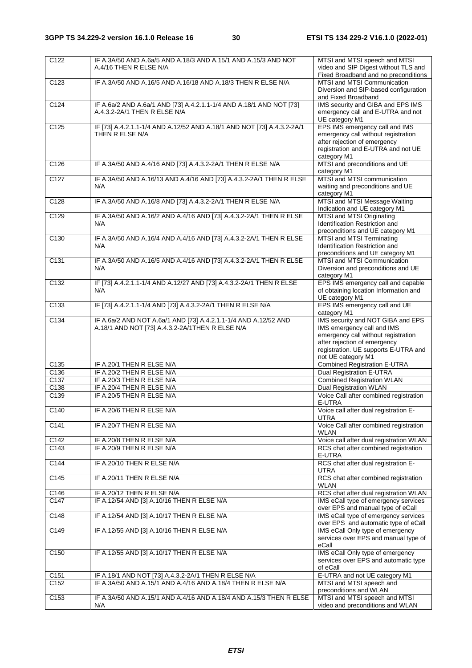| $\overline{C122}$ | IF A.3A/50 AND A.6a/5 AND A.18/3 AND A.15/1 AND A.15/3 AND NOT         | MTSI and MTSI speech and MTSI                                       |
|-------------------|------------------------------------------------------------------------|---------------------------------------------------------------------|
|                   | A.4/16 THEN R ELSE N/A                                                 | video and SIP Digest without TLS and                                |
|                   |                                                                        | Fixed Broadband and no preconditions                                |
| C <sub>123</sub>  | IF A.3A/50 AND A.16/5 AND A.16/18 AND A.18/3 THEN R ELSE N/A           | MTSI and MTSI Communication                                         |
|                   |                                                                        | Diversion and SIP-based configuration                               |
|                   |                                                                        | and Fixed Broadband                                                 |
| C <sub>124</sub>  | IF A.6a/2 AND A.6a/1 AND [73] A.4.2.1.1-1/4 AND A.18/1 AND NOT [73]    | IMS security and GIBA and EPS IMS                                   |
|                   | A.4.3.2-2A/1 THEN R ELSE N/A                                           | emergency call and E-UTRA and not                                   |
|                   |                                                                        | UE category M1                                                      |
| C <sub>125</sub>  | IF [73] A.4.2.1.1-1/4 AND A.12/52 AND A.18/1 AND NOT [73] A.4.3.2-2A/1 | EPS IMS emergency call and IMS                                      |
|                   | THEN R ELSE N/A                                                        | emergency call without registration                                 |
|                   |                                                                        | after rejection of emergency                                        |
|                   |                                                                        | registration and E-UTRA and not UE                                  |
|                   |                                                                        | category M1                                                         |
| C <sub>126</sub>  | IF A.3A/50 AND A.4/16 AND [73] A.4.3.2-2A/1 THEN R ELSE N/A            | MTSI and preconditions and UE                                       |
|                   |                                                                        | category M1                                                         |
| C <sub>127</sub>  | IF A.3A/50 AND A.16/13 AND A.4/16 AND [73] A.4.3.2-2A/1 THEN R ELSE    | MTSI and MTSI communication                                         |
|                   | N/A                                                                    | waiting and preconditions and UE                                    |
|                   |                                                                        | category M1                                                         |
| C128              | IF A.3A/50 AND A.16/8 AND [73] A.4.3.2-2A/1 THEN R ELSE N/A            | MTSI and MTSI Message Waiting                                       |
|                   |                                                                        | Indication and UE category M1                                       |
| C <sub>129</sub>  | IF A.3A/50 AND A.16/2 AND A.4/16 AND [73] A.4.3.2-2A/1 THEN R ELSE     | MTSI and MTSI Originating                                           |
|                   | N/A                                                                    | Identification Restriction and                                      |
|                   |                                                                        | preconditions and UE category M1                                    |
| C <sub>130</sub>  | IF A.3A/50 AND A.16/4 AND A.4/16 AND [73] A.4.3.2-2A/1 THEN R ELSE     | MTSI and MTSI Terminating                                           |
|                   | N/A                                                                    | Identification Restriction and                                      |
|                   |                                                                        | preconditions and UE category M1                                    |
| C131              | IF A.3A/50 AND A.16/5 AND A.4/16 AND [73] A.4.3.2-2A/1 THEN R ELSE     | MTSI and MTSI Communication                                         |
|                   | N/A                                                                    | Diversion and preconditions and UE                                  |
|                   |                                                                        | category M1                                                         |
| C132              | IF [73] A.4.2.1.1-1/4 AND A.12/27 AND [73] A.4.3.2-2A/1 THEN R ELSE    | EPS IMS emergency call and capable                                  |
|                   | N/A                                                                    | of obtaining location Information and                               |
|                   |                                                                        | UE category M1                                                      |
| C <sub>133</sub>  | IF [73] A.4.2.1.1-1/4 AND [73] A.4.3.2-2A/1 THEN R ELSE N/A            | EPS IMS emergency call and UE                                       |
|                   |                                                                        | category M1                                                         |
| C <sub>134</sub>  | IF A.6a/2 AND NOT A.6a/1 AND [73] A.4.2.1.1-1/4 AND A.12/52 AND        | IMS security and NOT GIBA and EPS                                   |
|                   | A.18/1 AND NOT [73] A.4.3.2-2A/1THEN R ELSE N/A                        | IMS emergency call and IMS                                          |
|                   |                                                                        | emergency call without registration<br>after rejection of emergency |
|                   |                                                                        | registration. UE supports E-UTRA and                                |
|                   |                                                                        | not UE category M1                                                  |
| C135              | IF A.20/1 THEN R ELSE N/A                                              | <b>Combined Registration E-UTRA</b>                                 |
| C136              | IF A.20/2 THEN R ELSE N/A                                              | <b>Dual Registration E-UTRA</b>                                     |
| $\overline{C137}$ | IF A.20/3 THEN R ELSE N/A                                              | <b>Combined Registration WLAN</b>                                   |
| C138              | IF A.20/4 THEN R ELSE N/A                                              | <b>Dual Registration WLAN</b>                                       |
| C139              | IF A.20/5 THEN R ELSE N/A                                              | Voice Call after combined registration                              |
|                   |                                                                        | E-UTRA                                                              |
| C140              | IF A.20/6 THEN R ELSE N/A                                              | Voice call after dual registration E-                               |
|                   |                                                                        | <b>UTRA</b>                                                         |
| C <sub>141</sub>  | IF A.20/7 THEN R ELSE N/A                                              | Voice Call after combined registration                              |
|                   |                                                                        | WLAN                                                                |
| C142              | IF A.20/8 THEN R ELSE N/A                                              | Voice call after dual registration WLAN                             |
| C <sub>143</sub>  | IF A.20/9 THEN R ELSE N/A                                              | RCS chat after combined registration                                |
|                   |                                                                        | E-UTRA                                                              |
| C144              | IF A.20/10 THEN R ELSE N/A                                             | RCS chat after dual registration E-                                 |
|                   |                                                                        | <b>UTRA</b>                                                         |
| C145              | IF A.20/11 THEN R ELSE N/A                                             | RCS chat after combined registration                                |
|                   |                                                                        | <b>WLAN</b>                                                         |
| C146              | IF A.20/12 THEN R ELSE N/A                                             | RCS chat after dual registration WLAN                               |
| C147              | IF A.12/54 AND [3] A.10/16 THEN R ELSE N/A                             | IMS eCall type of emergency services                                |
|                   |                                                                        | over EPS and manual type of eCall                                   |
| C148              | IF A.12/54 AND [3] A.10/17 THEN R ELSE N/A                             | IMS eCall type of emergency services                                |
|                   |                                                                        | over EPS and automatic type of eCall                                |
| C149              | IF A.12/55 AND [3] A.10/16 THEN R ELSE N/A                             | IMS eCall Only type of emergency                                    |
|                   |                                                                        | services over EPS and manual type of                                |
|                   |                                                                        | eCall                                                               |
| C <sub>150</sub>  | IF A.12/55 AND [3] A.10/17 THEN R ELSE N/A                             | IMS eCall Only type of emergency                                    |
|                   |                                                                        | services over EPS and automatic type                                |
|                   |                                                                        | of eCall                                                            |
| C151              | IF A.18/1 AND NOT [73] A.4.3.2-2A/1 THEN R ELSE N/A                    | E-UTRA and not UE category M1                                       |
| C152              | IF A.3A/50 AND A.15/1 AND A.4/16 AND A.18/4 THEN R ELSE N/A            | MTSI and MTSI speech and                                            |
|                   |                                                                        | preconditions and WLAN                                              |
| C <sub>153</sub>  | IF A.3A/50 AND A.15/1 AND A.4/16 AND A.18/4 AND A.15/3 THEN R ELSE     | MTSI and MTSI speech and MTSI                                       |
|                   | N/A                                                                    | video and preconditions and WLAN                                    |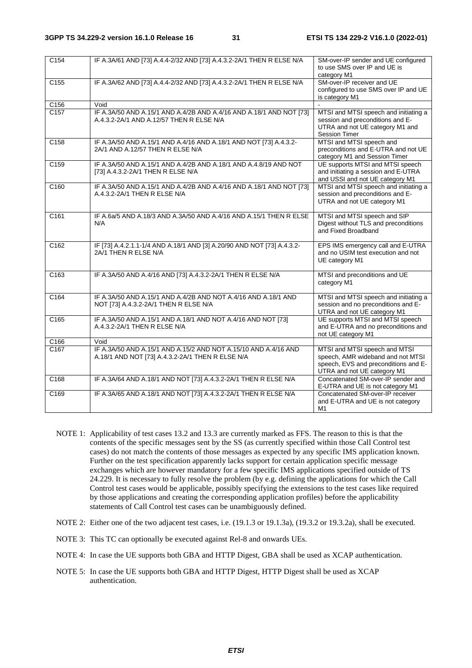| C <sub>154</sub>  | IF A.3A/61 AND [73] A.4.4-2/32 AND [73] A.4.3.2-2A/1 THEN R ELSE N/A                                                | SM-over-IP sender and UE configured<br>to use SMS over IP and UE is<br>category M1                                                        |
|-------------------|---------------------------------------------------------------------------------------------------------------------|-------------------------------------------------------------------------------------------------------------------------------------------|
| C <sub>155</sub>  | IF A.3A/62 AND [73] A.4.4-2/32 AND [73] A.4.3.2-2A/1 THEN R ELSE N/A                                                | SM-over-IP receiver and UE<br>configured to use SMS over IP and UE<br>is category M1                                                      |
| C156              | Void                                                                                                                |                                                                                                                                           |
| C <sub>157</sub>  | IF A.3A/50 AND A.15/1 AND A.4/2B AND A.4/16 AND A.18/1 AND NOT [73]<br>A.4.3.2-2A/1 AND A.12/57 THEN R ELSE N/A     | MTSI and MTSI speech and initiating a<br>session and preconditions and E-<br>UTRA and not UE category M1 and<br><b>Session Timer</b>      |
| C <sub>158</sub>  | IF A.3A/50 AND A.15/1 AND A.4/16 AND A.18/1 AND NOT [73] A.4.3.2-<br>2A/1 AND A.12/57 THEN R ELSE N/A               | MTSI and MTSI speech and<br>preconditions and E-UTRA and not UE<br>category M1 and Session Timer                                          |
| C159              | IF A.3A/50 AND A.15/1 AND A.4/2B AND A.18/1 AND A.4.8/19 AND NOT<br>[73] A.4.3.2-2A/1 THEN R ELSE N/A               | UE supports MTSI and MTSI speech<br>and initiating a session and E-UTRA<br>and USSI and not UE category M1                                |
| C160              | IF A.3A/50 AND A.15/1 AND A.4/2B AND A.4/16 AND A.18/1 AND NOT [73]<br>A.4.3.2-2A/1 THEN R ELSE N/A                 | MTSI and MTSI speech and initiating a<br>session and preconditions and E-<br>UTRA and not UE category M1                                  |
| $\overline{C161}$ | IF A.6a/5 AND A.18/3 AND A.3A/50 AND A.4/16 AND A.15/1 THEN R ELSE<br>N/A                                           | MTSI and MTSI speech and SIP<br>Digest without TLS and preconditions<br>and Fixed Broadband                                               |
| C <sub>162</sub>  | IF [73] A.4.2.1.1-1/4 AND A.18/1 AND [3] A.20/90 AND NOT [73] A.4.3.2-<br>2A/1 THEN R ELSE N/A                      | EPS IMS emergency call and E-UTRA<br>and no USIM test execution and not<br>UE category M1                                                 |
| C163              | IF A.3A/50 AND A.4/16 AND [73] A.4.3.2-2A/1 THEN R ELSE N/A                                                         | MTSI and preconditions and UE<br>category M1                                                                                              |
| $\overline{C164}$ | IF A.3A/50 AND A.15/1 AND A.4/2B AND NOT A.4/16 AND A.18/1 AND<br>NOT [73] A.4.3.2-2A/1 THEN R ELSE N/A             | MTSI and MTSI speech and initiating a<br>session and no preconditions and E-<br>UTRA and not UE category M1                               |
| C <sub>165</sub>  | IF A.3A/50 AND A.15/1 AND A.18/1 AND NOT A.4/16 AND NOT [73]<br>A.4.3.2-2A/1 THEN R ELSE N/A                        | UE supports MTSI and MTSI speech<br>and E-UTRA and no preconditions and<br>not UE category M1                                             |
| C166              | Void                                                                                                                |                                                                                                                                           |
| C <sub>167</sub>  | IF A.3A/50 AND A.15/1 AND A.15/2 AND NOT A.15/10 AND A.4/16 AND<br>A.18/1 AND NOT [73] A.4.3.2-2A/1 THEN R ELSE N/A | MTSI and MTSI speech and MTSI<br>speech, AMR wideband and not MTSI<br>speech, EVS and preconditions and E-<br>UTRA and not UE category M1 |
| C168              | IF A.3A/64 AND A.18/1 AND NOT [73] A.4.3.2-2A/1 THEN R ELSE N/A                                                     | Concatenated SM-over-IP sender and<br>E-UTRA and UE is not category M1                                                                    |
| C <sub>169</sub>  | IF A.3A/65 AND A.18/1 AND NOT [73] A.4.3.2-2A/1 THEN R ELSE N/A                                                     | Concatenated SM-over-IP receiver<br>and E-UTRA and UE is not category<br>M1                                                               |

- NOTE 1: Applicability of test cases 13.2 and 13.3 are currently marked as FFS. The reason to this is that the contents of the specific messages sent by the SS (as currently specified within those Call Control test cases) do not match the contents of those messages as expected by any specific IMS application known. Further on the test specification apparently lacks support for certain application specific message exchanges which are however mandatory for a few specific IMS applications specified outside of TS 24.229. It is necessary to fully resolve the problem (by e.g. defining the applications for which the Call Control test cases would be applicable, possibly specifying the extensions to the test cases like required by those applications and creating the corresponding application profiles) before the applicability statements of Call Control test cases can be unambiguously defined.
- NOTE 2: Either one of the two adjacent test cases, i.e. (19.1.3 or 19.1.3a), (19.3.2 or 19.3.2a), shall be executed.
- NOTE 3: This TC can optionally be executed against Rel-8 and onwards UEs.
- NOTE 4: In case the UE supports both GBA and HTTP Digest, GBA shall be used as XCAP authentication.
- NOTE 5: In case the UE supports both GBA and HTTP Digest, HTTP Digest shall be used as XCAP authentication.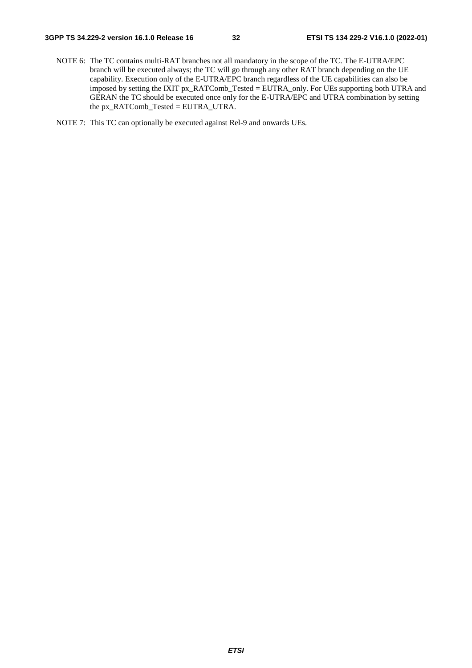- NOTE 6: The TC contains multi-RAT branches not all mandatory in the scope of the TC. The E-UTRA/EPC branch will be executed always; the TC will go through any other RAT branch depending on the UE capability. Execution only of the E-UTRA/EPC branch regardless of the UE capabilities can also be imposed by setting the IXIT px\_RATComb\_Tested = EUTRA\_only. For UEs supporting both UTRA and GERAN the TC should be executed once only for the E-UTRA/EPC and UTRA combination by setting the px\_RATComb\_Tested = EUTRA\_UTRA.
- NOTE 7: This TC can optionally be executed against Rel-9 and onwards UEs.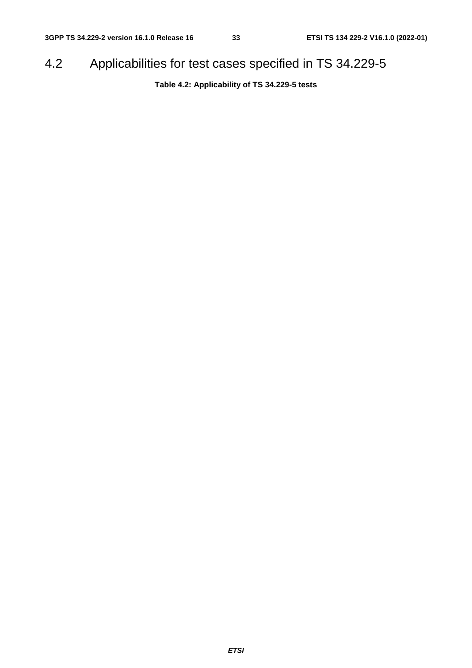# 4.2 Applicabilities for test cases specified in TS 34.229-5

**Table 4.2: Applicability of TS 34.229-5 tests**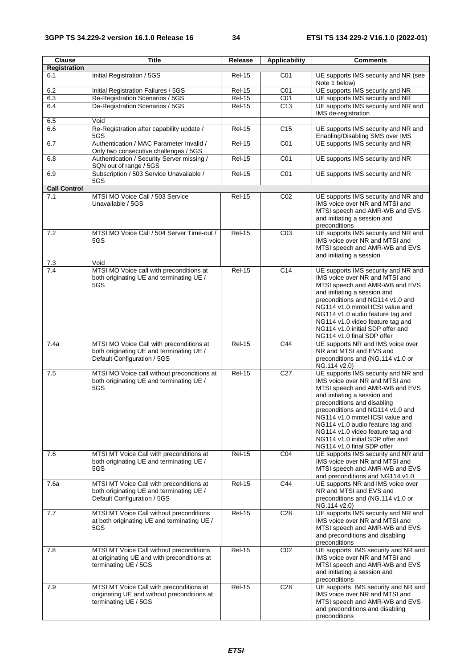| Clause              | <b>Title</b>                                                                                                        | Release       | <b>Applicability</b> | <b>Comments</b>                                                                                                                                                                                                                                                                                                                                                                         |
|---------------------|---------------------------------------------------------------------------------------------------------------------|---------------|----------------------|-----------------------------------------------------------------------------------------------------------------------------------------------------------------------------------------------------------------------------------------------------------------------------------------------------------------------------------------------------------------------------------------|
| <b>Registration</b> |                                                                                                                     |               |                      |                                                                                                                                                                                                                                                                                                                                                                                         |
| 6.1                 | Initial Registration / 5GS                                                                                          | <b>Rel-15</b> | CO <sub>1</sub>      | UE supports IMS security and NR (see<br>Note 1 below)                                                                                                                                                                                                                                                                                                                                   |
| 6.2                 | Initial Registration Failures / 5GS                                                                                 | <b>Rel-15</b> | CO <sub>1</sub>      | UE supports IMS security and NR                                                                                                                                                                                                                                                                                                                                                         |
| 6.3                 | Re-Registration Scenarios / 5GS                                                                                     | $Rel-15$      | CO <sub>1</sub>      | UE supports IMS security and NR                                                                                                                                                                                                                                                                                                                                                         |
| 6.4                 | De-Registration Scenarios / 5GS                                                                                     | <b>Rel-15</b> | C <sub>13</sub>      | UE supports IMS security and NR and<br>IMS de-registration                                                                                                                                                                                                                                                                                                                              |
| 6.5                 | Void                                                                                                                |               |                      |                                                                                                                                                                                                                                                                                                                                                                                         |
| 6.6                 | Re-Registration after capability update /<br>5GS                                                                    | <b>Rel-15</b> | C <sub>15</sub>      | UE supports IMS security and NR and<br>Enabling/Disabling SMS over IMS                                                                                                                                                                                                                                                                                                                  |
| 6.7                 | Authentication / MAC Parameter Invalid /<br>Only two consecutive challenges / 5GS                                   | <b>Rel-15</b> | CO <sub>1</sub>      | UE supports IMS security and NR                                                                                                                                                                                                                                                                                                                                                         |
| 6.8                 | Authentication / Security Server missing /<br>SQN out of range / 5GS                                                | $Rel-15$      | C01                  | UE supports IMS security and NR                                                                                                                                                                                                                                                                                                                                                         |
| 6.9                 | Subscription / 503 Service Unavailable /<br>5GS                                                                     | $ReI-15$      | CO <sub>1</sub>      | UE supports IMS security and NR                                                                                                                                                                                                                                                                                                                                                         |
| <b>Call Control</b> |                                                                                                                     |               |                      |                                                                                                                                                                                                                                                                                                                                                                                         |
| 7.1                 | MTSI MO Voice Call / 503 Service<br>Unavailable / 5GS                                                               | <b>Rel-15</b> | CO <sub>2</sub>      | UE supports IMS security and NR and<br>IMS voice over NR and MTSI and<br>MTSI speech and AMR-WB and EVS<br>and initiating a session and<br>preconditions                                                                                                                                                                                                                                |
| 7.2                 | MTSI MO Voice Call / 504 Server Time-out /<br>5GS                                                                   | <b>Rel-15</b> | CO <sub>3</sub>      | UE supports IMS security and NR and<br>IMS voice over NR and MTSI and<br>MTSI speech and AMR-WB and EVS<br>and initiating a session                                                                                                                                                                                                                                                     |
| 7.3                 | Void                                                                                                                |               |                      |                                                                                                                                                                                                                                                                                                                                                                                         |
| 7.4                 | MTSI MO Voice call with preconditions at<br>both originating UE and terminating UE /<br>5GS                         | <b>Rel-15</b> | C14                  | UE supports IMS security and NR and<br>IMS voice over NR and MTSI and<br>MTSI speech and AMR-WB and EVS<br>and initiating a session and<br>preconditions and NG114 v1.0 and<br>NG114 v1.0 mmtel ICSI value and<br>NG114 v1.0 audio feature tag and<br>NG114 v1.0 video feature tag and<br>NG114 v1.0 initial SDP offer and<br>NG114 v1.0 final SDP offer                                |
| 7.4a                | MTSI MO Voice Call with preconditions at                                                                            | Rel-15        | C44                  | UE supports NR and IMS voice over                                                                                                                                                                                                                                                                                                                                                       |
|                     | both originating UE and terminating UE /<br>Default Configuration / 5GS                                             |               |                      | NR and MTSI and EVS and<br>preconditions and (NG.114 v1.0 or<br>NG.114 v2.0)                                                                                                                                                                                                                                                                                                            |
| 7.5                 | MTSI MO Voice call without preconditions at<br>both originating UE and terminating UE /<br>5GS                      | $Rel-15$      | C <sub>27</sub>      | UE supports IMS security and NR and<br>IMS voice over NR and MTSI and<br>MTSI speech and AMR-WB and EVS<br>and initiating a session and<br>preconditions and disabling<br>preconditions and NG114 v1.0 and<br>NG114 v1.0 mmtel ICSI value and<br>NG114 v1.0 audio feature tag and<br>NG114 v1.0 video feature tag and<br>NG114 v1.0 initial SDP offer and<br>NG114 v1.0 final SDP offer |
| 7.6                 | MTSI MT Voice Call with preconditions at<br>both originating UE and terminating UE /<br>5GS                         | <b>Rel-15</b> | CO <sub>4</sub>      | UE supports IMS security and NR and<br>IMS voice over NR and MTSI and<br>MTSI speech and AMR-WB and EVS<br>and preconditions and NG114 v1.0                                                                                                                                                                                                                                             |
| 7.6a                | MTSI MT Voice Call with preconditions at<br>both originating UE and terminating UE /<br>Default Configuration / 5GS | <b>Rel-15</b> | C44                  | UE supports NR and IMS voice over<br>NR and MTSI and EVS and<br>preconditions and (NG.114 v1.0 or<br>NG.114 v2.0)                                                                                                                                                                                                                                                                       |
| 7.7                 | MTSI MT Voice Call without preconditions<br>at both originating UE and terminating UE /<br>5GS                      | <b>Rel-15</b> | C <sub>28</sub>      | UE supports IMS security and NR and<br>IMS voice over NR and MTSI and<br>MTSI speech and AMR-WB and EVS<br>and preconditions and disabling<br>preconditions                                                                                                                                                                                                                             |
| 7.8                 | MTSI MT Voice Call without preconditions<br>at originating UE and with preconditions at<br>terminating UE / 5GS     | <b>Rel-15</b> | CO <sub>2</sub>      | UE supports IMS security and NR and<br>IMS voice over NR and MTSI and<br>MTSI speech and AMR-WB and EVS<br>and initiating a session and<br>preconditions                                                                                                                                                                                                                                |
| 7.9                 | MTSI MT Voice Call with preconditions at<br>originating UE and without preconditions at<br>terminating UE / 5GS     | <b>Rel-15</b> | C <sub>28</sub>      | UE supports IMS security and NR and<br>IMS voice over NR and MTSI and<br>MTSI speech and AMR-WB and EVS<br>and preconditions and disabling<br>preconditions                                                                                                                                                                                                                             |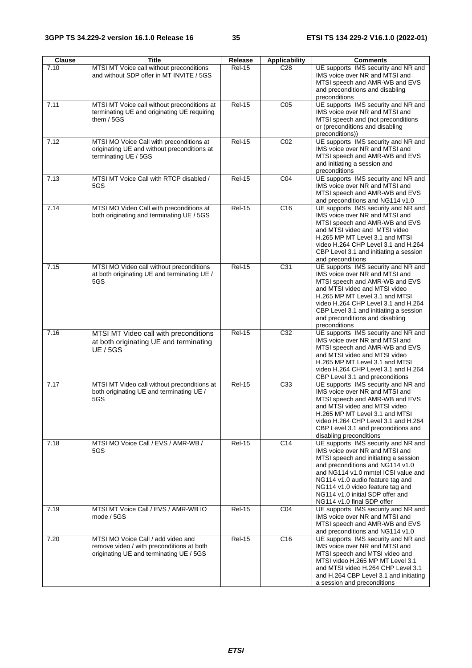| Clause | <b>Title</b>                                                                                                               | Release       | <b>Applicability</b> | <b>Comments</b>                                                                                                                                                                                                                                                                                                                    |
|--------|----------------------------------------------------------------------------------------------------------------------------|---------------|----------------------|------------------------------------------------------------------------------------------------------------------------------------------------------------------------------------------------------------------------------------------------------------------------------------------------------------------------------------|
| 7.10   | MTSI MT Voice call without preconditions<br>and without SDP offer in MT INVITE / 5GS                                       | <b>Rel-15</b> | C <sub>28</sub>      | UE supports IMS security and NR and<br>IMS voice over NR and MTSI and<br>MTSI speech and AMR-WB and EVS<br>and preconditions and disabling<br>preconditions                                                                                                                                                                        |
| 7.11   | MTSI MT Voice call without preconditions at<br>terminating UE and originating UE requiring<br>them $/$ 5GS                 | $Rel-15$      | CO <sub>5</sub>      | UE supports IMS security and NR and<br>IMS voice over NR and MTSI and<br>MTSI speech and (not preconditions<br>or (preconditions and disabling<br>preconditions))                                                                                                                                                                  |
| 7.12   | MTSI MO Voice Call with preconditions at<br>originating UE and without preconditions at<br>terminating UE / 5GS            | $Rel-15$      | CO <sub>2</sub>      | UE supports IMS security and NR and<br>IMS voice over NR and MTSI and<br>MTSI speech and AMR-WB and EVS<br>and initiating a session and<br>preconditions                                                                                                                                                                           |
| 7.13   | MTSI MT Voice Call with RTCP disabled /<br>5GS                                                                             | <b>Rel-15</b> | C <sub>04</sub>      | UE supports IMS security and NR and<br>IMS voice over NR and MTSI and<br>MTSI speech and AMR-WB and EVS<br>and preconditions and NG114 v1.0                                                                                                                                                                                        |
| 7.14   | MTSI MO Video Call with preconditions at<br>both originating and terminating UE / 5GS                                      | <b>Rel-15</b> | C <sub>16</sub>      | UE supports IMS security and NR and<br>IMS voice over NR and MTSI and<br>MTSI speech and AMR-WB and EVS<br>and MTSI video and MTSI video<br>H.265 MP MT Level 3.1 and MTSI<br>video H.264 CHP Level 3.1 and H.264<br>CBP Level 3.1 and initiating a session<br>and preconditions                                                   |
| 7.15   | MTSI MO Video call without preconditions<br>at both originating UE and terminating UE /<br>5GS                             | $Rel-15$      | C <sub>31</sub>      | UE supports IMS security and NR and<br>IMS voice over NR and MTSI and<br>MTSI speech and AMR-WB and EVS<br>and MTSI video and MTSI video<br>H.265 MP MT Level 3.1 and MTSI<br>video H.264 CHP Level 3.1 and H.264<br>CBP Level 3.1 and initiating a session<br>and preconditions and disabling<br>preconditions                    |
| 7.16   | MTSI MT Video call with preconditions<br>at both originating UE and terminating<br><b>UE / 5GS</b>                         | $Rel-15$      | C <sub>32</sub>      | UE supports IMS security and NR and<br>IMS voice over NR and MTSI and<br>MTSI speech and AMR-WB and EVS<br>and MTSI video and MTSI video<br>H.265 MP MT Level 3.1 and MTSI<br>video H.264 CHP Level 3.1 and H.264<br>CBP Level 3.1 and preconditions                                                                               |
| 7.17   | MTSI MT Video call without preconditions at<br>both originating UE and terminating UE /<br>5GS                             | <b>Rel-15</b> | C33                  | UE supports IMS security and NR and<br>IMS voice over NR and MTSI and<br>MTSI speech and AMR-WB and EVS<br>and MTSI video and MTSI video<br>H.265 MP MT Level 3.1 and MTSI<br>video H.264 CHP Level 3.1 and H.264<br>CBP Level 3.1 and preconditions and<br>disabling preconditions                                                |
| 7.18   | MTSI MO Voice Call / EVS / AMR-WB /<br>5GS                                                                                 | <b>Rel-15</b> | $\overline{C14}$     | UE supports IMS security and NR and<br>IMS voice over NR and MTSI and<br>MTSI speech and initiating a session<br>and preconditions and NG114 v1.0<br>and NG114 v1.0 mmtel ICSI value and<br>NG114 v1.0 audio feature tag and<br>NG114 v1.0 video feature tag and<br>NG114 v1.0 initial SDP offer and<br>NG114 v1.0 final SDP offer |
| 7.19   | MTSI MT Voice Call / EVS / AMR-WB IO<br>mode / 5GS                                                                         | <b>Rel-15</b> | CO <sub>4</sub>      | UE supports IMS security and NR and<br>IMS voice over NR and MTSI and<br>MTSI speech and AMR-WB and EVS<br>and preconditions and NG114 v1.0                                                                                                                                                                                        |
| 7.20   | MTSI MO Voice Call / add video and<br>remove video / with preconditions at both<br>originating UE and terminating UE / 5GS | <b>Rel-15</b> | C <sub>16</sub>      | UE supports IMS security and NR and<br>IMS voice over NR and MTSI and<br>MTSI speech and MTSI video and<br>MTSI video H.265 MP MT Level 3.1<br>and MTSI video H.264 CHP Level 3.1<br>and H.264 CBP Level 3.1 and initiating<br>a session and preconditions                                                                         |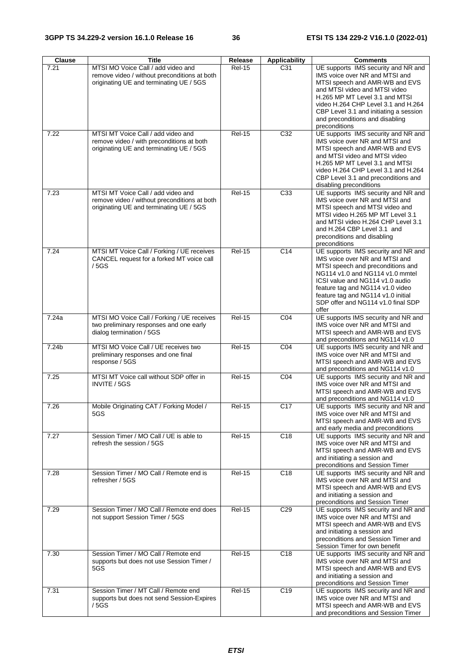| Clause | <b>Title</b>                                                                                                                  | Release       | <b>Applicability</b> | <b>Comments</b>                                                                                                                                                                                                                                                                                                 |
|--------|-------------------------------------------------------------------------------------------------------------------------------|---------------|----------------------|-----------------------------------------------------------------------------------------------------------------------------------------------------------------------------------------------------------------------------------------------------------------------------------------------------------------|
| 7.21   | MTSI MO Voice Call / add video and<br>remove video / without preconditions at both<br>originating UE and terminating UE / 5GS | <b>Rel-15</b> | C31                  | UE supports IMS security and NR and<br>IMS voice over NR and MTSI and<br>MTSI speech and AMR-WB and EVS<br>and MTSI video and MTSI video<br>H.265 MP MT Level 3.1 and MTSI<br>video H.264 CHP Level 3.1 and H.264<br>CBP Level 3.1 and initiating a session<br>and preconditions and disabling<br>preconditions |
| 7.22   | MTSI MT Voice Call / add video and<br>remove video / with preconditions at both<br>originating UE and terminating UE / 5GS    | $Rel-15$      | C <sub>32</sub>      | UE supports IMS security and NR and<br>IMS voice over NR and MTSI and<br>MTSI speech and AMR-WB and EVS<br>and MTSI video and MTSI video<br>H.265 MP MT Level 3.1 and MTSI<br>video H.264 CHP Level 3.1 and H.264<br>CBP Level 3.1 and preconditions and<br>disabling preconditions                             |
| 7.23   | MTSI MT Voice Call / add video and<br>remove video / without preconditions at both<br>originating UE and terminating UE / 5GS | <b>Rel-15</b> | C33                  | UE supports IMS security and NR and<br>IMS voice over NR and MTSI and<br>MTSI speech and MTSI video and<br>MTSI video H.265 MP MT Level 3.1<br>and MTSI video H.264 CHP Level 3.1<br>and H.264 CBP Level 3.1 and<br>preconditions and disabling<br>preconditions                                                |
| 7.24   | MTSI MT Voice Call / Forking / UE receives<br>CANCEL request for a forked MT voice call<br>/5GS                               | <b>Rel-15</b> | C <sub>14</sub>      | UE supports IMS security and NR and<br>IMS voice over NR and MTSI and<br>MTSI speech and preconditions and<br>NG114 v1.0 and NG114 v1.0 mmtel<br>ICSI value and NG114 v1.0 audio<br>feature tag and NG114 v1.0 video<br>feature tag and NG114 v1.0 initial<br>SDP offer and NG114 v1.0 final SDP<br>offer       |
| 7.24a  | MTSI MO Voice Call / Forking / UE receives<br>two preliminary responses and one early<br>dialog termination / 5GS             | <b>Rel-15</b> | CO <sub>4</sub>      | UE supports IMS security and NR and<br>IMS voice over NR and MTSI and<br>MTSI speech and AMR-WB and EVS<br>and preconditions and NG114 v1.0                                                                                                                                                                     |
| 7.24b  | MTSI MO Voice Call / UE receives two<br>preliminary responses and one final<br>response / 5GS                                 | <b>Rel-15</b> | CO <sub>4</sub>      | UE supports IMS security and NR and<br>IMS voice over NR and MTSI and<br>MTSI speech and AMR-WB and EVS<br>and preconditions and NG114 v1.0                                                                                                                                                                     |
| 7.25   | MTSI MT Voice call without SDP offer in<br>INVITE / 5GS                                                                       | <b>Rel-15</b> | CO <sub>4</sub>      | UE supports IMS security and NR and<br>IMS voice over NR and MTSI and<br>MTSI speech and AMR-WB and EVS<br>and preconditions and NG114 v1.0                                                                                                                                                                     |
| 7.26   | Mobile Originating CAT / Forking Model /<br>5GS                                                                               | <b>Rel-15</b> | C <sub>17</sub>      | UE supports IMS security and NR and<br>IMS voice over NR and MTSI and<br>MTSI speech and AMR-WB and EVS<br>and early media and preconditions                                                                                                                                                                    |
| 7.27   | Session Timer / MO Call / UE is able to<br>refresh the session / 5GS                                                          | <b>Rel-15</b> | C <sub>18</sub>      | UE supports IMS security and NR and<br>IMS voice over NR and MTSI and<br>MTSI speech and AMR-WB and EVS<br>and initiating a session and<br>preconditions and Session Timer                                                                                                                                      |
| 7.28   | Session Timer / MO Call / Remote end is<br>refresher / 5GS                                                                    | <b>Rel-15</b> | C18                  | UE supports IMS security and NR and<br>IMS voice over NR and MTSI and<br>MTSI speech and AMR-WB and EVS<br>and initiating a session and<br>preconditions and Session Timer                                                                                                                                      |
| 7.29   | Session Timer / MO Call / Remote end does<br>not support Session Timer / 5GS                                                  | <b>Rel-15</b> | C <sub>29</sub>      | UE supports IMS security and NR and<br>IMS voice over NR and MTSI and<br>MTSI speech and AMR-WB and EVS<br>and initiating a session and<br>preconditions and Session Timer and<br>Session Timer for own benefit                                                                                                 |
| 7.30   | Session Timer / MO Call / Remote end<br>supports but does not use Session Timer /<br>5GS                                      | $Rel-15$      | C <sub>18</sub>      | UE supports IMS security and NR and<br>IMS voice over NR and MTSI and<br>MTSI speech and AMR-WB and EVS<br>and initiating a session and<br>preconditions and Session Timer                                                                                                                                      |
| 7.31   | Session Timer / MT Call / Remote end<br>supports but does not send Session-Expires<br>/ 5GS                                   | <b>Rel-15</b> | C19                  | UE supports IMS security and NR and<br>IMS voice over NR and MTSI and<br>MTSI speech and AMR-WB and EVS<br>and preconditions and Session Timer                                                                                                                                                                  |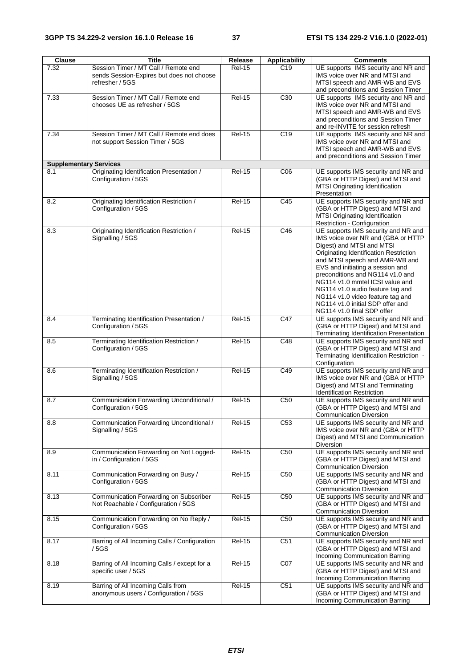| Session Timer / MT Call / Remote end<br><b>Rel-15</b><br>C <sub>19</sub><br>UE supports IMS security and NR and<br>7.32<br>sends Session-Expires but does not choose<br>IMS voice over NR and MTSI and<br>refresher / 5GS<br>MTSI speech and AMR-WB and EVS<br>and preconditions and Session Timer |  |
|----------------------------------------------------------------------------------------------------------------------------------------------------------------------------------------------------------------------------------------------------------------------------------------------------|--|
|                                                                                                                                                                                                                                                                                                    |  |
|                                                                                                                                                                                                                                                                                                    |  |
|                                                                                                                                                                                                                                                                                                    |  |
| Session Timer / MT Call / Remote end<br><b>Rel-15</b><br>C <sub>30</sub><br>7.33<br>UE supports IMS security and NR and                                                                                                                                                                            |  |
| chooses UE as refresher / 5GS<br>IMS voice over NR and MTSI and                                                                                                                                                                                                                                    |  |
| MTSI speech and AMR-WB and EVS                                                                                                                                                                                                                                                                     |  |
| and preconditions and Session Timer                                                                                                                                                                                                                                                                |  |
| and re-INVITE for session refresh                                                                                                                                                                                                                                                                  |  |
| Session Timer / MT Call / Remote end does<br>C19<br>7.34<br><b>Rel-15</b><br>UE supports IMS security and NR and<br>not support Session Timer / 5GS<br>IMS voice over NR and MTSI and                                                                                                              |  |
| MTSI speech and AMR-WB and EVS                                                                                                                                                                                                                                                                     |  |
| and preconditions and Session Timer                                                                                                                                                                                                                                                                |  |
| <b>Supplementary Services</b>                                                                                                                                                                                                                                                                      |  |
| Originating Identification Presentation /<br>UE supports IMS security and NR and<br>8.1<br><b>Rel-15</b><br>CO6                                                                                                                                                                                    |  |
| Configuration / 5GS<br>(GBA or HTTP Digest) and MTSI and                                                                                                                                                                                                                                           |  |
| MTSI Originating Identification<br>Presentation                                                                                                                                                                                                                                                    |  |
| UE supports IMS security and NR and<br>Originating Identification Restriction /<br><b>Rel-15</b><br>C45<br>8.2                                                                                                                                                                                     |  |
| Configuration / 5GS<br>(GBA or HTTP Digest) and MTSI and                                                                                                                                                                                                                                           |  |
| MTSI Originating Identification                                                                                                                                                                                                                                                                    |  |
| Restriction - Configuration                                                                                                                                                                                                                                                                        |  |
| Originating Identification Restriction /<br>UE supports IMS security and NR and<br><b>Rel-15</b><br>C46<br>8.3                                                                                                                                                                                     |  |
| IMS voice over NR and (GBA or HTTP<br>Signalling / 5GS<br>Digest) and MTSI and MTSI                                                                                                                                                                                                                |  |
| Originating Identification Restriction                                                                                                                                                                                                                                                             |  |
| and MTSI speech and AMR-WB and                                                                                                                                                                                                                                                                     |  |
| EVS and initiating a session and                                                                                                                                                                                                                                                                   |  |
| preconditions and NG114 v1.0 and                                                                                                                                                                                                                                                                   |  |
| NG114 v1.0 mmtel ICSI value and                                                                                                                                                                                                                                                                    |  |
| NG114 v1.0 audio feature tag and<br>NG114 v1.0 video feature tag and                                                                                                                                                                                                                               |  |
| NG114 v1.0 initial SDP offer and                                                                                                                                                                                                                                                                   |  |
| NG114 v1.0 final SDP offer                                                                                                                                                                                                                                                                         |  |
| $\overline{C47}$<br>8.4<br>Terminating Identification Presentation /<br><b>Rel-15</b><br>UE supports IMS security and NR and                                                                                                                                                                       |  |
| Configuration / 5GS<br>(GBA or HTTP Digest) and MTSI and                                                                                                                                                                                                                                           |  |
| Terminating Identification Presentation<br>UE supports IMS security and NR and<br><b>Rel-15</b><br>C48<br>Terminating Identification Restriction /<br>8.5                                                                                                                                          |  |
| Configuration / 5GS<br>(GBA or HTTP Digest) and MTSI and                                                                                                                                                                                                                                           |  |
| Terminating Identification Restriction -                                                                                                                                                                                                                                                           |  |
| Configuration                                                                                                                                                                                                                                                                                      |  |
| UE supports IMS security and NR and<br>Terminating Identification Restriction /<br><b>Rel-15</b><br>C49<br>8.6                                                                                                                                                                                     |  |
| Signalling / 5GS<br>IMS voice over NR and (GBA or HTTP<br>Digest) and MTSI and Terminating                                                                                                                                                                                                         |  |
| <b>Identification Restriction</b>                                                                                                                                                                                                                                                                  |  |
| $Rel-15$<br>C <sub>50</sub><br>UE supports IMS security and NR and<br>8.7<br>Communication Forwarding Unconditional /                                                                                                                                                                              |  |
| Configuration / 5GS<br>(GBA or HTTP Digest) and MTSI and                                                                                                                                                                                                                                           |  |
| <b>Communication Diversion</b>                                                                                                                                                                                                                                                                     |  |
| <b>Rel-15</b><br>UE supports IMS security and NR and<br>Communication Forwarding Unconditional /<br>C <sub>53</sub><br>8.8<br>IMS voice over NR and (GBA or HTTP                                                                                                                                   |  |
| Signalling / 5GS<br>Digest) and MTSI and Communication                                                                                                                                                                                                                                             |  |
| Diversion                                                                                                                                                                                                                                                                                          |  |
| UE supports IMS security and NR and<br><b>Rel-15</b><br>C50<br>8.9<br>Communication Forwarding on Not Logged-                                                                                                                                                                                      |  |
| in / Configuration / 5GS<br>(GBA or HTTP Digest) and MTSI and                                                                                                                                                                                                                                      |  |
| <b>Communication Diversion</b>                                                                                                                                                                                                                                                                     |  |
| UE supports IMS security and NR and<br><b>Rel-15</b><br>C50<br>8.11<br>Communication Forwarding on Busy /<br>Configuration / 5GS<br>(GBA or HTTP Digest) and MTSI and                                                                                                                              |  |
| <b>Communication Diversion</b>                                                                                                                                                                                                                                                                     |  |
| Communication Forwarding on Subscriber<br><b>Rel-15</b><br>C <sub>50</sub><br>UE supports IMS security and NR and<br>8.13                                                                                                                                                                          |  |
| Not Reachable / Configuration / 5GS<br>(GBA or HTTP Digest) and MTSI and                                                                                                                                                                                                                           |  |
| <b>Communication Diversion</b>                                                                                                                                                                                                                                                                     |  |
| Communication Forwarding on No Reply /<br>C <sub>50</sub><br>UE supports IMS security and NR and<br><b>Rel-15</b><br>8.15                                                                                                                                                                          |  |
| (GBA or HTTP Digest) and MTSI and<br>Configuration / 5GS<br><b>Communication Diversion</b>                                                                                                                                                                                                         |  |
| $Rel-15$<br>8.17<br>Barring of All Incoming Calls / Configuration<br>C51<br>UE supports IMS security and NR and                                                                                                                                                                                    |  |
| (GBA or HTTP Digest) and MTSI and<br>/ 5GS                                                                                                                                                                                                                                                         |  |
| Incoming Communication Barring                                                                                                                                                                                                                                                                     |  |
| Barring of All Incoming Calls / except for a<br><b>Rel-15</b><br>C07<br>UE supports IMS security and NR and<br>8.18                                                                                                                                                                                |  |
| specific user / 5GS<br>(GBA or HTTP Digest) and MTSI and                                                                                                                                                                                                                                           |  |
| Incoming Communication Barring<br>C51<br>Barring of All Incoming Calls from<br><b>Rel-15</b><br>UE supports IMS security and NR and<br>8.19                                                                                                                                                        |  |
| anonymous users / Configuration / 5GS<br>(GBA or HTTP Digest) and MTSI and                                                                                                                                                                                                                         |  |
| Incoming Communication Barring                                                                                                                                                                                                                                                                     |  |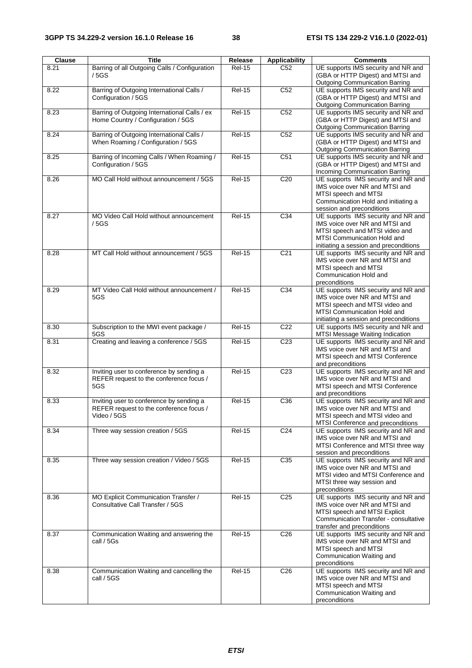| <b>Clause</b> | <b>Title</b>                                                                                       | Release       | <b>Applicability</b> | <b>Comments</b>                                                                                                                                                                  |
|---------------|----------------------------------------------------------------------------------------------------|---------------|----------------------|----------------------------------------------------------------------------------------------------------------------------------------------------------------------------------|
| 8.21          | Barring of all Outgoing Calls / Configuration<br>/5GS                                              | <b>Rel-15</b> | C52                  | UE supports IMS security and NR and<br>(GBA or HTTP Digest) and MTSI and<br><b>Outgoing Communication Barring</b>                                                                |
| 8.22          | Barring of Outgoing International Calls /<br>Configuration / 5GS                                   | <b>Rel-15</b> | C <sub>52</sub>      | UE supports IMS security and NR and<br>(GBA or HTTP Digest) and MTSI and<br><b>Outgoing Communication Barring</b>                                                                |
| 8.23          | Barring of Outgoing International Calls / ex<br>Home Country / Configuration / 5GS                 | <b>Rel-15</b> | C52                  | UE supports IMS security and NR and<br>(GBA or HTTP Digest) and MTSI and<br><b>Outgoing Communication Barring</b>                                                                |
| 8.24          | Barring of Outgoing International Calls /<br>When Roaming / Configuration / 5GS                    | <b>Rel-15</b> | C52                  | UE supports IMS security and NR and<br>(GBA or HTTP Digest) and MTSI and<br><b>Outgoing Communication Barring</b>                                                                |
| 8.25          | Barring of Incoming Calls / When Roaming /<br>Configuration / 5GS                                  | <b>Rel-15</b> | C <sub>51</sub>      | UE supports IMS security and NR and<br>(GBA or HTTP Digest) and MTSI and<br>Incoming Communication Barring                                                                       |
| 8.26          | MO Call Hold without announcement / 5GS                                                            | <b>Rel-15</b> | C <sub>20</sub>      | UE supports IMS security and NR and<br>IMS voice over NR and MTSI and<br>MTSI speech and MTSI<br>Communication Hold and initiating a<br>session and preconditions                |
| 8.27          | MO Video Call Hold without announcement<br>/5GS                                                    | <b>Rel-15</b> | C34                  | UE supports IMS security and NR and<br>IMS voice over NR and MTSI and<br>MTSI speech and MTSI video and<br>MTSI Communication Hold and<br>initiating a session and preconditions |
| 8.28          | MT Call Hold without announcement / 5GS                                                            | <b>Rel-15</b> | C <sub>21</sub>      | UE supports IMS security and NR and<br>IMS voice over NR and MTSI and<br>MTSI speech and MTSI<br>Communication Hold and<br>preconditions                                         |
| 8.29          | MT Video Call Hold without announcement /<br>5GS                                                   | <b>Rel-15</b> | C34                  | UE supports IMS security and NR and<br>IMS voice over NR and MTSI and<br>MTSI speech and MTSI video and<br>MTSI Communication Hold and<br>initiating a session and preconditions |
| 8.30          | Subscription to the MWI event package /<br>5GS                                                     | <b>Rel-15</b> | C <sub>22</sub>      | UE supports IMS security and NR and<br>MTSI Message Waiting Indication                                                                                                           |
| 8.31          | Creating and leaving a conference / 5GS                                                            | <b>Rel-15</b> | C <sub>23</sub>      | UE supports IMS security and NR and<br>IMS voice over NR and MTSI and<br>MTSI speech and MTSI Conference<br>and preconditions                                                    |
| 8.32          | Inviting user to conference by sending a<br>REFER request to the conference focus /<br>5GS         | <b>Rel-15</b> | C <sub>23</sub>      | UE supports IMS security and NR and<br>IMS voice over NR and MTSI and<br>MTSI speech and MTSI Conference<br>and preconditions                                                    |
| 8.33          | Inviting user to conference by sending a<br>REFER request to the conference focus /<br>Video / 5GS | <b>Rel-15</b> | C36                  | UE supports IMS security and NR and<br>IMS voice over NR and MTSI and<br>MTSI speech and MTSI video and<br>MTSI Conference and preconditions                                     |
| 8.34          | Three way session creation / 5GS                                                                   | <b>Rel-15</b> | C <sub>24</sub>      | UE supports IMS security and NR and<br>IMS voice over NR and MTSI and<br>MTSI Conference and MTSI three way<br>session and preconditions                                         |
| 8.35          | Three way session creation / Video / 5GS                                                           | <b>Rel-15</b> | C <sub>35</sub>      | UE supports IMS security and NR and<br>IMS voice over NR and MTSI and<br>MTSI video and MTSI Conference and<br>MTSI three way session and<br>preconditions                       |
| 8.36          | MO Explicit Communication Transfer /<br>Consultative Call Transfer / 5GS                           | <b>Rel-15</b> | C <sub>25</sub>      | UE supports IMS security and NR and<br>IMS voice over NR and MTSI and<br>MTSI speech and MTSI Explicit<br>Communication Transfer - consultative<br>transfer and preconditions    |
| 8.37          | Communication Waiting and answering the<br>call / 5Gs                                              | $Rel-15$      | C <sub>26</sub>      | UE supports IMS security and NR and<br>IMS voice over NR and MTSI and<br>MTSI speech and MTSI<br>Communication Waiting and<br>preconditions                                      |
| 8.38          | Communication Waiting and cancelling the<br>call / 5GS                                             | <b>Rel-15</b> | C <sub>26</sub>      | UE supports IMS security and NR and<br>IMS voice over NR and MTSI and<br>MTSI speech and MTSI<br>Communication Waiting and<br>preconditions                                      |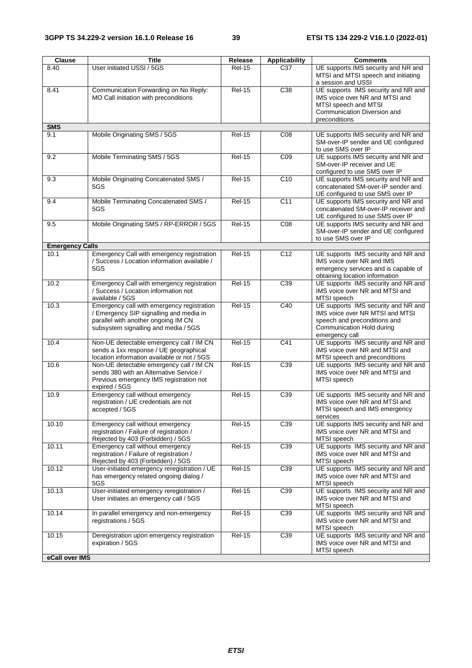| Clause                 | <b>Title</b>                                                                                                                                                         | Release       | <b>Applicability</b> | <b>Comments</b>                                                                                                                                       |
|------------------------|----------------------------------------------------------------------------------------------------------------------------------------------------------------------|---------------|----------------------|-------------------------------------------------------------------------------------------------------------------------------------------------------|
| 8.40                   | User initiated USSI / 5GS                                                                                                                                            | <b>Rel-15</b> | C <sub>37</sub>      | UE supports IMS security and NR and<br>MTSI and MTSI speech and initiating<br>a session and USSI                                                      |
| 8.41                   | Communication Forwarding on No Reply:<br>MO Call initiation with preconditions                                                                                       | <b>Rel-15</b> | C38                  | UE supports IMS security and NR and<br>IMS voice over NR and MTSI and<br>MTSI speech and MTSI<br>Communication Diversion and<br>preconditions         |
| <b>SMS</b>             |                                                                                                                                                                      |               |                      |                                                                                                                                                       |
| 9.1                    | Mobile Originating SMS / 5GS                                                                                                                                         | <b>Rel-15</b> | CO8                  | UE supports IMS security and NR and<br>SM-over-IP sender and UE configured<br>to use SMS over IP                                                      |
| 9.2                    | Mobile Terminating SMS / 5GS                                                                                                                                         | <b>Rel-15</b> | CO9                  | UE supports IMS security and NR and<br>SM-over-IP receiver and UE<br>configured to use SMS over IP                                                    |
| 9.3                    | Mobile Originating Concatenated SMS /<br>5GS                                                                                                                         | <b>Rel-15</b> | C10                  | UE supports IMS security and NR and<br>concatenated SM-over-IP sender and<br>UE configured to use SMS over IP                                         |
| 9.4                    | Mobile Terminating Concatenated SMS /<br>5GS                                                                                                                         | <b>Rel-15</b> | C <sub>11</sub>      | UE supports IMS security and NR and<br>concatenated SM-over-IP receiver and<br>UE configured to use SMS over IP                                       |
| 9.5                    | Mobile Originating SMS / RP-ERROR / 5GS                                                                                                                              | <b>Rel-15</b> | CO8                  | UE supports IMS security and NR and<br>SM-over-IP sender and UE configured<br>to use SMS over IP                                                      |
| <b>Emergency Calls</b> |                                                                                                                                                                      |               |                      |                                                                                                                                                       |
| 10.1                   | Emergency Call with emergency registration<br>/ Success / Location information available /<br>5GS                                                                    | <b>Rel-15</b> | C <sub>12</sub>      | UE supports IMS security and NR and<br>IMS voice over NR and IMS<br>emergency services and is capable of<br>obtaining location information            |
| 10.2                   | Emergency Call with emergency registration<br>/ Success / Location information not<br>available / 5GS                                                                | $ReI-15$      | C <sub>39</sub>      | UE supports IMS security and NR and<br>IMS voice over NR and MTSI and<br>MTSI speech                                                                  |
| 10.3                   | Emergency call with emergency registration<br>/ Emergency SIP signalling and media in<br>parallel with another ongoing IM CN<br>subsystem signalling and media / 5GS | <b>Rel-15</b> | C40                  | UE supports IMS security and NR and<br>IMS voice over NR MTSI and MTSI<br>speech and preconditions and<br>Communication Hold during<br>emergency call |
| 10.4                   | Non-UE detectable emergency call / IM CN<br>sends a 1xx response / UE geographical<br>location information available or not / 5GS                                    | <b>Rel-15</b> | C <sub>41</sub>      | UE supports IMS security and NR and<br>IMS voice over NR and MTSI and<br>MTSI speech and preconditions                                                |
| 10.6                   | Non-UE detectable emergency call / IM CN<br>sends 380 with an Alternative Service /<br>Previous emergency IMS registration not<br>expired / 5GS                      | <b>Rel-15</b> | C39                  | UE supports IMS security and NR and<br>IMS voice over NR and MTSI and<br>MTSI speech                                                                  |
| 10.9                   | Emergency call without emergency<br>registration / UE credentials are not<br>accepted / 5GS                                                                          | <b>Rel-15</b> | C39                  | UE supports IMS security and NR and<br>IMS voice over NR and MTSI and<br>MTSI speech and IMS emergency<br>services                                    |
| 10.10                  | Emergency call without emergency<br>registration / Failure of registration /<br>Rejected by 403 (Forbidden) / 5GS                                                    | <b>Rel-15</b> | C39                  | UE supports IMS security and NR and<br>IMS voice over NR and MTSI and<br>MTSI speech                                                                  |
| 10.11                  | Emergency call without emergency<br>registration / Failure of registration /<br>Rejected by 403 (Forbidden) / 5GS                                                    | <b>Rel-15</b> | C39                  | UE supports IMS security and NR and<br>IMS voice over NR and MTSI and<br>MTSI speech                                                                  |
| 10.12                  | User-initiated emergency reregistration / UE<br>has emergency related ongoing dialog /<br>5GS                                                                        | <b>Rel-15</b> | C39                  | UE supports IMS security and NR and<br>IMS voice over NR and MTSI and<br>MTSI speech                                                                  |
| 10.13                  | User-initiated emergency reregistration /<br>User initiates an emergency call / 5GS                                                                                  | <b>Rel-15</b> | C39                  | UE supports IMS security and NR and<br>IMS voice over NR and MTSI and<br>MTSI speech                                                                  |
| 10.14                  | In parallel emergency and non-emergency<br>registrations / 5GS                                                                                                       | <b>Rel-15</b> | C39                  | UE supports IMS security and NR and<br>IMS voice over NR and MTSI and<br>MTSI speech                                                                  |
| 10.15                  | Deregistration upon emergency registration<br>expiration / 5GS                                                                                                       | <b>Rel-15</b> | C39                  | UE supports IMS security and NR and<br>IMS voice over NR and MTSI and<br>MTSI speech                                                                  |
| eCall over IMS         |                                                                                                                                                                      |               |                      |                                                                                                                                                       |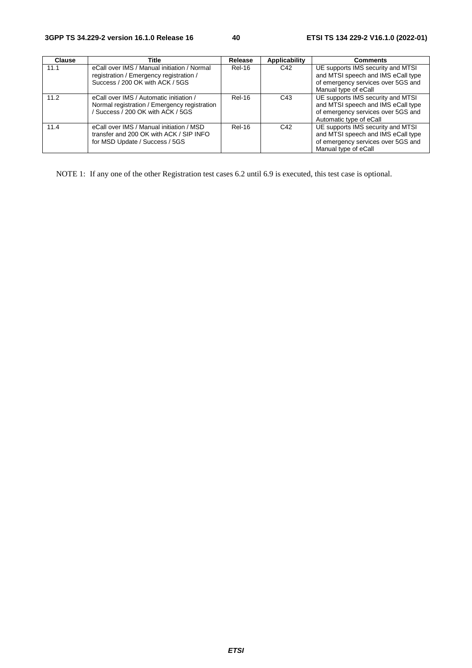| <b>Clause</b> | Title                                                                                                                        | Release       | <b>Applicability</b> | <b>Comments</b>                                                                                                                          |
|---------------|------------------------------------------------------------------------------------------------------------------------------|---------------|----------------------|------------------------------------------------------------------------------------------------------------------------------------------|
| 11.1          | eCall over IMS / Manual initiation / Normal<br>registration / Emergency registration /<br>Success / 200 OK with ACK / 5GS    | <b>Rel-16</b> | C42                  | UE supports IMS security and MTSI<br>and MTSI speech and IMS eCall type<br>of emergency services over 5GS and<br>Manual type of eCall    |
| 11.2          | eCall over IMS / Automatic initiation /<br>Normal registration / Emergency registration<br>/ Success / 200 OK with ACK / 5GS | Rel-16        | C43                  | UE supports IMS security and MTSI<br>and MTSI speech and IMS eCall type<br>of emergency services over 5GS and<br>Automatic type of eCall |
| 11.4          | eCall over IMS / Manual initiation / MSD<br>transfer and 200 OK with ACK / SIP INFO<br>for MSD Update / Success / 5GS        | Rel-16        | C42                  | UE supports IMS security and MTSI<br>and MTSI speech and IMS eCall type<br>of emergency services over 5GS and<br>Manual type of eCall    |

NOTE 1: If any one of the other Registration test cases 6.2 until 6.9 is executed, this test case is optional.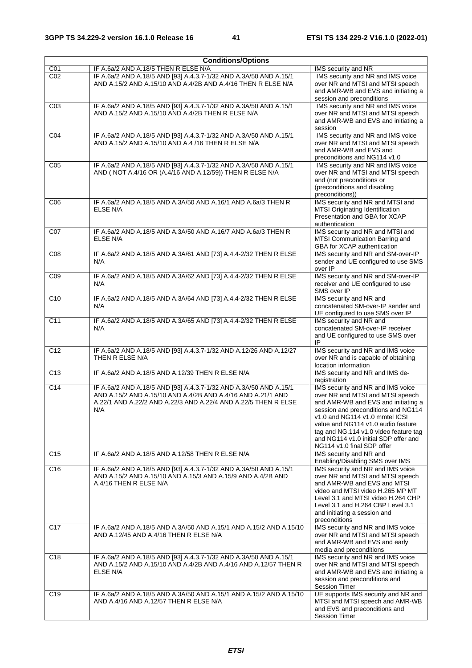| <b>Conditions/Options</b> |                                                                                                                                                                                                           |                                                                                                                                                                                                                                                                                                                                            |  |  |
|---------------------------|-----------------------------------------------------------------------------------------------------------------------------------------------------------------------------------------------------------|--------------------------------------------------------------------------------------------------------------------------------------------------------------------------------------------------------------------------------------------------------------------------------------------------------------------------------------------|--|--|
| C01                       | IF A.6a/2 AND A.18/5 THEN R ELSE N/A                                                                                                                                                                      | IMS security and NR                                                                                                                                                                                                                                                                                                                        |  |  |
| CO <sub>2</sub>           | IF A.6a/2 AND A.18/5 AND [93] A.4.3.7-1/32 AND A.3A/50 AND A.15/1<br>AND A.15/2 AND A.15/10 AND A.4/2B AND A.4/16 THEN R ELSE N/A                                                                         | IMS security and NR and IMS voice<br>over NR and MTSI and MTSI speech<br>and AMR-WB and EVS and initiating a<br>session and preconditions                                                                                                                                                                                                  |  |  |
| CO <sub>3</sub>           | IF A.6a/2 AND A.18/5 AND [93] A.4.3.7-1/32 AND A.3A/50 AND A.15/1<br>AND A.15/2 AND A.15/10 AND A.4/2B THEN R ELSE N/A                                                                                    | IMS security and NR and IMS voice<br>over NR and MTSI and MTSI speech<br>and AMR-WB and EVS and initiating a<br>session                                                                                                                                                                                                                    |  |  |
| C04                       | IF A.6a/2 AND A.18/5 AND [93] A.4.3.7-1/32 AND A.3A/50 AND A.15/1<br>AND A.15/2 AND A.15/10 AND A.4 /16 THEN R ELSE N/A                                                                                   | IMS security and NR and IMS voice<br>over NR and MTSI and MTSI speech<br>and AMR-WB and EVS and<br>preconditions and NG114 v1.0                                                                                                                                                                                                            |  |  |
| C <sub>05</sub>           | IF A.6a/2 AND A.18/5 AND [93] A.4.3.7-1/32 AND A.3A/50 AND A.15/1<br>AND (NOT A.4/16 OR (A.4/16 AND A.12/59)) THEN R ELSE N/A                                                                             | IMS security and NR and IMS voice<br>over NR and MTSI and MTSI speech<br>and (not preconditions or<br>(preconditions and disabling<br>preconditions))                                                                                                                                                                                      |  |  |
| C06                       | IF A.6a/2 AND A.18/5 AND A.3A/50 AND A.16/1 AND A.6a/3 THEN R<br>ELSE N/A                                                                                                                                 | IMS security and NR and MTSI and<br>MTSI Originating Identification<br>Presentation and GBA for XCAP<br>authentication                                                                                                                                                                                                                     |  |  |
| C07                       | IF A.6a/2 AND A.18/5 AND A.3A/50 AND A.16/7 AND A.6a/3 THEN R<br><b>ELSE N/A</b>                                                                                                                          | IMS security and NR and MTSI and<br>MTSI Communication Barring and<br>GBA for XCAP authentication                                                                                                                                                                                                                                          |  |  |
| CO8                       | IF A.6a/2 AND A.18/5 AND A.3A/61 AND [73] A.4.4-2/32 THEN R ELSE<br>N/A                                                                                                                                   | IMS security and NR and SM-over-IP<br>sender and UE configured to use SMS<br>over IP                                                                                                                                                                                                                                                       |  |  |
| CO9                       | IF A.6a/2 AND A.18/5 AND A.3A/62 AND [73] A.4.4-2/32 THEN R ELSE<br>N/A                                                                                                                                   | IMS security and NR and SM-over-IP<br>receiver and UE configured to use<br>SMS over IP                                                                                                                                                                                                                                                     |  |  |
| C <sub>10</sub>           | IF A.6a/2 AND A.18/5 AND A.3A/64 AND [73] A.4.4-2/32 THEN R ELSE<br>N/A                                                                                                                                   | IMS security and NR and<br>concatenated SM-over-IP sender and<br>UE configured to use SMS over IP                                                                                                                                                                                                                                          |  |  |
| C11                       | IF A.6a/2 AND A.18/5 AND A.3A/65 AND [73] A.4.4-2/32 THEN R ELSE<br>N/A                                                                                                                                   | IMS security and NR and<br>concatenated SM-over-IP receiver<br>and UE configured to use SMS over<br>IP                                                                                                                                                                                                                                     |  |  |
| C <sub>12</sub>           | IF A.6a/2 AND A.18/5 AND [93] A.4.3.7-1/32 AND A.12/26 AND A.12/27<br>THEN R ELSE N/A                                                                                                                     | IMS security and NR and IMS voice<br>over NR and is capable of obtaining<br>location information                                                                                                                                                                                                                                           |  |  |
| C <sub>13</sub>           | IF A.6a/2 AND A.18/5 AND A.12/39 THEN R ELSE N/A                                                                                                                                                          | IMS security and NR and IMS de-<br>registration                                                                                                                                                                                                                                                                                            |  |  |
| C14                       | IF A.6a/2 AND A.18/5 AND [93] A.4.3.7-1/32 AND A.3A/50 AND A.15/1<br>AND A.15/2 AND A.15/10 AND A.4/2B AND A.4/16 AND A.21/1 AND<br>A.22/1 AND A.22/2 AND A.22/3 AND A.22/4 AND A.22/5 THEN R ELSE<br>N/A | IMS security and NR and IMS voice<br>over NR and MTSI and MTSI speech<br>and AMR-WB and EVS and initiating a<br>session and preconditions and NG114<br>v1.0 and NG114 v1.0 mmtel ICSI<br>value and NG114 v1.0 audio feature<br>tag and NG.114 v1.0 video feature tag<br>and NG114 v1.0 initial SDP offer and<br>NG114 v1.0 final SDP offer |  |  |
| C <sub>15</sub>           | IF A.6a/2 AND A.18/5 AND A.12/58 THEN R ELSE N/A                                                                                                                                                          | IMS security and NR and<br>Enabling/Disabling SMS over IMS                                                                                                                                                                                                                                                                                 |  |  |
| C <sub>16</sub>           | IF A.6a/2 AND A.18/5 AND [93] A.4.3.7-1/32 AND A.3A/50 AND A.15/1<br>AND A.15/2 AND A.15/10 AND A.15/3 AND A.15/9 AND A.4/2B AND<br>A.4/16 THEN R ELSE N/A                                                | IMS security and NR and IMS voice<br>over NR and MTSI and MTSI speech<br>and AMR-WB and EVS and MTSI<br>video and MTSI video H.265 MP MT<br>Level 3.1 and MTSI video H.264 CHP<br>Level 3.1 and H.264 CBP Level 3.1<br>and initiating a session and<br>preconditions                                                                       |  |  |
| C <sub>17</sub>           | IF A.6a/2 AND A.18/5 AND A.3A/50 AND A.15/1 AND A.15/2 AND A.15/10<br>AND A.12/45 AND A.4/16 THEN R ELSE N/A                                                                                              | IMS security and NR and IMS voice<br>over NR and MTSI and MTSI speech<br>and AMR-WB and EVS and early<br>media and preconditions                                                                                                                                                                                                           |  |  |
| C <sub>18</sub>           | IF A.6a/2 AND A.18/5 AND [93] A.4.3.7-1/32 AND A.3A/50 AND A.15/1<br>AND A.15/2 AND A.15/10 AND A.4/2B AND A.4/16 AND A.12/57 THEN R<br>ELSE N/A                                                          | IMS security and NR and IMS voice<br>over NR and MTSI and MTSI speech<br>and AMR-WB and EVS and initiating a<br>session and preconditions and<br><b>Session Timer</b>                                                                                                                                                                      |  |  |
| C <sub>19</sub>           | IF A.6a/2 AND A.18/5 AND A.3A/50 AND A.15/1 AND A.15/2 AND A.15/10<br>AND A.4/16 AND A.12/57 THEN R ELSE N/A                                                                                              | UE supports IMS security and NR and<br>MTSI and MTSI speech and AMR-WB<br>and EVS and preconditions and<br><b>Session Timer</b>                                                                                                                                                                                                            |  |  |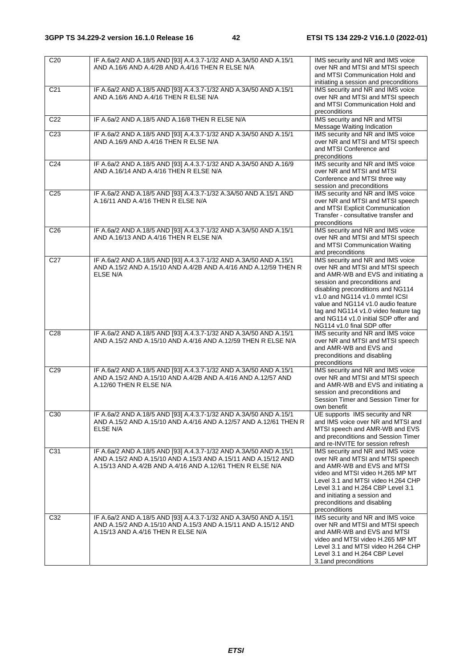| C <sub>20</sub> | IF A.6a/2 AND A.18/5 AND [93] A.4.3.7-1/32 AND A.3A/50 AND A.15/1<br>AND A.16/6 AND A.4/2B AND A.4/16 THEN R ELSE N/A                                                                           | IMS security and NR and IMS voice<br>over NR and MTSI and MTSI speech<br>and MTSI Communication Hold and<br>initiating a session and preconditions                                                                                                                                                                                                                       |
|-----------------|-------------------------------------------------------------------------------------------------------------------------------------------------------------------------------------------------|--------------------------------------------------------------------------------------------------------------------------------------------------------------------------------------------------------------------------------------------------------------------------------------------------------------------------------------------------------------------------|
| C <sub>21</sub> | IF A.6a/2 AND A.18/5 AND [93] A.4.3.7-1/32 AND A.3A/50 AND A.15/1<br>AND A.16/6 AND A.4/16 THEN R ELSE N/A                                                                                      | IMS security and NR and IMS voice<br>over NR and MTSI and MTSI speech<br>and MTSI Communication Hold and<br>preconditions                                                                                                                                                                                                                                                |
| C <sub>22</sub> | IF A.6a/2 AND A.18/5 AND A.16/8 THEN R ELSE N/A                                                                                                                                                 | IMS security and NR and MTSI<br>Message Waiting Indication                                                                                                                                                                                                                                                                                                               |
| C <sub>23</sub> | IF A.6a/2 AND A.18/5 AND [93] A.4.3.7-1/32 AND A.3A/50 AND A.15/1<br>AND A.16/9 AND A.4/16 THEN R ELSE N/A                                                                                      | IMS security and NR and IMS voice<br>over NR and MTSI and MTSI speech<br>and MTSI Conference and<br>preconditions                                                                                                                                                                                                                                                        |
| C <sub>24</sub> | IF A.6a/2 AND A.18/5 AND [93] A.4.3.7-1/32 AND A.3A/50 AND A.16/9<br>AND A.16/14 AND A.4/16 THEN R ELSE N/A                                                                                     | IMS security and NR and IMS voice<br>over NR and MTSI and MTSI<br>Conference and MTSI three way<br>session and preconditions                                                                                                                                                                                                                                             |
| C25             | IF A.6a/2 AND A.18/5 AND [93] A.4.3.7-1/32 A.3A/50 AND A.15/1 AND<br>A.16/11 AND A.4/16 THEN R ELSE N/A                                                                                         | IMS security and NR and IMS voice<br>over NR and MTSI and MTSI speech<br>and MTSI Explicit Communication<br>Transfer - consultative transfer and<br>preconditions                                                                                                                                                                                                        |
| C <sub>26</sub> | IF A.6a/2 AND A.18/5 AND [93] A.4.3.7-1/32 AND A.3A/50 AND A.15/1<br>AND A.16/13 AND A.4/16 THEN R ELSE N/A                                                                                     | IMS security and NR and IMS voice<br>over NR and MTSI and MTSI speech<br>and MTSI Communication Waiting<br>and preconditions                                                                                                                                                                                                                                             |
| C <sub>27</sub> | IF A.6a/2 AND A.18/5 AND [93] A.4.3.7-1/32 AND A.3A/50 AND A.15/1<br>AND A.15/2 AND A.15/10 AND A.4/2B AND A.4/16 AND A.12/59 THEN R<br>ELSE N/A                                                | IMS security and NR and IMS voice<br>over NR and MTSI and MTSI speech<br>and AMR-WB and EVS and initiating a<br>session and preconditions and<br>disabling preconditions and NG114<br>v1.0 and NG114 v1.0 mmtel ICSI<br>value and NG114 v1.0 audio feature<br>tag and NG114 v1.0 video feature tag<br>and NG114 v1.0 initial SDP offer and<br>NG114 v1.0 final SDP offer |
| C <sub>28</sub> | IF A.6a/2 AND A.18/5 AND [93] A.4.3.7-1/32 AND A.3A/50 AND A.15/1<br>AND A.15/2 AND A.15/10 AND A.4/16 AND A.12/59 THEN R ELSE N/A                                                              | IMS security and NR and IMS voice<br>over NR and MTSI and MTSI speech<br>and AMR-WB and EVS and<br>preconditions and disabling<br>preconditions                                                                                                                                                                                                                          |
| C <sub>29</sub> | IF A.6a/2 AND A.18/5 AND [93] A.4.3.7-1/32 AND A.3A/50 AND A.15/1<br>AND A.15/2 AND A.15/10 AND A.4/2B AND A.4/16 AND A.12/57 AND<br>A.12/60 THEN R ELSE N/A                                    | IMS security and NR and IMS voice<br>over NR and MTSI and MTSI speech<br>and AMR-WB and EVS and initiating a<br>session and preconditions and<br>Session Timer and Session Timer for<br>own benefit                                                                                                                                                                      |
| C <sub>30</sub> | IF A.6a/2 AND A.18/5 AND [93] A.4.3.7-1/32 AND A.3A/50 AND A.15/1<br>AND A.15/2 AND A.15/10 AND A.4/16 AND A.12/57 AND A.12/61 THEN R<br>ELSE N/A                                               | UE supports IMS security and NR<br>and IMS voice over NR and MTSI and<br>MTSI speech and AMR-WB and EVS<br>and preconditions and Session Timer<br>and re-INVITE for session refresh                                                                                                                                                                                      |
| C31             | IF A.6a/2 AND A.18/5 AND [93] A.4.3.7-1/32 AND A.3A/50 AND A.15/1<br>AND A.15/2 AND A.15/10 AND A.15/3 AND A.15/11 AND A.15/12 AND<br>A.15/13 AND A.4/2B AND A.4/16 AND A.12/61 THEN R ELSE N/A | IMS security and NR and IMS voice<br>over NR and MTSI and MTSI speech<br>and AMR-WB and EVS and MTSI<br>video and MTSI video H.265 MP MT<br>Level 3.1 and MTSI video H.264 CHP<br>Level 3.1 and H.264 CBP Level 3.1<br>and initiating a session and<br>preconditions and disabling<br>preconditions                                                                      |
| C32             | IF A.6a/2 AND A.18/5 AND [93] A.4.3.7-1/32 AND A.3A/50 AND A.15/1<br>AND A.15/2 AND A.15/10 AND A.15/3 AND A.15/11 AND A.15/12 AND<br>A.15/13 AND A.4/16 THEN R ELSE N/A                        | IMS security and NR and IMS voice<br>over NR and MTSI and MTSI speech<br>and AMR-WB and EVS and MTSI<br>video and MTSI video H.265 MP MT<br>Level 3.1 and MTSI video H.264 CHP<br>Level 3.1 and H.264 CBP Level<br>3.1 and preconditions                                                                                                                                 |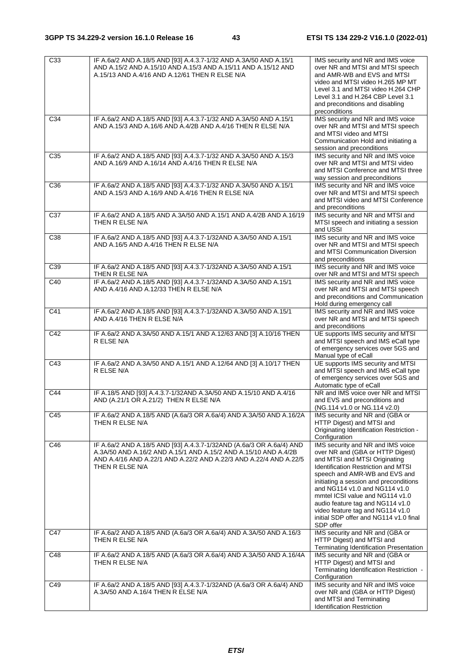| $\overline{C33}$ | IF A.6a/2 AND A.18/5 AND [93] A.4.3.7-1/32 AND A.3A/50 AND A.15/1<br>AND A.15/2 AND A.15/10 AND A.15/3 AND A.15/11 AND A.15/12 AND<br>A.15/13 AND A.4/16 AND A.12/61 THEN R ELSE N/A                                            | IMS security and NR and IMS voice<br>over NR and MTSI and MTSI speech<br>and AMR-WB and EVS and MTSI<br>video and MTSI video H.265 MP MT<br>Level 3.1 and MTSI video H.264 CHP<br>Level 3.1 and H.264 CBP Level 3.1<br>and preconditions and disabling<br>preconditions                                                                                                                                                            |
|------------------|---------------------------------------------------------------------------------------------------------------------------------------------------------------------------------------------------------------------------------|------------------------------------------------------------------------------------------------------------------------------------------------------------------------------------------------------------------------------------------------------------------------------------------------------------------------------------------------------------------------------------------------------------------------------------|
| C34              | IF A.6a/2 AND A.18/5 AND [93] A.4.3.7-1/32 AND A.3A/50 AND A.15/1<br>AND A.15/3 AND A.16/6 AND A.4/2B AND A.4/16 THEN R ELSE N/A                                                                                                | IMS security and NR and IMS voice<br>over NR and MTSI and MTSI speech<br>and MTSI video and MTSI<br>Communication Hold and initiating a<br>session and preconditions                                                                                                                                                                                                                                                               |
| C <sub>35</sub>  | IF A.6a/2 AND A.18/5 AND [93] A.4.3.7-1/32 AND A.3A/50 AND A.15/3<br>AND A.16/9 AND A.16/14 AND A.4/16 THEN R ELSE N/A                                                                                                          | IMS security and NR and IMS voice<br>over NR and MTSI and MTSI video<br>and MTSI Conference and MTSI three<br>way session and preconditions                                                                                                                                                                                                                                                                                        |
| C <sub>36</sub>  | IF A.6a/2 AND A.18/5 AND [93] A.4.3.7-1/32 AND A.3A/50 AND A.15/1<br>AND A.15/3 AND A.16/9 AND A.4/16 THEN R ELSE N/A                                                                                                           | IMS security and NR and IMS voice<br>over NR and MTSI and MTSI speech<br>and MTSI video and MTSI Conference<br>and preconditions                                                                                                                                                                                                                                                                                                   |
| C <sub>37</sub>  | IF A.6a/2 AND A.18/5 AND A.3A/50 AND A.15/1 AND A.4/2B AND A.16/19<br>THEN R ELSE N/A                                                                                                                                           | IMS security and NR and MTSI and<br>MTSI speech and initiating a session<br>and USSI                                                                                                                                                                                                                                                                                                                                               |
| C38              | IF A.6a/2 AND A.18/5 AND [93] A.4.3.7-1/32AND A.3A/50 AND A.15/1<br>AND A.16/5 AND A.4/16 THEN R ELSE N/A                                                                                                                       | IMS security and NR and IMS voice<br>over NR and MTSI and MTSI speech<br>and MTSI Communication Diversion<br>and preconditions                                                                                                                                                                                                                                                                                                     |
| C39              | IF A.6a/2 AND A.18/5 AND [93] A.4.3.7-1/32AND A.3A/50 AND A.15/1<br>THEN R ELSE N/A                                                                                                                                             | IMS security and NR and IMS voice<br>over NR and MTSI and MTSI speech                                                                                                                                                                                                                                                                                                                                                              |
| C <sub>40</sub>  | IF A.6a/2 AND A.18/5 AND [93] A.4.3.7-1/32AND A.3A/50 AND A.15/1<br>AND A.4/16 AND A.12/33 THEN R ELSE N/A                                                                                                                      | IMS security and NR and IMS voice<br>over NR and MTSI and MTSI speech<br>and preconditions and Communication<br>Hold during emergency call                                                                                                                                                                                                                                                                                         |
| C41              | IF A.6a/2 AND A.18/5 AND [93] A.4.3.7-1/32AND A.3A/50 AND A.15/1<br>AND A.4/16 THEN R ELSE N/A                                                                                                                                  | IMS security and NR and IMS voice<br>over NR and MTSI and MTSI speech<br>and preconditions                                                                                                                                                                                                                                                                                                                                         |
| C42              | IF A.6a/2 AND A.3A/50 AND A.15/1 AND A.12/63 AND [3] A.10/16 THEN<br>R ELSE N/A                                                                                                                                                 | UE supports IMS security and MTSI<br>and MTSI speech and IMS eCall type<br>of emergency services over 5GS and<br>Manual type of eCall                                                                                                                                                                                                                                                                                              |
| C43              | IF A.6a/2 AND A.3A/50 AND A.15/1 AND A.12/64 AND [3] A.10/17 THEN<br>R ELSE N/A                                                                                                                                                 | UE supports IMS security and MTSI<br>and MTSI speech and IMS eCall type<br>of emergency services over 5GS and<br>Automatic type of eCall                                                                                                                                                                                                                                                                                           |
| C44              | IF A.18/5 AND [93] A.4.3.7-1/32AND A.3A/50 AND A.15/10 AND A.4/16<br>AND (A.21/1 OR A.21/2) THEN R ELSE N/A                                                                                                                     | NR and IMS voice over NR and MTSI<br>and EVS and preconditions and<br>(NG.114 v1.0 or NG.114 v2.0)                                                                                                                                                                                                                                                                                                                                 |
| C45              | IF A.6a/2 AND A.18/5 AND (A.6a/3 OR A.6a/4) AND A.3A/50 AND A.16/2A<br>THEN R ELSE N/A                                                                                                                                          | IMS security and NR and (GBA or<br>HTTP Digest) and MTSI and<br>Originating Identification Restriction -<br>Configuration                                                                                                                                                                                                                                                                                                          |
| C46              | IF A.6a/2 AND A.18/5 AND [93] A.4.3.7-1/32AND (A.6a/3 OR A.6a/4) AND<br>A.3A/50 AND A.16/2 AND A.15/1 AND A.15/2 AND A.15/10 AND A.4/2B<br>AND A.4/16 AND A.22/1 AND A.22/2 AND A.22/3 AND A.22/4 AND A.22/5<br>THEN R ELSE N/A | IMS security and NR and IMS voice<br>over NR and (GBA or HTTP Digest)<br>and MTSI and MTSI Originating<br><b>Identification Restriction and MTSI</b><br>speech and AMR-WB and EVS and<br>initiating a session and preconditions<br>and NG114 v1.0 and NG114 v1.0<br>mmtel ICSI value and NG114 v1.0<br>audio feature tag and NG114 v1.0<br>video feature tag and NG114 v1.0<br>initial SDP offer and NG114 v1.0 final<br>SDP offer |
| C47              | IF A.6a/2 AND A.18/5 AND (A.6a/3 OR A.6a/4) AND A.3A/50 AND A.16/3<br>THEN R ELSE N/A                                                                                                                                           | IMS security and NR and (GBA or<br>HTTP Digest) and MTSI and<br>Terminating Identification Presentation                                                                                                                                                                                                                                                                                                                            |
| C48              | IF A.6a/2 AND A.18/5 AND (A.6a/3 OR A.6a/4) AND A.3A/50 AND A.16/4A<br>THEN R ELSE N/A                                                                                                                                          | IMS security and NR and (GBA or<br>HTTP Digest) and MTSI and<br>Terminating Identification Restriction -<br>Configuration                                                                                                                                                                                                                                                                                                          |
| C49              | IF A.6a/2 AND A.18/5 AND [93] A.4.3.7-1/32AND (A.6a/3 OR A.6a/4) AND<br>A.3A/50 AND A.16/4 THEN R ELSE N/A                                                                                                                      | IMS security and NR and IMS voice<br>over NR and (GBA or HTTP Digest)<br>and MTSI and Terminating<br><b>Identification Restriction</b>                                                                                                                                                                                                                                                                                             |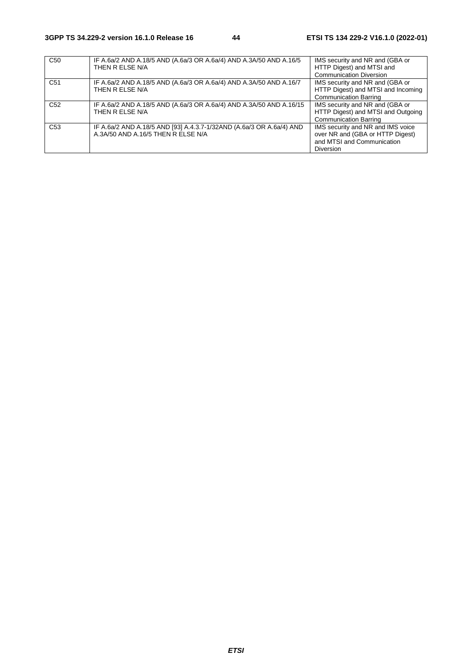| C <sub>50</sub> | IF A.6a/2 AND A.18/5 AND (A.6a/3 OR A.6a/4) AND A.3A/50 AND A.16/5<br>THEN R ELSE N/A                      | IMS security and NR and (GBA or<br>HTTP Digest) and MTSI and<br><b>Communication Diversion</b>                          |
|-----------------|------------------------------------------------------------------------------------------------------------|-------------------------------------------------------------------------------------------------------------------------|
| C <sub>51</sub> | IF A.6a/2 AND A.18/5 AND (A.6a/3 OR A.6a/4) AND A.3A/50 AND A.16/7<br>THEN R ELSE N/A                      | IMS security and NR and (GBA or<br>HTTP Digest) and MTSI and Incoming<br><b>Communication Barring</b>                   |
| C <sub>52</sub> | IF A.6a/2 AND A.18/5 AND (A.6a/3 OR A.6a/4) AND A.3A/50 AND A.16/15<br>THEN R ELSE N/A                     | IMS security and NR and (GBA or<br>HTTP Digest) and MTSI and Outgoing<br><b>Communication Barring</b>                   |
| C <sub>53</sub> | IF A.6a/2 AND A.18/5 AND [93] A.4.3.7-1/32AND (A.6a/3 OR A.6a/4) AND<br>A.3A/50 AND A.16/5 THEN R ELSE N/A | IMS security and NR and IMS voice<br>over NR and (GBA or HTTP Digest)<br>and MTSI and Communication<br><b>Diversion</b> |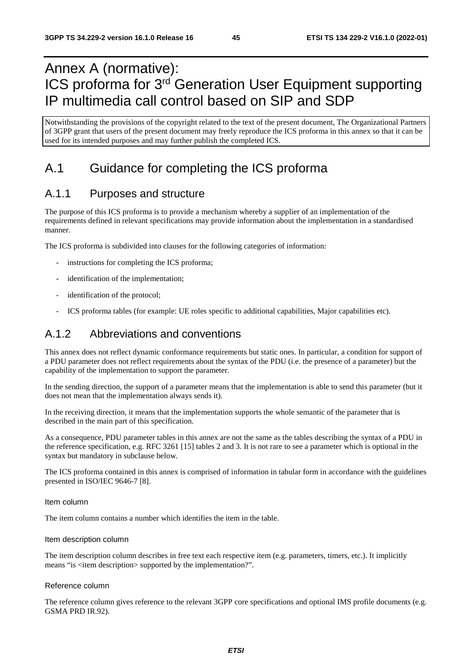# Annex A (normative): ICS proforma for 3rd Generation User Equipment supporting IP multimedia call control based on SIP and SDP

Notwithstanding the provisions of the copyright related to the text of the present document, The Organizational Partners of 3GPP grant that users of the present document may freely reproduce the ICS proforma in this annex so that it can be used for its intended purposes and may further publish the completed ICS.

# A.1 Guidance for completing the ICS proforma

# A.1.1 Purposes and structure

The purpose of this ICS proforma is to provide a mechanism whereby a supplier of an implementation of the requirements defined in relevant specifications may provide information about the implementation in a standardised manner.

The ICS proforma is subdivided into clauses for the following categories of information:

- instructions for completing the ICS proforma;
- identification of the implementation;
- identification of the protocol;
- ICS proforma tables (for example: UE roles specific to additional capabilities, Major capabilities etc).

## A.1.2 Abbreviations and conventions

This annex does not reflect dynamic conformance requirements but static ones. In particular, a condition for support of a PDU parameter does not reflect requirements about the syntax of the PDU (i.e. the presence of a parameter) but the capability of the implementation to support the parameter.

In the sending direction, the support of a parameter means that the implementation is able to send this parameter (but it does not mean that the implementation always sends it).

In the receiving direction, it means that the implementation supports the whole semantic of the parameter that is described in the main part of this specification.

As a consequence, PDU parameter tables in this annex are not the same as the tables describing the syntax of a PDU in the reference specification, e.g. RFC 3261 [15] tables 2 and 3. It is not rare to see a parameter which is optional in the syntax but mandatory in subclause below.

The ICS proforma contained in this annex is comprised of information in tabular form in accordance with the guidelines presented in ISO/IEC 9646-7 [8].

#### Item column

The item column contains a number which identifies the item in the table.

#### Item description column

The item description column describes in free text each respective item (e.g. parameters, timers, etc.). It implicitly means "is <item description> supported by the implementation?".

#### Reference column

The reference column gives reference to the relevant 3GPP core specifications and optional IMS profile documents (e.g. GSMA PRD IR.92).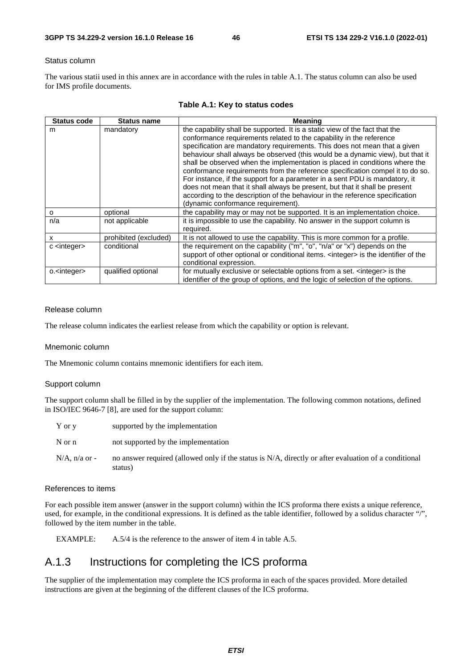#### Status column

The various statii used in this annex are in accordance with the rules in table A.1. The status column can also be used for IMS profile documents.

| <b>Status code</b>     | <b>Status name</b>    | <b>Meaning</b>                                                                                                                                                                                                                                                                                                                                                                                                                                                                                                                                                                                                                                                                                                                                                        |
|------------------------|-----------------------|-----------------------------------------------------------------------------------------------------------------------------------------------------------------------------------------------------------------------------------------------------------------------------------------------------------------------------------------------------------------------------------------------------------------------------------------------------------------------------------------------------------------------------------------------------------------------------------------------------------------------------------------------------------------------------------------------------------------------------------------------------------------------|
| m                      | mandatory             | the capability shall be supported. It is a static view of the fact that the<br>conformance requirements related to the capability in the reference<br>specification are mandatory requirements. This does not mean that a given<br>behaviour shall always be observed (this would be a dynamic view), but that it<br>shall be observed when the implementation is placed in conditions where the<br>conformance requirements from the reference specification compel it to do so.<br>For instance, if the support for a parameter in a sent PDU is mandatory, it<br>does not mean that it shall always be present, but that it shall be present<br>according to the description of the behaviour in the reference specification<br>(dynamic conformance requirement). |
| $\Omega$               | optional              | the capability may or may not be supported. It is an implementation choice.                                                                                                                                                                                                                                                                                                                                                                                                                                                                                                                                                                                                                                                                                           |
| n/a                    | not applicable        | it is impossible to use the capability. No answer in the support column is<br>required.                                                                                                                                                                                                                                                                                                                                                                                                                                                                                                                                                                                                                                                                               |
| x                      | prohibited (excluded) | It is not allowed to use the capability. This is more common for a profile.                                                                                                                                                                                                                                                                                                                                                                                                                                                                                                                                                                                                                                                                                           |
| c <integer></integer>  | conditional           | the requirement on the capability ("m", "o", "n/a" or "x") depends on the<br>support of other optional or conditional items. <integer> is the identifier of the<br/>conditional expression.</integer>                                                                                                                                                                                                                                                                                                                                                                                                                                                                                                                                                                 |
| o. <integer></integer> | qualified optional    | for mutually exclusive or selectable options from a set. <integer> is the<br/>identifier of the group of options, and the logic of selection of the options.</integer>                                                                                                                                                                                                                                                                                                                                                                                                                                                                                                                                                                                                |

### **Table A.1: Key to status codes**

#### Release column

The release column indicates the earliest release from which the capability or option is relevant.

#### Mnemonic column

The Mnemonic column contains mnemonic identifiers for each item.

#### Support column

The support column shall be filled in by the supplier of the implementation. The following common notations, defined in ISO/IEC 9646-7 [8], are used for the support column:

| Y or y           | supported by the implementation                                                                                 |
|------------------|-----------------------------------------------------------------------------------------------------------------|
| N or n           | not supported by the implementation                                                                             |
| $N/A$ , n/a or - | no answer required (allowed only if the status is N/A, directly or after evaluation of a conditional<br>status) |

### References to items

For each possible item answer (answer in the support column) within the ICS proforma there exists a unique reference, used, for example, in the conditional expressions. It is defined as the table identifier, followed by a solidus character "/", followed by the item number in the table.

EXAMPLE: A.5/4 is the reference to the answer of item 4 in table A.5.

# A.1.3 Instructions for completing the ICS proforma

The supplier of the implementation may complete the ICS proforma in each of the spaces provided. More detailed instructions are given at the beginning of the different clauses of the ICS proforma.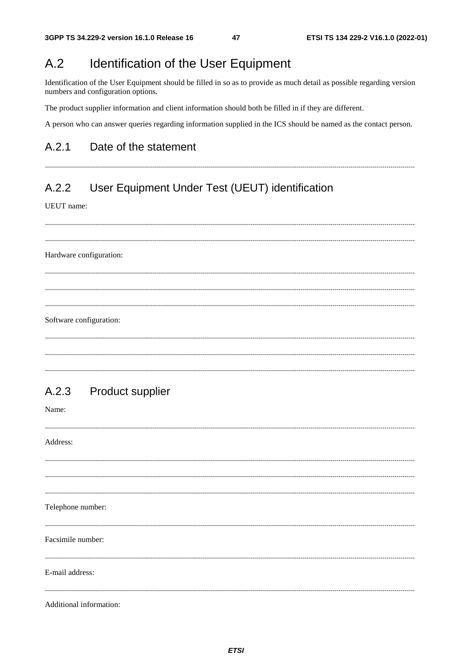#### $A.2$ **Identification of the User Equipment**

Identification of the User Equipment should be filled in so as to provide as much detail as possible regarding version numbers and configuration options.

The product supplier information and client information should both be filled in if they are different.

A person who can answer queries regarding information supplied in the ICS should be named as the contact person.

#### A 2 1 Date of the statement

### User Equipment Under Test (UEUT) identification  $A.2.2$

UEUT name:

Hardware configuration: Software configuration:

#### $A.2.3$ Product supplier

Name:

Address: Telephone number: Facsimile number: E-mail address: Additional information: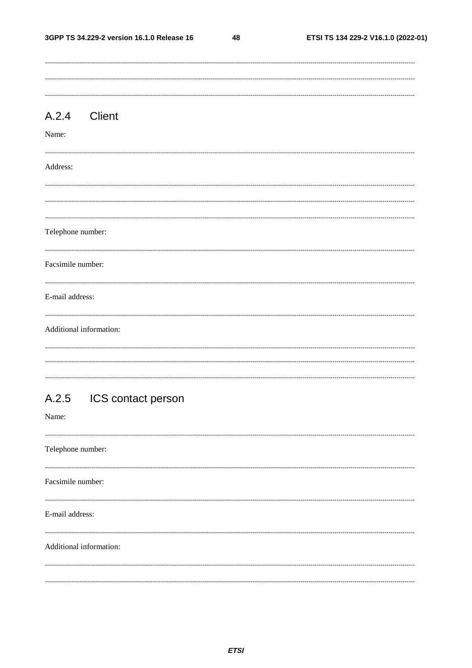48

| A.2.4             | <b>Client</b>            |  |  |
|-------------------|--------------------------|--|--|
| Name:             |                          |  |  |
| Address:          |                          |  |  |
|                   |                          |  |  |
| Telephone number: |                          |  |  |
| Facsimile number: |                          |  |  |
| E-mail address:   |                          |  |  |
|                   | Additional information:  |  |  |
|                   |                          |  |  |
| Name:             | A.2.5 ICS contact person |  |  |
| Telephone number: |                          |  |  |
| Facsimile number: |                          |  |  |

E-mail address:

### Additional information: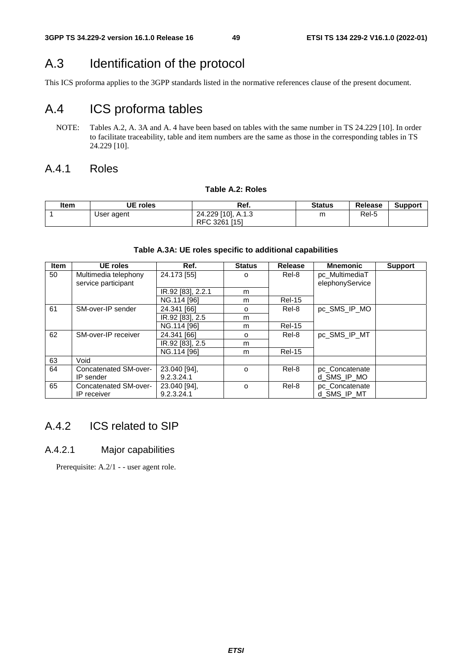# A.3 Identification of the protocol

This ICS proforma applies to the 3GPP standards listed in the normative references clause of the present document.

# A.4 ICS proforma tables

NOTE: Tables A.2, A. 3A and A. 4 have been based on tables with the same number in TS 24.229 [10]. In order to facilitate traceability, table and item numbers are the same as those in the corresponding tables in TS 24.229 [10].

## A.4.1 Roles

### **Table A.2: Roles**

| ltem | UE roles   | Ref.               | <b>Status</b> | Release | <b>Support</b> |
|------|------------|--------------------|---------------|---------|----------------|
|      | User agent | 24.229 [10], A.1.3 | m             | Rel-5   |                |
|      |            | RFC 3261 [15]      |               |         |                |

### **Table A.3A: UE roles specific to additional capabilities**

| <b>Item</b> | <b>UE</b> roles                             | Ref.                       | <b>Status</b> | Release       | <b>Mnemonic</b>                   | <b>Support</b> |
|-------------|---------------------------------------------|----------------------------|---------------|---------------|-----------------------------------|----------------|
| 50          | Multimedia telephony<br>service participant | 24.173 [55]                | O             | Rel-8         | pc_MultimediaT<br>elephonyService |                |
|             |                                             | IR.92 [83], 2.2.1          | m             |               |                                   |                |
|             |                                             | NG.114 [96]                | m             | <b>Rel-15</b> |                                   |                |
| 61          | SM-over-IP sender                           | 24.341 [66]                | $\Omega$      | Rel-8         | pc SMS IP MO                      |                |
|             |                                             | IR.92 [83], 2.5            | m             |               |                                   |                |
|             |                                             | NG.114 [96]                | m             | <b>Rel-15</b> |                                   |                |
| 62          | SM-over-IP receiver                         | 24.341 [66]                | o             | Rel-8         | pc SMS IP MT                      |                |
|             |                                             | IR.92 [83], 2.5            | m             |               |                                   |                |
|             |                                             | NG.114 [96]                | m             | <b>Rel-15</b> |                                   |                |
| 63          | Void                                        |                            |               |               |                                   |                |
| 64          | Concatenated SM-over-                       | 23.040 [94],               | O             | Rel-8         | pc_Concatenate                    |                |
|             | IP sender                                   | 9.2.3.24.1                 |               |               | d SMS IP MO                       |                |
| 65          | Concatenated SM-over-<br>IP receiver        | 23.040 [94],<br>9.2.3.24.1 | $\Omega$      | Rel-8         | pc Concatenate<br>d SMS IP MT     |                |

# A.4.2 ICS related to SIP

## A.4.2.1 Major capabilities

Prerequisite: A.2/1 - - user agent role.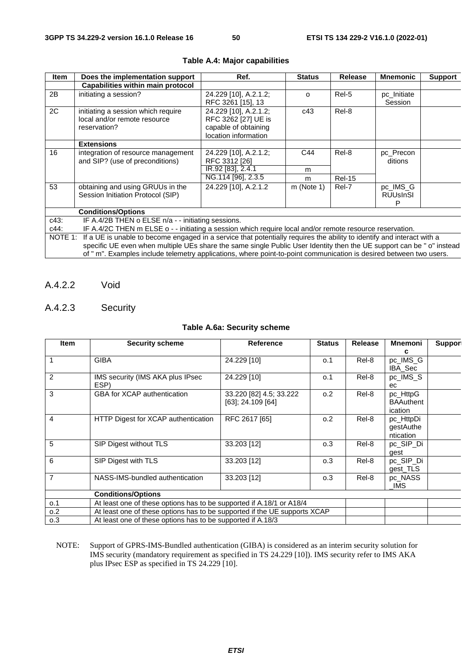| <b>Item</b> | Does the implementation support                                                                                                                                                                                                                                                                                                                                              | Ref.                                                                                         | <b>Status</b> | Release       | <b>Mnemonic</b>                  | <b>Support</b> |
|-------------|------------------------------------------------------------------------------------------------------------------------------------------------------------------------------------------------------------------------------------------------------------------------------------------------------------------------------------------------------------------------------|----------------------------------------------------------------------------------------------|---------------|---------------|----------------------------------|----------------|
|             | Capabilities within main protocol                                                                                                                                                                                                                                                                                                                                            |                                                                                              |               |               |                                  |                |
| 2B          | initiating a session?                                                                                                                                                                                                                                                                                                                                                        | 24.229 [10], A.2.1.2;<br>RFC 3261 [15], 13                                                   | $\Omega$      | Rel-5         | pc_Initiate<br>Session           |                |
| 2C          | initiating a session which require<br>local and/or remote resource<br>reservation?                                                                                                                                                                                                                                                                                           | 24.229 [10], A.2.1.2;<br>RFC 3262 [27] UE is<br>capable of obtaining<br>location information | c43           | Rel-8         |                                  |                |
|             | <b>Extensions</b>                                                                                                                                                                                                                                                                                                                                                            |                                                                                              |               |               |                                  |                |
| 16          | integration of resource management<br>and SIP? (use of preconditions)                                                                                                                                                                                                                                                                                                        | 24.229 [10], A.2.1.2;<br>RFC 3312 [26]                                                       | C44           | Rel-8         | pc_Precon<br>ditions             |                |
|             |                                                                                                                                                                                                                                                                                                                                                                              | IR.92 [83], 2.4.1                                                                            | m             |               |                                  |                |
|             |                                                                                                                                                                                                                                                                                                                                                                              | NG.114 [96], 2.3.5                                                                           | m             | <b>Rel-15</b> |                                  |                |
| 53          | obtaining and using GRUUs in the<br>Session Initiation Protocol (SIP)                                                                                                                                                                                                                                                                                                        | 24.229 [10], A.2.1.2                                                                         | $m$ (Note 1)  | Rel-7         | pc_IMS_G<br><b>RUUsInSI</b><br>Р |                |
|             | <b>Conditions/Options</b>                                                                                                                                                                                                                                                                                                                                                    |                                                                                              |               |               |                                  |                |
| c43:        | IF A.4/2B THEN o ELSE n/a - - initiating sessions.                                                                                                                                                                                                                                                                                                                           |                                                                                              |               |               |                                  |                |
| c44:        | IF A.4/2C THEN m ELSE o - - initiating a session which require local and/or remote resource reservation.                                                                                                                                                                                                                                                                     |                                                                                              |               |               |                                  |                |
|             | NOTE 1: If a UE is unable to become engaged in a service that potentially requires the ability to identify and interact with a<br>specific UE even when multiple UEs share the same single Public User Identity then the UE support can be "o" instead<br>of " m". Examples include telemetry applications, where point-to-point communication is desired between two users. |                                                                                              |               |               |                                  |                |

### **Table A.4: Major capabilities**

A.4.2.2 Void

## A.4.2.3 Security

### **Table A.6a: Security scheme**

| <b>Item</b>    | <b>Security scheme</b>                                                    | <b>Reference</b>                             | <b>Status</b>                                               | Release | <b>Mnemoni</b>                          | Suppor |  |  |  |  |  |
|----------------|---------------------------------------------------------------------------|----------------------------------------------|-------------------------------------------------------------|---------|-----------------------------------------|--------|--|--|--|--|--|
|                | <b>GIBA</b>                                                               | 24.229 [10]                                  | 0.1                                                         | Rel-8   | с<br>pc_IMS_G<br>IBA_Sec                |        |  |  |  |  |  |
| 2              | IMS security (IMS AKA plus IPsec<br>ESP)                                  | 24.229 [10]                                  | 0.1                                                         | Rel-8   | pc_IMS_S<br>ec                          |        |  |  |  |  |  |
| 3              | <b>GBA for XCAP authentication</b>                                        | 33.220 [82] 4.5; 33.222<br>[63]: 24.109 [64] | 0.2                                                         | Rel-8   | pc_HttpG<br><b>BAAuthent</b><br>ication |        |  |  |  |  |  |
| 4              | HTTP Digest for XCAP authentication                                       | RFC 2617 [65]                                | 0.2                                                         | Rel-8   | pc_HttpDi<br>gestAuthe<br>ntication     |        |  |  |  |  |  |
| 5              | <b>SIP Digest without TLS</b>                                             | 33.203 [12]                                  | 0.3                                                         | Rel-8   | pc SIP Di<br>gest                       |        |  |  |  |  |  |
| 6              | SIP Digest with TLS                                                       | 33.203 [12]                                  | 0.3                                                         | Rel-8   | pc_SIP_Di<br>gest_TLS                   |        |  |  |  |  |  |
| $\overline{7}$ | NASS-IMS-bundled authentication                                           | 33.203 [12]                                  | 0.3                                                         | Rel-8   | pc_NASS<br>IMS.                         |        |  |  |  |  |  |
|                | <b>Conditions/Options</b>                                                 |                                              |                                                             |         |                                         |        |  |  |  |  |  |
| 0.1            | At least one of these options has to be supported if A.18/1 or A18/4      |                                              |                                                             |         |                                         |        |  |  |  |  |  |
| 0.2            | At least one of these options has to be supported if the UE supports XCAP |                                              |                                                             |         |                                         |        |  |  |  |  |  |
| 0.3            |                                                                           |                                              | At least one of these options has to be supported if A.18/3 |         |                                         |        |  |  |  |  |  |

NOTE: Support of GPRS-IMS-Bundled authentication (GIBA) is considered as an interim security solution for IMS security (mandatory requirement as specified in TS 24.229 [10]). IMS security refer to IMS AKA plus IPsec ESP as specified in TS 24.229 [10].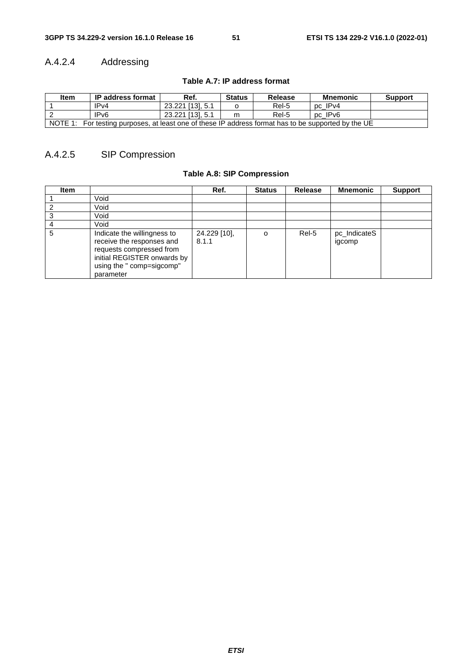# A.4.2.4 Addressing

**Table A.7: IP address format** 

| Item    | <b>IP address format</b>                                                                    | Ref.             | <b>Status</b> | <b>Release</b> | <b>Mnemonic</b> | <b>Support</b> |  |  |  |
|---------|---------------------------------------------------------------------------------------------|------------------|---------------|----------------|-----------------|----------------|--|--|--|
|         | IPv4                                                                                        | 23.221 [13], 5.1 |               | Rel-5          | pc IPv4         |                |  |  |  |
|         | IP <sub>v6</sub>                                                                            | 23.221 [13], 5.1 | m             | Rel-5          | pc IPv6         |                |  |  |  |
| NOTE 1: | For testing purposes, at least one of these IP address format has to be supported by the UE |                  |               |                |                 |                |  |  |  |

# A.4.2.5 SIP Compression

## **Table A.8: SIP Compression**

| <b>Item</b> |                                                                                                                                                               | Ref.                  | <b>Status</b> | <b>Release</b> | <b>Mnemonic</b>        | <b>Support</b> |
|-------------|---------------------------------------------------------------------------------------------------------------------------------------------------------------|-----------------------|---------------|----------------|------------------------|----------------|
|             | Void                                                                                                                                                          |                       |               |                |                        |                |
|             | Void                                                                                                                                                          |                       |               |                |                        |                |
|             | Void                                                                                                                                                          |                       |               |                |                        |                |
|             | Void                                                                                                                                                          |                       |               |                |                        |                |
| 5           | Indicate the willingness to<br>receive the responses and<br>requests compressed from<br>initial REGISTER onwards by<br>using the " comp=sigcomp"<br>parameter | 24.229 [10],<br>8.1.1 | $\Omega$      | Rel-5          | pc_IndicateS<br>igcomp |                |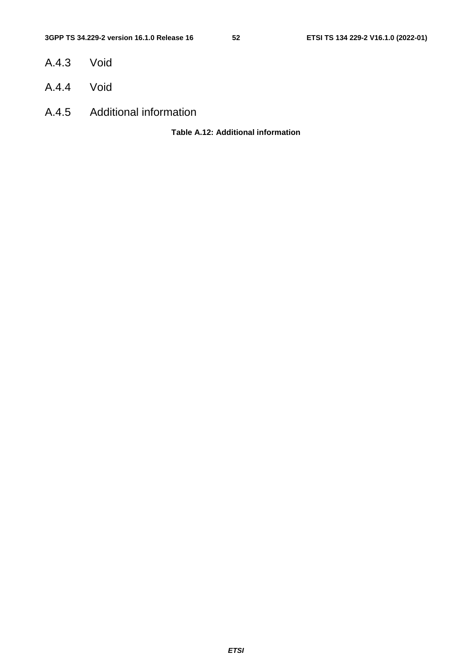- A.4.3 Void
- A.4.4 Void
- A.4.5 Additional information

**Table A.12: Additional information**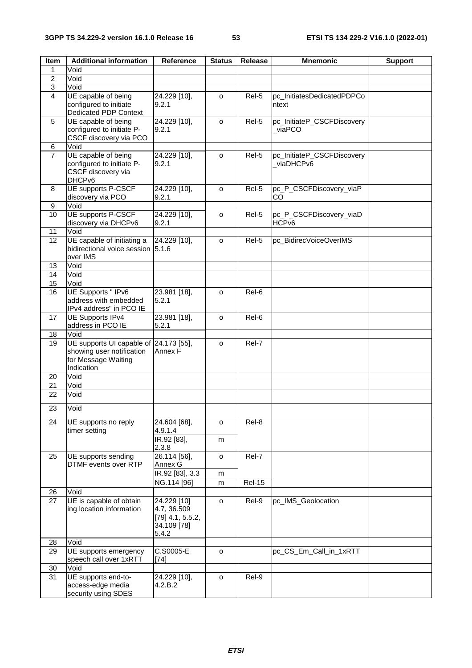| Item           | <b>Additional information</b>            | <b>Reference</b>   | <b>Status</b>       | <b>Release</b> | <b>Mnemonic</b>            | <b>Support</b> |
|----------------|------------------------------------------|--------------------|---------------------|----------------|----------------------------|----------------|
| 1              | Void                                     |                    |                     |                |                            |                |
| $\overline{2}$ | Void                                     |                    |                     |                |                            |                |
| $\sqrt{3}$     | Void                                     |                    |                     |                |                            |                |
| 4              | UE capable of being                      | 24.229 [10],       | $\circ$             | Rel-5          | pc_InitiatesDedicatedPDPCo |                |
|                | configured to initiate                   | 9.2.1              |                     |                | ntext                      |                |
|                | <b>Dedicated PDP Context</b>             |                    |                     |                |                            |                |
| 5              | UE capable of being                      | 24.229 [10],       | o                   | Rel-5          | pc_InitiateP_CSCFDiscovery |                |
|                | configured to initiate P-                | 9.2.1              |                     |                | viaPCO                     |                |
|                | CSCF discovery via PCO                   |                    |                     |                |                            |                |
| 6              | Void                                     |                    |                     |                |                            |                |
| $\overline{7}$ | UE capable of being                      | 24.229 [10],       | o                   | Rel-5          | pc_InitiateP_CSCFDiscovery |                |
|                | configured to initiate P-                | 9.2.1              |                     |                | viaDHCPv6                  |                |
|                | CSCF discovery via<br>DHCP <sub>v6</sub> |                    |                     |                |                            |                |
| 8              | <b>UE supports P-CSCF</b>                | 24.229 [10],       | o                   | Rel-5          | pc_P_CSCFDiscovery_viaP    |                |
|                | discovery via PCO                        | 9.2.1              |                     |                | lCO                        |                |
| 9              | Void                                     |                    |                     |                |                            |                |
| 10             | UE supports P-CSCF                       | 24.229 [10],       | $\circ$             | Rel-5          | pc_P_CSCFDiscovery_viaD    |                |
|                | discovery via DHCPv6                     | 9.2.1              |                     |                | HCP <sub>v6</sub>          |                |
| 11             | Void                                     |                    |                     |                |                            |                |
| 12             | UE capable of initiating a               | 24.229 [10],       | o                   | Rel-5          | pc_BidirecVoiceOverIMS     |                |
|                | bidirectional voice session 5.1.6        |                    |                     |                |                            |                |
|                | over IMS                                 |                    |                     |                |                            |                |
| 13             | Void                                     |                    |                     |                |                            |                |
| 14             | Void                                     |                    |                     |                |                            |                |
| 15             | Void                                     |                    |                     |                |                            |                |
| 16             | UE Supports " IPv6                       | 23.981 [18],       | o                   | Rel-6          |                            |                |
|                | address with embedded                    | 5.2.1              |                     |                |                            |                |
|                | IPv4 address" in PCO IE                  |                    |                     |                |                            |                |
| 17             | <b>UE Supports IPv4</b>                  | 23.981 [18],       | $\circ$             | Rel-6          |                            |                |
|                | address in PCO IE                        | 5.2.1              |                     |                |                            |                |
| 18             | Void                                     |                    |                     |                |                            |                |
| 19             | UE supports UI capable of 24.173 [55],   |                    | $\circ$             | Rel-7          |                            |                |
|                | showing user notification                | Annex F            |                     |                |                            |                |
|                | for Message Waiting<br>Indication        |                    |                     |                |                            |                |
| 20             | Void                                     |                    |                     |                |                            |                |
| 21             | Void                                     |                    |                     |                |                            |                |
| 22             | Void                                     |                    |                     |                |                            |                |
|                |                                          |                    |                     |                |                            |                |
| 23             | Void                                     |                    |                     |                |                            |                |
| 24             | UE supports no reply                     | 24.604 [68],       | $\circ$             | Rel-8          |                            |                |
|                | timer setting                            | 4.9.1.4            |                     |                |                            |                |
|                |                                          | IR.92 [83],        | m                   |                |                            |                |
|                |                                          | 2.3.8              |                     |                |                            |                |
| 25             | UE supports sending                      | 26.114 [56],       | $\mathsf{o}\xspace$ | Rel-7          |                            |                |
|                | DTMF events over RTP                     | Annex G            |                     |                |                            |                |
|                |                                          | IR.92 [83], 3.3    | m                   |                |                            |                |
|                |                                          | NG.114 [96]        | m                   | <b>Rel-15</b>  |                            |                |
| 26             | Void                                     |                    |                     |                |                            |                |
| 27             | UE is capable of obtain                  | 24.229 [10]        | $\mathsf{o}\xspace$ | Rel-9          | pc_IMS_Geolocation         |                |
|                | ing location information                 | 4.7, 36.509        |                     |                |                            |                |
|                |                                          | $[79]$ 4.1, 5.5.2, |                     |                |                            |                |
|                |                                          | 34.109 [78]        |                     |                |                            |                |
|                |                                          | 5.4.2              |                     |                |                            |                |
| 28             | Void<br>UE supports emergency            | C.S0005-E          |                     |                |                            |                |
| 29             | speech call over 1xRTT                   | [74]               | o                   |                | pc_CS_Em_Call_in_1xRTT     |                |
| 30             | Void                                     |                    |                     |                |                            |                |
| 31             | UE supports end-to-                      | 24.229 [10],       | o                   | Rel-9          |                            |                |
|                | access-edge media                        | 4.2.B.2            |                     |                |                            |                |
|                | security using SDES                      |                    |                     |                |                            |                |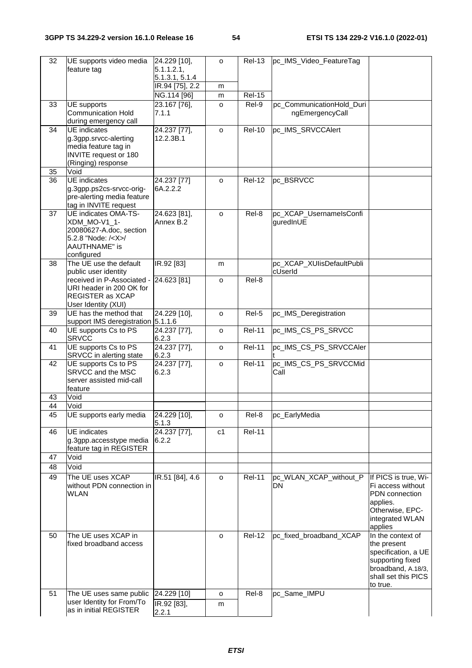| 32 | UE supports video media                          | 24.229 [10],          | $\circ$        | <b>Rel-13</b> | pc_IMS_Video_FeatureTag   |                                    |
|----|--------------------------------------------------|-----------------------|----------------|---------------|---------------------------|------------------------------------|
|    | feature tag                                      | 5.1.1.2.1,            |                |               |                           |                                    |
|    |                                                  | 5.1.3.1, 5.1.4        |                |               |                           |                                    |
|    |                                                  | IR.94 [75], 2.2       | m              |               |                           |                                    |
|    |                                                  | NG.114 [96]           | m              | <b>Rel-15</b> |                           |                                    |
| 33 | UE supports                                      | 23.167 [76],          | o              | Rel-9         | pc_CommunicationHold_Duri |                                    |
|    | <b>Communication Hold</b>                        | 7.1.1                 |                |               | ngEmergencyCall           |                                    |
| 34 | during emergency call<br><b>UE</b> indicates     | 24.237 [77],          | $\circ$        | <b>Rel-10</b> | pc_IMS_SRVCCAlert         |                                    |
|    | g.3gpp.srvcc-alerting                            | 12.2.3B.1             |                |               |                           |                                    |
|    | media feature tag in                             |                       |                |               |                           |                                    |
|    | <b>INVITE</b> request or 180                     |                       |                |               |                           |                                    |
|    | (Ringing) response                               |                       |                |               |                           |                                    |
| 35 | Void                                             |                       |                |               |                           |                                    |
| 36 | <b>UE</b> indicates                              | 24.237 [77]           | $\circ$        | <b>Rel-12</b> | pc_BSRVCC                 |                                    |
|    | g.3gpp.ps2cs-srvcc-orig-                         | 6A.2.2.2              |                |               |                           |                                    |
|    | pre-alerting media feature                       |                       |                |               |                           |                                    |
|    | tag in INVITE request                            |                       |                |               |                           |                                    |
| 37 | <b>UE indicates OMA-TS-</b>                      | 24.623 [81],          | $\circ$        | Rel-8         | pc_XCAP_UsernamelsConfi   |                                    |
|    | XDM_MO-V1_1-                                     | Annex B.2             |                |               | guredInUE                 |                                    |
|    | 20080627-A.doc, section                          |                       |                |               |                           |                                    |
|    | 5.2.8 "Node: / <x>/<br/><b>AAUTHNAME"</b> is</x> |                       |                |               |                           |                                    |
|    | configured                                       |                       |                |               |                           |                                    |
| 38 | The UE use the default                           | IR.92 [83]            | m              |               | pc_XCAP_XUIisDefaultPubli |                                    |
|    | public user identity                             |                       |                |               | cUserId                   |                                    |
|    | received in P-Associated -                       | 24.623 [81]           | $\circ$        | Rel-8         |                           |                                    |
|    | URI header in 200 OK for                         |                       |                |               |                           |                                    |
|    | REGISTER as XCAP                                 |                       |                |               |                           |                                    |
|    | User Identity (XUI)                              |                       |                |               |                           |                                    |
| 39 | UE has the method that                           | 24.229 [10],          | o              | Rel-5         | pc_IMS_Deregistration     |                                    |
|    | support IMS deregistration 5.1.1.6               |                       |                |               |                           |                                    |
| 40 | UE supports Cs to PS                             | 24.237 [77],          | $\circ$        | <b>Rel-11</b> | pc_IMS_CS_PS_SRVCC        |                                    |
|    | <b>SRVCC</b>                                     | 6.2.3                 |                |               |                           |                                    |
| 41 | UE supports Cs to PS                             | 24.237 [77],          | o              | <b>Rel-11</b> | pc_IMS_CS_PS_SRVCCAler    |                                    |
| 42 | SRVCC in alerting state<br>UE supports Cs to PS  | 6.2.3<br>24.237 [77], |                | <b>Rel-11</b> | pc IMS CS PS SRVCCMid     |                                    |
|    | SRVCC and the MSC                                | 6.2.3                 | $\circ$        |               | Call                      |                                    |
|    | server assisted mid-call                         |                       |                |               |                           |                                    |
|    | feature                                          |                       |                |               |                           |                                    |
| 43 | Void                                             |                       |                |               |                           |                                    |
| 44 | Void                                             |                       |                |               |                           |                                    |
| 45 | UE supports early media                          | 24.229 [10],          | o              | Rel-8         | pc_EarlyMedia             |                                    |
|    |                                                  | 5.1.3                 |                |               |                           |                                    |
| 46 | <b>UE</b> indicates                              | 24.237 [77],          | c <sub>1</sub> | <b>Rel-11</b> |                           |                                    |
|    | g.3gpp.accesstype media                          | 6.2.2                 |                |               |                           |                                    |
|    | feature tag in REGISTER                          |                       |                |               |                           |                                    |
| 47 | Void                                             |                       |                |               |                           |                                    |
| 48 | Void                                             |                       |                |               |                           |                                    |
| 49 | The UE uses XCAP                                 | IR.51 [84], 4.6       | o              | <b>Rel-11</b> | pc_WLAN_XCAP_without_P    | If PICS is true, Wi-               |
|    | without PDN connection in                        |                       |                |               | <b>DN</b>                 | Fi access without                  |
|    | <b>WLAN</b>                                      |                       |                |               |                           | PDN connection                     |
|    |                                                  |                       |                |               |                           | applies.                           |
|    |                                                  |                       |                |               |                           | Otherwise, EPC-                    |
|    |                                                  |                       |                |               |                           | integrated WLAN                    |
|    |                                                  |                       |                |               |                           | applies                            |
| 50 | The UE uses XCAP in                              |                       | o              | <b>Rel-12</b> | pc_fixed_broadband_XCAP   | In the context of                  |
|    | fixed broadband access                           |                       |                |               |                           | the present<br>specification, a UE |
|    |                                                  |                       |                |               |                           | supporting fixed                   |
|    |                                                  |                       |                |               |                           | broadband, A.18/3,                 |
|    |                                                  |                       |                |               |                           | shall set this PICS                |
|    |                                                  |                       |                |               |                           | to true.                           |
| 51 | The UE uses same public                          | 24.229 [10]           | o              | Rel-8         | pc_Same_IMPU              |                                    |
|    | user Identity for From/To                        | IR.92 [83],           | m              |               |                           |                                    |
|    | as in initial REGISTER                           | 2.2.1                 |                |               |                           |                                    |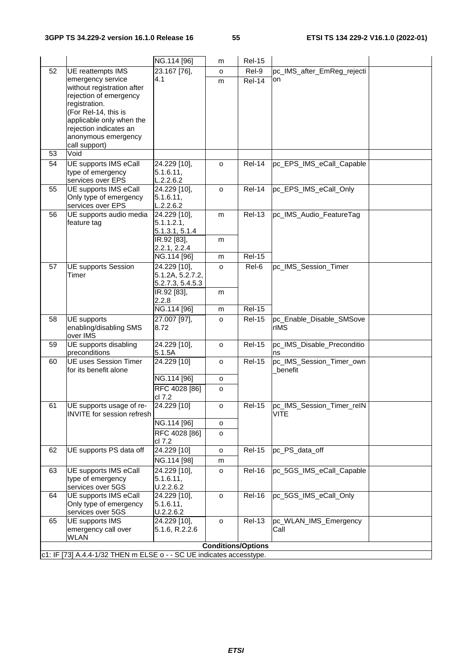|    |                                                                      | NG.114 [96]                    | m       | <b>Rel-15</b>                  |                                          |  |
|----|----------------------------------------------------------------------|--------------------------------|---------|--------------------------------|------------------------------------------|--|
| 52 | UE reattempts IMS                                                    | 23.167 [76],                   | 0       | Rel-9                          | pc_IMS_after_EmReg_rejecti               |  |
|    | emergency service                                                    | 4.1                            | m       | $Rel-14$                       | on                                       |  |
|    | without registration after                                           |                                |         |                                |                                          |  |
|    | rejection of emergency<br>registration.                              |                                |         |                                |                                          |  |
|    | (For Rel-14, this is                                                 |                                |         |                                |                                          |  |
|    | applicable only when the                                             |                                |         |                                |                                          |  |
|    | rejection indicates an                                               |                                |         |                                |                                          |  |
|    | anonymous emergency                                                  |                                |         |                                |                                          |  |
| 53 | call support)<br>Void                                                |                                |         |                                |                                          |  |
| 54 | UE supports IMS eCall                                                | 24.229 [10],                   | $\circ$ | Rel-14                         | pc_EPS_IMS_eCall_Capable                 |  |
|    | type of emergency                                                    | 5.1.6.11,                      |         |                                |                                          |  |
|    | services over EPS                                                    | L.2.2.6.2                      |         |                                |                                          |  |
| 55 | <b>UE supports IMS eCall</b>                                         | 24.229 [10],                   | o       | Rel-14                         | pc_EPS_IMS_eCall_Only                    |  |
|    | Only type of emergency                                               | 5.1.6.11,                      |         |                                |                                          |  |
| 56 | services over EPS<br>UE supports audio media                         | L.2.2.6.2<br>24.229 [10],      | m       | <b>Rel-13</b>                  | pc_IMS_Audio_FeatureTag                  |  |
|    | feature tag                                                          | 5.1.1.2.1,                     |         |                                |                                          |  |
|    |                                                                      | 5.1.3.1, 5.1.4                 |         |                                |                                          |  |
|    |                                                                      | IR.92 [83],                    | m       |                                |                                          |  |
|    |                                                                      | 2.2.1, 2.2.4<br>NG.114 [96]    |         | <b>Rel-15</b>                  |                                          |  |
| 57 | <b>UE supports Session</b>                                           | 24.229 [10],                   | m<br>o  | Rel-6                          | pc_IMS_Session_Timer                     |  |
|    | Timer                                                                | 5.1.2A, 5.2.7.2,               |         |                                |                                          |  |
|    |                                                                      | 5.2.7.3, 5.4.5.3               |         |                                |                                          |  |
|    |                                                                      | IR.92 [83],                    | m       |                                |                                          |  |
|    |                                                                      | 2.2.8                          |         |                                |                                          |  |
| 58 | UE supports                                                          | NG.114 [96]<br>27.007 [97],    | m       | <b>Rel-15</b><br><b>Rel-15</b> | pc_Enable_Disable_SMSove                 |  |
|    | enabling/disabling SMS                                               | 8.72                           | o       |                                | rIMS                                     |  |
|    | over IMS                                                             |                                |         |                                |                                          |  |
| 59 | UE supports disabling                                                | 24.229 [10],                   | $\circ$ | <b>Rel-15</b>                  | pc_IMS_Disable_Preconditio               |  |
| 60 | preconditions<br><b>UE uses Session Timer</b>                        | 5.1.5A<br>24.229 [10]          | 0       | <b>Rel-15</b>                  | ns<br>pc_IMS_Session_Timer_own           |  |
|    | for its benefit alone                                                |                                |         |                                | benefit                                  |  |
|    |                                                                      | NG.114 [96]                    | o       |                                |                                          |  |
|    |                                                                      | RFC 4028 [86]                  | o       |                                |                                          |  |
|    |                                                                      | cl 7.2                         |         | <b>Rel-15</b>                  |                                          |  |
| 61 | UE supports usage of re-<br>INVITE for session refresh               | 24.229 [10]                    | o       |                                | pc_IMS_Session_Timer_reIN<br><b>VITE</b> |  |
|    |                                                                      | NG.114 [96]                    | o       |                                |                                          |  |
|    |                                                                      | RFC 4028 [86]                  | o       |                                |                                          |  |
|    |                                                                      | cl 7.2                         |         |                                |                                          |  |
| 62 | UE supports PS data off                                              | 24.229 [10]                    | o       | <b>Rel-15</b>                  | pc_PS_data_off                           |  |
|    |                                                                      | NG.114 [98]                    | m       |                                |                                          |  |
| 63 | UE supports IMS eCall<br>type of emergency                           | 24.229 [10],                   | o       | <b>Rel-16</b>                  | pc 5GS_IMS_eCall_Capable                 |  |
|    | services over 5GS                                                    | 5.1.6.11,<br>U.2.2.6.2         |         |                                |                                          |  |
| 64 | UE supports IMS eCall                                                | 24.229 [10],                   | o       | <b>Rel-16</b>                  | pc_5GS_IMS_eCall_Only                    |  |
|    | Only type of emergency                                               | 5.1.6.11,                      |         |                                |                                          |  |
|    | services over 5GS                                                    | U.2.2.6.2                      |         |                                |                                          |  |
| 65 | UE supports IMS<br>emergency call over                               | 24.229 [10],<br>5.1.6, R.2.2.6 | o       | <b>Rel-13</b>                  | pc_WLAN_IMS_Emergency<br>Call            |  |
|    | WLAN                                                                 |                                |         |                                |                                          |  |
|    |                                                                      |                                |         | <b>Conditions/Options</b>      |                                          |  |
|    | c1: IF [73] A.4.4-1/32 THEN m ELSE o - - SC UE indicates accesstype. |                                |         |                                |                                          |  |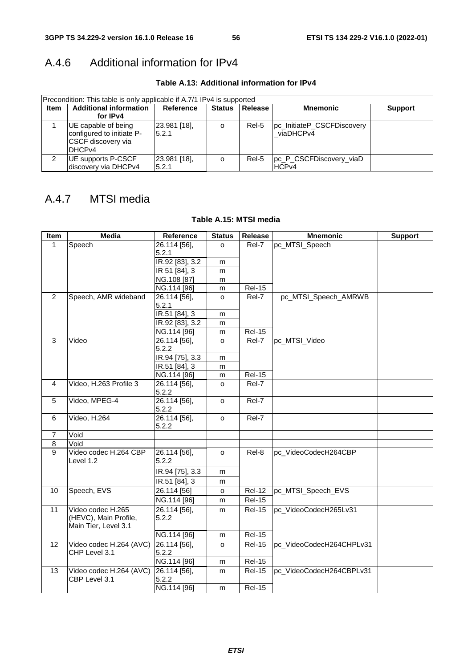# A.4.6 Additional information for IPv4

**Table A.13: Additional information for IPv4** 

|             | Precondition: This table is only applicable if A.7/1 IPv4 is supported                        |                           |               |         |                                         |                |  |  |  |
|-------------|-----------------------------------------------------------------------------------------------|---------------------------|---------------|---------|-----------------------------------------|----------------|--|--|--|
| <b>Item</b> | <b>Additional information</b>                                                                 | Reference                 | <b>Status</b> | Release | <b>Mnemonic</b>                         | <b>Support</b> |  |  |  |
|             | for IPv4                                                                                      |                           |               |         |                                         |                |  |  |  |
|             | UE capable of being<br>configured to initiate P-<br>ICSCF discovery via<br>DHCP <sub>V4</sub> | $[23.981]$ [18],<br>5.2.1 | o             | Rel-5   | pc_InitiateP_CSCFDiscovery<br>viaDHCPv4 |                |  |  |  |
| 2           | UE supports P-CSCF<br>Idiscoverv via DHCPv4                                                   | 23.981 [18],<br>5.2.1     | o             | Rel-5   | pc P CSCFDiscovery viaD<br><b>HCPv4</b> |                |  |  |  |

# A.4.7 MTSI media

### **Table A.15: MTSI media**

| <b>Item</b>    | <b>Media</b>                               | Reference                  | <b>Status</b> | Release       | <b>Mnemonic</b>          | <b>Support</b> |
|----------------|--------------------------------------------|----------------------------|---------------|---------------|--------------------------|----------------|
| $\mathbf{1}$   | Speech                                     | 26.114 [56],               | $\Omega$      | Rel-7         | pc MTSI Speech           |                |
|                |                                            | 5.2.1                      |               |               |                          |                |
|                |                                            | $R.92$ [83], 3.2           | m             |               |                          |                |
|                |                                            | $\overline{IR}$ 51 [84], 3 | m             |               |                          |                |
|                |                                            | NG.108 [87]                | m             |               |                          |                |
|                |                                            | NG.114 [96]                | m             | <b>Rel-15</b> |                          |                |
| $\overline{2}$ | Speech, AMR wideband                       | 26.114 [56],               | o             | Rel-7         | pc_MTSI_Speech_AMRWB     |                |
|                |                                            | 5.2.1                      |               |               |                          |                |
|                |                                            | $IR.51 [84]$ , 3           | m             |               |                          |                |
|                |                                            | IR.92 [83], 3.2            | m             |               |                          |                |
|                |                                            | NG.114 [96]                | m             | <b>Rel-15</b> |                          |                |
| 3              | Video                                      | 26.114 [56],               | o             | Rel-7         | pc_MTSI_Video            |                |
|                |                                            | 5.2.2                      |               |               |                          |                |
|                |                                            | IR.94 [75], 3.3            | m             |               |                          |                |
|                |                                            | IR.51 [84], 3              | m             |               |                          |                |
|                |                                            | NG.114 [96]                | m             | <b>Rel-15</b> |                          |                |
| 4              | Video, H.263 Profile 3                     | 26.114 [56],               | $\circ$       | Rel-7         |                          |                |
|                |                                            | 5.2.2                      |               |               |                          |                |
| 5              | Video, MPEG-4                              | 26.114 [56],               | $\circ$       | Rel-7         |                          |                |
|                |                                            | 5.2.2                      |               |               |                          |                |
| 6              | Video, H.264                               | 26.114 [56],<br>5.2.2      | $\circ$       | Rel-7         |                          |                |
| $\overline{7}$ | Void                                       |                            |               |               |                          |                |
| 8              | Void                                       |                            |               |               |                          |                |
| $\overline{9}$ | Video codec H.264 CBP<br>Level 1.2         | 26.114 [56],<br>5.2.2      | $\circ$       | Rel-8         | pc_VideoCodecH264CBP     |                |
|                |                                            |                            |               |               |                          |                |
|                |                                            | IR.94 [75], 3.3            | m             |               |                          |                |
|                |                                            | IR.51 [84], 3              | m             |               |                          |                |
| 10             | Speech, EVS                                | 26.114 [56]                | o             | <b>Rel-12</b> | pc_MTSI_Speech_EVS       |                |
|                |                                            | NG.114 [96]                | m             | <b>Rel-15</b> |                          |                |
| 11             | Video codec H.265<br>(HEVC), Main Profile, | 26.114 [56],<br>5.2.2      | m             | <b>Rel-15</b> | pc_VideoCodecH265Lv31    |                |
|                | Main Tier, Level 3.1                       |                            |               |               |                          |                |
|                |                                            | NG.114 [96]                | m             | <b>Rel-15</b> |                          |                |
| 12             | Video codec H.264 (AVC)                    | 26.114 [56],               | o             | <b>Rel-15</b> | pc_VideoCodecH264CHPLv31 |                |
|                | CHP Level 3.1                              | 5.2.2                      |               |               |                          |                |
|                |                                            | NG.114 [96]                | m             | <b>Rel-15</b> |                          |                |
| 13             | Video codec H.264 (AVC)                    | 26.114 [56],               | m             | <b>Rel-15</b> | pc_VideoCodecH264CBPLv31 |                |
|                | CBP Level 3.1                              | 5.2.2                      |               |               |                          |                |
|                |                                            | NG.114 [96]                | m             | <b>Rel-15</b> |                          |                |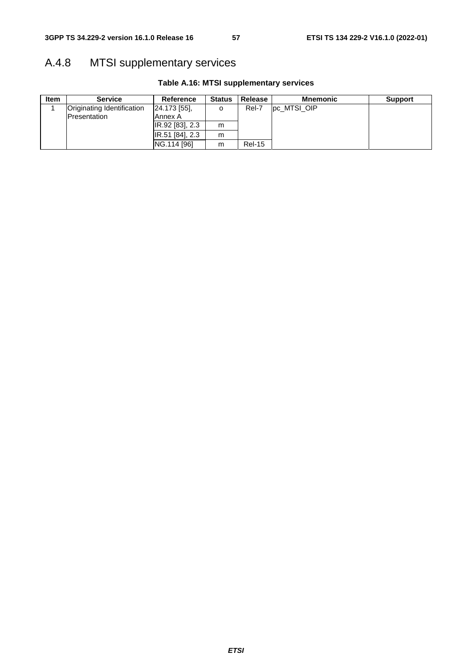# A.4.8 MTSI supplementary services

| <b>Item</b> | <b>Service</b>                    | Reference        | <b>Status</b> | Release       | <b>Mnemonic</b> | <b>Support</b> |
|-------------|-----------------------------------|------------------|---------------|---------------|-----------------|----------------|
|             | <b>Originating Identification</b> | $[24.173]$ [55], | o             | Rel-7         | pc MTSI OIP     |                |
|             | Presentation                      | Annex A          |               |               |                 |                |
|             |                                   | IR.92 [83], 2.3  | m             |               |                 |                |
|             |                                   | IR.51 [84], 2.3  | m             |               |                 |                |
|             |                                   | NG.114 [96]      | m             | <b>Rel-15</b> |                 |                |

## **Table A.16: MTSI supplementary services**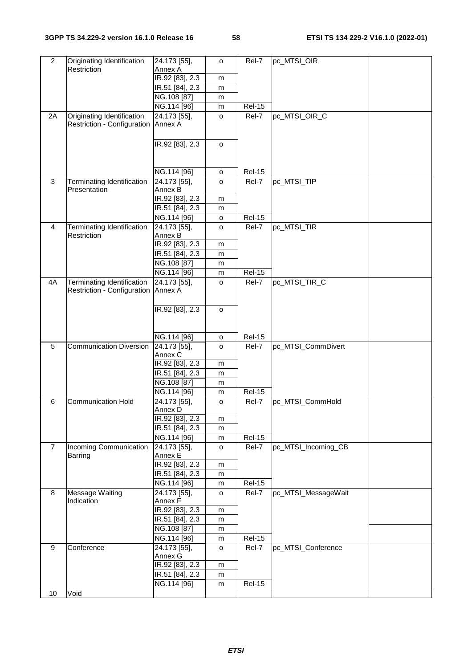| $\overline{2}$ | Originating Identification        | 24.173 [55],                     | $\circ$ | Rel-7                  | pc_MTSI_OIR         |  |
|----------------|-----------------------------------|----------------------------------|---------|------------------------|---------------------|--|
|                | Restriction                       | Annex A<br>IR.92 [83], 2.3       | m       |                        |                     |  |
|                |                                   | IR.51 [84], 2.3                  | m       |                        |                     |  |
|                |                                   | NG.108 [87]                      | m       |                        |                     |  |
|                |                                   | NG.114 [96]                      | m       | <b>Rel-15</b>          |                     |  |
| 2A             | Originating Identification        | 24.173 [55],                     | o       | Rel-7                  | pc_MTSI_OIR_C       |  |
|                | Restriction - Configuration       | Annex A                          |         |                        |                     |  |
|                |                                   |                                  |         |                        |                     |  |
|                |                                   | IR.92 [83], 2.3                  | $\circ$ |                        |                     |  |
|                |                                   |                                  |         |                        |                     |  |
|                |                                   |                                  |         |                        |                     |  |
|                |                                   | NG.114 [96]                      | o       | <b>Rel-15</b>          |                     |  |
| 3              | Terminating Identification        | 24.173 [55],                     | $\circ$ | Rel-7                  | pc_MTSI_TIP         |  |
|                | Presentation                      | Annex B                          |         |                        |                     |  |
|                |                                   | IR.92 [83], 2.3                  | m       |                        |                     |  |
|                |                                   | IR.51 [84], 2.3                  | m       |                        |                     |  |
| 4              | Terminating Identification        | NG.114 [96]<br>24.173 [55],      | o       | <b>Rel-15</b><br>Rel-7 | pc_MTSI_TIR         |  |
|                | Restriction                       | Annex B                          | o       |                        |                     |  |
|                |                                   | IR.92 [83], 2.3                  | m       |                        |                     |  |
|                |                                   | IR.51 [84], 2.3                  | m       |                        |                     |  |
|                |                                   | NG.108 [87]                      | m       |                        |                     |  |
|                |                                   | NG.114 [96]                      | m       | <b>Rel-15</b>          |                     |  |
| 4A             | <b>Terminating Identification</b> | 24.173 [55],                     | o       | Rel-7                  | pc_MTSI_TIR_C       |  |
|                | Restriction - Configuration       | Annex A                          |         |                        |                     |  |
|                |                                   |                                  |         |                        |                     |  |
|                |                                   | IR.92 [83], 2.3                  | o       |                        |                     |  |
|                |                                   |                                  |         |                        |                     |  |
|                |                                   |                                  |         |                        |                     |  |
| 5              | <b>Communication Diversion</b>    | NG.114 [96]<br>24.173 [55],      | o       | <b>Rel-15</b>          | pc_MTSI_CommDivert  |  |
|                |                                   | Annex C                          | $\circ$ | Rel-7                  |                     |  |
|                |                                   | IR.92 [83], 2.3                  | m       |                        |                     |  |
|                |                                   | IR.51 [84], 2.3                  | m       |                        |                     |  |
|                |                                   | NG.108 [87]                      | m       |                        |                     |  |
|                |                                   | NG.114 [96]                      | m       | <b>Rel-15</b>          |                     |  |
| 6              | <b>Communication Hold</b>         | 24.173 [55],                     | $\circ$ | Rel-7                  | pc_MTSI_CommHold    |  |
|                |                                   | Annex D                          |         |                        |                     |  |
|                |                                   | IR.92 [83], 2.3                  | m       |                        |                     |  |
|                |                                   | IR.51 [84], 2.3                  | m       |                        |                     |  |
|                |                                   | NG.114 [96]                      | m       | <b>Rel-15</b>          |                     |  |
| $\overline{7}$ | Incoming Communication<br>Barring | $\sqrt{24.173}$ [55],<br>Annex E | o       | Rel-7                  | pc_MTSI_Incoming_CB |  |
|                |                                   | IR.92 [83], 2.3                  | m       |                        |                     |  |
|                |                                   | IR.51 [84], 2.3                  | m       |                        |                     |  |
|                |                                   | NG.114 [96]                      | m       | <b>Rel-15</b>          |                     |  |
| 8              | Message Waiting                   | 24.173 [55],                     | o       | Rel-7                  | pc_MTSI_MessageWait |  |
|                | Indication                        | Annex F                          |         |                        |                     |  |
|                |                                   | IR.92 [83], 2.3                  | m       |                        |                     |  |
|                |                                   | IR.51 [84], 2.3                  | m       |                        |                     |  |
|                |                                   | NG.108 [87]                      | m       |                        |                     |  |
|                |                                   | NG.114 [96]                      | m       | <b>Rel-15</b>          |                     |  |
| 9              | Conference                        | 24.173 [55],                     | $\circ$ | Rel-7                  | pc_MTSI_Conference  |  |
|                |                                   | Annex G                          |         |                        |                     |  |
|                |                                   | IR.92 [83], 2.3                  | m       |                        |                     |  |
|                |                                   | IR.51 [84], 2.3<br>NG.114 [96]   | m       | <b>Rel-15</b>          |                     |  |
| 10             | Void                              |                                  | m       |                        |                     |  |
|                |                                   |                                  |         |                        |                     |  |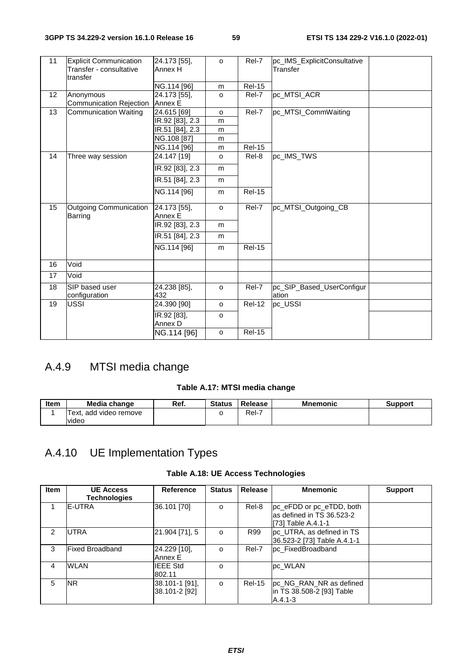| 11 | <b>Explicit Communication</b><br>Transfer - consultative<br>transfer | 24.173 [55],<br>Annex H | $\Omega$     | Rel-7         | pc_IMS_ExplicitConsultative<br>Transfer |  |
|----|----------------------------------------------------------------------|-------------------------|--------------|---------------|-----------------------------------------|--|
|    |                                                                      | NG.114 [96]             | m            | <b>Rel-15</b> |                                         |  |
| 12 | Anonymous<br>Communication Rejection                                 | 24.173 [55],<br>Annex E | $\circ$      | Rel-7         | pc MTSI ACR                             |  |
| 13 | <b>Communication Waiting</b>                                         | 24.615 [69]             | $\circ$      | Rel-7         | pc_MTSI_CommWaiting                     |  |
|    |                                                                      | IR.92 [83], 2.3         | m            |               |                                         |  |
|    |                                                                      | IR.51 [84], 2.3         | m            |               |                                         |  |
|    |                                                                      | NG.108 [87]             | m            |               |                                         |  |
|    |                                                                      | NG.114 [96]             | m            | <b>Rel-15</b> |                                         |  |
| 14 | Three way session                                                    | 24.147 [19]             | $\mathsf{o}$ | Rel-8         | pc IMS_TWS                              |  |
|    |                                                                      | IR.92 [83], 2.3         | m            |               |                                         |  |
|    |                                                                      | IR.51 [84], 2.3         | m            |               |                                         |  |
|    |                                                                      | NG.114 [96]             | m            | <b>Rel-15</b> |                                         |  |
| 15 | <b>Outgoing Communication</b><br>Barring                             | 24.173 [55],<br>Annex E | $\circ$      | Rel-7         | pc MTSI Outgoing CB                     |  |
|    |                                                                      | IR.92 [83], 2.3         | m            |               |                                         |  |
|    |                                                                      | IR.51 [84], 2.3         | m            |               |                                         |  |
|    |                                                                      | NG.114 [96]             | m            | <b>Rel-15</b> |                                         |  |
| 16 | Void                                                                 |                         |              |               |                                         |  |
| 17 | Void                                                                 |                         |              |               |                                         |  |
| 18 | SIP based user<br>configuration                                      | 24.238 [85],<br>432     | $\circ$      | Rel-7         | pc_SIP_Based_UserConfigur<br>ation      |  |
| 19 | <b>USSI</b>                                                          | 24.390 [90]             | $\circ$      | <b>Rel-12</b> | pc_USSI                                 |  |
|    |                                                                      | IR.92 [83],<br>Annex D  | $\circ$      |               |                                         |  |
|    |                                                                      | NG.114 [96]             | $\circ$      | <b>Rel-15</b> |                                         |  |

# A.4.9 MTSI media change

## **Table A.17: MTSI media change**

| Item | Media change           | Ref. | <b>Status</b> | Release | <b>Mnemonic</b> | Support |
|------|------------------------|------|---------------|---------|-----------------|---------|
|      | Text. add video remove |      |               | $ReI-I$ |                 |         |
|      | video                  |      |               |         |                 |         |

# A.4.10 UE Implementation Types

|  |  |  |  | Table A.18: UE Access Technologies |
|--|--|--|--|------------------------------------|
|--|--|--|--|------------------------------------|

| <b>Item</b>   | <b>UE Access</b><br><b>Technologies</b> | Reference                       | <b>Status</b> | Release       | <b>Mnemonic</b>                                                             | <b>Support</b> |
|---------------|-----------------------------------------|---------------------------------|---------------|---------------|-----------------------------------------------------------------------------|----------------|
|               | IE-UTRA                                 | 36.101 [70]                     | $\circ$       | Rel-8         | pc eFDD or pc eTDD, both<br>as defined in TS 36.523-2<br>[73] Table A.4.1-1 |                |
| $\mathcal{P}$ | <b>UTRA</b>                             | 21.904 [71], 5                  | $\Omega$      | R99           | pc_UTRA, as defined in TS<br>36.523-2 [73] Table A.4.1-1                    |                |
| 3             | <b>Fixed Broadband</b>                  | 24.229 [10],<br>Annex E         | $\Omega$      | Rel-7         | pc FixedBroadband                                                           |                |
| 4             | <b>WLAN</b>                             | <b>IEEE Std</b><br>802.11       | $\Omega$      |               | pc WLAN                                                                     |                |
| 5             | <b>NR</b>                               | 38.101-1 [91],<br>38.101-2 [92] | $\Omega$      | <b>Rel-15</b> | pc_NG_RAN_NR as defined<br>in TS 38.508-2 [93] Table<br>A.4.1-3             |                |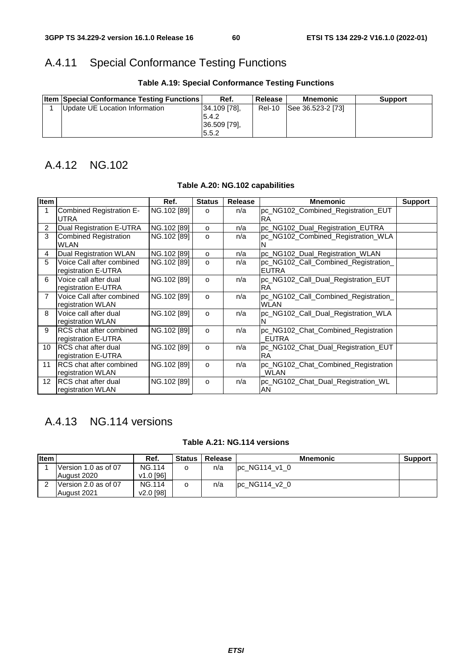# A.4.11 Special Conformance Testing Functions

| <b>Item Special Conformance Testing Functions</b> | Ref.                                            | <b>Release</b> | <b>Mnemonic</b>   | <b>Support</b> |
|---------------------------------------------------|-------------------------------------------------|----------------|-------------------|----------------|
| Update UE Location Information                    | 34.109 [78].<br>5.4.2<br>36.509 [79].<br>.5.5.2 | <b>Rel-10</b>  | See 36.523-2 [73] |                |

## **Table A.19: Special Conformance Testing Functions**

# A.4.12 NG.102

| Item            |                                                       | Ref.        | <b>Status</b> | <b>Release</b> | <b>Mnemonic</b>                                      | <b>Support</b> |
|-----------------|-------------------------------------------------------|-------------|---------------|----------------|------------------------------------------------------|----------------|
| 1               | Combined Registration E-<br>UTRA                      | NG.102 [89] | $\circ$       | n/a            | pc_NG102_Combined_Registration_EUT<br><b>RA</b>      |                |
| 2               | Dual Registration E-UTRA                              | NG.102 [89] | $\circ$       | n/a            | pc_NG102_Dual_Registration_EUTRA                     |                |
| 3               | <b>Combined Registration</b><br>WLAN                  | NG.102 [89] | $\Omega$      | n/a            | pc_NG102_Combined_Registration_WLA                   |                |
| 4               | Dual Registration WLAN                                | NG.102 [89] | $\Omega$      | n/a            | pc_NG102_Dual_Registration_WLAN                      |                |
| 5               | Voice Call after combined<br>registration E-UTRA      | NG.102 [89] | o             | n/a            | pc_NG102_Call_Combined_Registration_<br><b>EUTRA</b> |                |
| 6               | Voice call after dual<br>registration E-UTRA          | NG.102 [89] | $\circ$       | n/a            | pc_NG102_Call_Dual_Registration_EUT<br><b>RA</b>     |                |
| $\overline{7}$  | Voice Call after combined<br>registration WLAN        | NG.102 [89] | $\Omega$      | n/a            | pc_NG102_Call_Combined_Registration_<br><b>WLAN</b>  |                |
| 8               | Voice call after dual<br>registration WLAN            | NG.102 [89] | $\Omega$      | n/a            | pc_NG102_Call_Dual_Registration_WLA                  |                |
| 9               | <b>RCS</b> chat after combined<br>registration E-UTRA | NG.102 [89] | $\Omega$      | n/a            | pc_NG102_Chat_Combined_Registration<br><b>EUTRA</b>  |                |
| 10 <sup>°</sup> | <b>IRCS</b> chat after dual<br>registration E-UTRA    | NG.102 [89] | $\circ$       | n/a            | pc_NG102_Chat_Dual_Registration_EUT<br><b>RA</b>     |                |
| 11              | <b>IRCS</b> chat after combined<br>registration WLAN  | NG.102 [89] | $\Omega$      | n/a            | pc_NG102_Chat_Combined_Registration<br><b>WLAN</b>   |                |
| 12 <sup>2</sup> | IRCS chat after dual<br>registration WLAN             | NG.102 [89] | $\circ$       | n/a            | pc_NG102_Chat_Dual_Registration_WL<br>AN             |                |

### **Table A.20: NG.102 capabilities**

# A.4.13 NG.114 versions

### **Table A.21: NG.114 versions**

| <b>Item</b> |                      | Ref.                  | <b>Status</b> | Release | <b>Mnemonic</b> | <b>Support</b> |
|-------------|----------------------|-----------------------|---------------|---------|-----------------|----------------|
|             | Version 1.0 as of 07 | <b>NG.114</b>         |               | n/a     | $pc$ NG114 v1 0 |                |
|             | August 2020          | $v1.0$ [96]           |               |         |                 |                |
|             | Version 2.0 as of 07 | <b>NG.114</b>         |               | n/a     | pc_NG114_v2_0   |                |
|             | August 2021          | v <sub>2.0</sub> [98] |               |         |                 |                |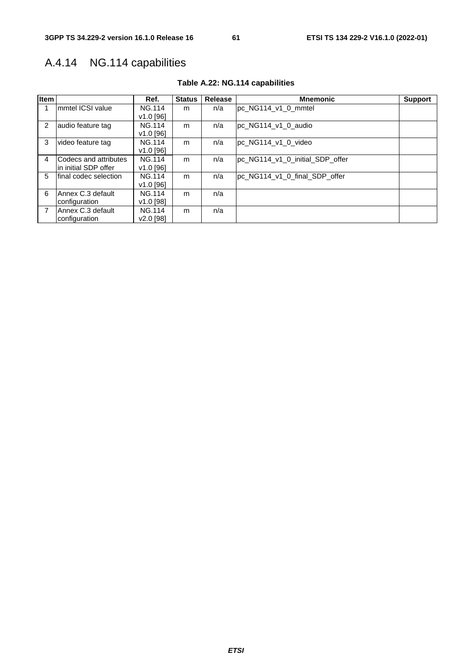# A.4.14 NG.114 capabilities

| Item           |                              | Ref.                  | <b>Status</b> | Release | <b>Mnemonic</b>                 | <b>Support</b> |
|----------------|------------------------------|-----------------------|---------------|---------|---------------------------------|----------------|
|                | Immtel ICSI value            | <b>NG.114</b>         | m             | n/a     | pc NG114 v1 0 mmtel             |                |
|                |                              | $V1.0$ [96]           |               |         |                                 |                |
| $\overline{2}$ | audio feature tag            | <b>NG.114</b>         | m             | n/a     | pc NG114 v1 0 audio             |                |
|                |                              | $v1.0$ [96]           |               |         |                                 |                |
| 3              | video feature tag            | <b>NG.114</b>         | m             | n/a     | pc NG114 v1 0 video             |                |
|                |                              | $v1.0$ [96]           |               |         |                                 |                |
| 4              | <b>Codecs and attributes</b> | <b>NG.114</b>         | m             | n/a     | pc_NG114_v1_0_initial_SDP_offer |                |
|                | lin initial SDP offer        | $V1.0$ [96]           |               |         |                                 |                |
| 5              | final codec selection        | <b>NG.114</b>         | m             | n/a     | pc_NG114_v1_0_final_SDP_offer   |                |
|                |                              | $v1.0$ [96]           |               |         |                                 |                |
| 6              | Annex C.3 default            | <b>NG.114</b>         | m             | n/a     |                                 |                |
|                | configuration                | v1.0 [98]             |               |         |                                 |                |
| $\overline{7}$ | Annex C.3 default            | <b>NG.114</b>         | m             | n/a     |                                 |                |
|                | configuration                | v <sub>2.0</sub> [98] |               |         |                                 |                |

## **Table A.22: NG.114 capabilities**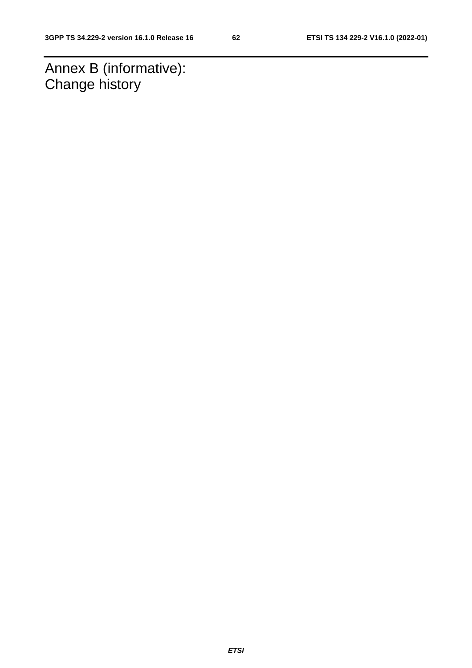Annex B (informative): Change history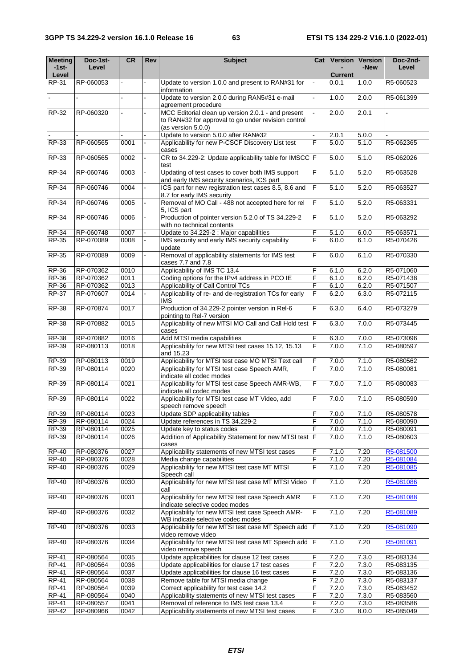| <b>Meeting</b><br>$-1$ st $-$ | Doc-1st-<br>Level      | CR           | Rev | <b>Subject</b>                                                                                 | Cat            |                | Version   Version<br>-New | Doc-2nd-<br>Level      |
|-------------------------------|------------------------|--------------|-----|------------------------------------------------------------------------------------------------|----------------|----------------|---------------------------|------------------------|
| Level                         |                        |              |     |                                                                                                |                | <b>Current</b> |                           |                        |
| RP-31                         | RP-060053              |              |     | Update to version 1.0.0 and present to RAN#31 for<br>information                               |                | 0.0.1          | 1.0.0                     | R5-060523              |
|                               |                        |              |     | Update to version 2.0.0 during RAN5#31 e-mail<br>agreement procedure                           |                | 1.0.0          | 2.0.0                     | R5-061399              |
| RP-32                         | RP-060320              |              |     | MCC Editorial clean up version 2.0.1 - and present                                             |                | 2.0.0          | 2.0.1                     |                        |
|                               |                        |              |     | to RAN#32 for approval to go under revision control<br>(as version 5.0.0)                      |                |                |                           |                        |
|                               |                        |              |     | Update to version 5.0.0 after RAN#32                                                           |                | 2.0.1          | 5.0.0                     |                        |
| RP-33                         | RP-060565              | 0001         |     | Applicability for new P-CSCF Discovery List test<br>cases                                      | F              | 5.0.0          | 5.1.0                     | R5-062365              |
| RP-33                         | RP-060565              | 0002         | ÷.  | CR to 34.229-2: Update applicability table for IMSCC F<br>test                                 |                | 5.0.0          | 5.1.0                     | R5-062026              |
| <b>RP-34</b>                  | RP-060746              | 0003         |     | Updating of test cases to cover both IMS support<br>and early IMS security scenarios, ICS part | F              | 5.1.0          | 5.2.0                     | R5-063528              |
| <b>RP-34</b>                  | RP-060746              | 0004         |     | ICS part for new registration test cases 8.5, 8.6 and<br>8.7 for early IMS security            | F              | 5.1.0          | 5.2.0                     | R5-063527              |
| $RP-34$                       | RP-060746              | 0005         |     | Removal of MO Call - 488 not accepted here for rel<br>5, ICS part                              | F              | 5.1.0          | 5.2.0                     | R5-063331              |
| <b>RP-34</b>                  | RP-060746              | 0006         |     | Production of pointer version 5.2.0 of TS 34.229-2<br>with no technical contents               | F              | 5.1.0          | 5.2.0                     | R5-063292              |
| <b>RP-34</b>                  | RP-060748              | 0007         |     | Update to 34.229-2 : Major capabilities                                                        | F              | 5.1.0          | 6.0.0                     | R5-063571              |
| <b>RP-35</b>                  | RP-070089              | 0008         |     | IMS security and early IMS security capability                                                 | F              | 6.0.0          | 6.1.0                     | R5-070426              |
| <b>RP-35</b>                  | RP-070089              | 0009         |     | update<br>Removal of applicability statements for IMS test                                     | F              | 6.0.0          | 6.1.0                     | R5-070330              |
|                               |                        |              |     | cases 7.7 and 7.8                                                                              |                |                |                           |                        |
| RP-36                         | RP-070362              | 0010         |     | Applicability of IMS TC 13.4                                                                   | F              | 6.1.0          | 6.2.0                     | R5-071060              |
| <b>RP-36</b><br>RP-36         | RP-070362<br>RP-070362 | 0011<br>0013 |     | Coding options for the IPv4 address in PCO IE<br>Applicability of Call Control TCs             | F<br>F         | 6.1.0<br>6.1.0 | 6.2.0<br>6.2.0            | R5-071438<br>R5-071507 |
| <b>RP-37</b>                  | RP-070607              | 0014         |     | Applicability of re- and de-registration TCs for early<br>IMS                                  | F              | 6.2.0          | 6.3.0                     | R5-072115              |
| <b>RP-38</b>                  | RP-070874              | 0017         |     | Production of 34.229-2 pointer version in Rel-6<br>pointing to Rel-7 version                   | F              | 6.3.0          | 6.4.0                     | R5-073279              |
| <b>RP-38</b>                  | RP-070882              | 0015         |     | Applicability of new MTSI MO Call and Call Hold test F<br>cases                                |                | 6.3.0          | 7.0.0                     | R5-073445              |
| <b>RP-38</b>                  | RP-070882              | 0016         |     | Add MTSI media capabilities                                                                    | F              | 6.3.0          | 7.0.0                     | R5-073096              |
| RP-39                         | RP-080113              | 0018         |     | Applicability for new MTSI test cases 15.12, 15.13<br>and 15.23                                | F              | 7.0.0          | 7.1.0                     | R5-080597              |
| RP-39                         | RP-080113              | 0019         |     | Applicability for MTSI test case MO MTSI Text call                                             | F              | 7.0.0          | 7.1.0                     | R5-080562              |
| RP-39                         | RP-080114              | 0020         |     | Applicability for MTSI test case Speech AMR,<br>indicate all codec modes                       | F              | 7.0.0          | 7.1.0                     | R5-080081              |
| RP-39                         | RP-080114              | 0021         |     | Applicability for MTSI test case Speech AMR-WB,<br>indicate all codec modes                    | $\overline{F}$ | 7.0.0          | 7.1.0                     | R5-080083              |
| RP-39                         | RP-080114              | 0022         |     | Applicability for MTSI test case MT Video, add<br>speech remove speech                         | F              | 7.0.0          | 7.1.0                     | R5-080590              |
| <b>RP-39</b>                  | RP-080114              | 0023         |     | Update SDP applicability tables                                                                | F              | 7.0.0          | 7.1.0                     | R5-080578              |
| <b>RP-39</b>                  | RP-080114              | 0024         |     | Update references in TS 34.229-2                                                               | F              | 7.0.0          | 7.1.0                     | R5-080090              |
| <b>RP-39</b>                  | RP-080114              | 0025         |     | Update key to status codes                                                                     | F              | 7.0.0          | 7.1.0                     | R5-080091              |
| <b>RP-39</b>                  | RP-080114              | 0026         |     | Addition of Applicability Statement for new MTSI test   F<br>cases                             |                | 7.0.0          | 7.1.0                     | R5-080603              |
| <b>RP-40</b>                  | RP-080376              | 0027         |     | Applicability statements of new MTSI test cases                                                | F              | 7.1.0          | 7.20                      | R5-081500              |
| <b>RP-40</b><br><b>RP-40</b>  | RP-080376<br>RP-080376 | 0028<br>0029 |     | Media change capabilities<br>Applicability for new MTSI test case MT MTSI                      | F<br>F         | 7.1.0<br>7.1.0 | 7.20<br>7.20              | R5-081084<br>R5-081085 |
| <b>RP-40</b>                  | RP-080376              | 0030         |     | Speech call<br>Applicability for new MTSI test case MT MTSI Video<br>call                      | F              | 7.1.0          | 7.20                      | R5-081086              |
| <b>RP-40</b>                  | RP-080376              | 0031         |     | Applicability for new MTSI test case Speech AMR<br>indicate selective codec modes              | F              | 7.1.0          | 7.20                      | R5-081088              |
| <b>RP-40</b>                  | RP-080376              | 0032         |     | Applicability for new MTSI test case Speech AMR-<br>WB indicate selective codec modes          | $\overline{F}$ | 7.1.0          | 7.20                      | R5-081089              |
| <b>RP-40</b>                  | RP-080376              | 0033         |     | Applicability for new MTSI test case MT Speech add F<br>video remove video                     |                | 7.1.0          | 7.20                      | R5-081090              |
| <b>RP-40</b>                  | RP-080376              | 0034         |     | Applicability for new MTSI test case MT Speech add                                             | IF             | 7.1.0          | 7.20                      | R5-081091              |
| $\overline{RP}$ -41           | RP-080564              | 0035         |     | video remove speech<br>F<br>Update applicabilities for clause 12 test cases<br>7.2.0           |                | 7.3.0          | R5-083134                 |                        |
| <b>RP-41</b>                  | RP-080564              | 0036         |     | Update applicabilities for clause 17 test cases                                                | F              | 7.2.0          | 7.3.0                     | R5-083135              |
| $RP-41$                       | RP-080564              | 0037         |     | Update applicabilities for clause 16 test cases                                                | F              | 7.2.0          | 7.3.0                     | R5-083136              |
| $RP-41$                       | RP-080564              | 0038         |     | Remove table for MTSI media change                                                             | F              | 7.2.0          | 7.3.0                     | R5-083137              |
| <b>RP-41</b>                  | RP-080564              | 0039         |     | Correct applicability for test case 14.2                                                       | F              | 7.2.0          | 7.3.0                     | R5-083452              |
| <b>RP-41</b>                  | RP-080564              | 0040         |     | Applicability statements of new MTSI test cases                                                | F              | 7.2.0          | 7.3.0                     | R5-083560              |
| <b>RP-41</b>                  | RP-080557              | 0041         |     | Removal of reference to IMS test case 13.4                                                     | F              | 7.2.0          | 7.3.0                     | R5-083586              |
| <b>RP-42</b>                  | RP-080966              | 0042         |     | Applicability statements of new MTSI test cases                                                | F              | 7.3.0          | 8.0.0                     | R5-085049              |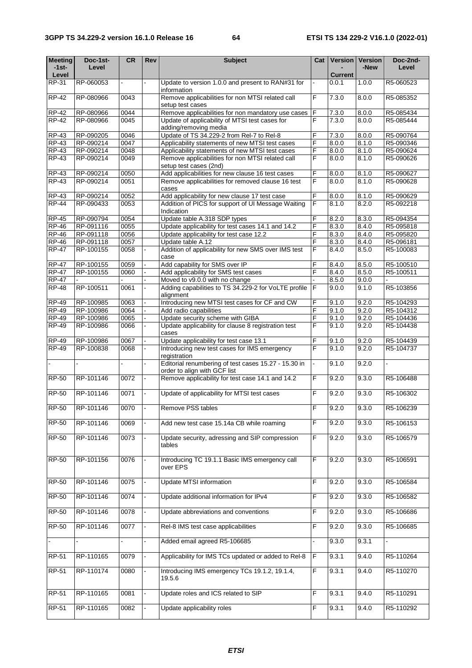| <b>Meeting</b> | Doc-1st-  | CR           | Rev            | <b>Subject</b>                                                                       | Cat            | Version        | <b>Version</b> | Doc-2nd-               |
|----------------|-----------|--------------|----------------|--------------------------------------------------------------------------------------|----------------|----------------|----------------|------------------------|
| -1st-<br>Level | Level     |              |                |                                                                                      |                | <b>Current</b> | -New           | Level                  |
| RP-31          | RP-060053 |              |                | Update to version 1.0.0 and present to RAN#31 for                                    |                | 0.0.1          | 1.0.0          | R5-060523              |
| <b>RP-42</b>   | RP-080966 | 0043         |                | information<br>Remove applicabilities for non MTSI related call                      | F              | 7.3.0          | 8.0.0          | R5-085352              |
| <b>RP-42</b>   | RP-080966 |              |                | setup test cases<br>Remove applicabilities for non mandatory use cases               | F              |                | 8.0.0          |                        |
| <b>RP-42</b>   | RP-080966 | 0044<br>0045 |                | Update of applicability of MTSI test cases for                                       |                | 7.3.0<br>7.3.0 | 8.0.0          | R5-085434<br>R5-085444 |
|                |           |              |                | adding/removing media                                                                | F              |                |                |                        |
| <b>RP-43</b>   | RP-090205 | 0046         |                | Update of TS 34.229-2 from Rel-7 to Rel-8                                            | F              | 7.3.0          | 8.0.0          | R5-090764              |
| <b>RP-43</b>   | RP-090214 | 0047         |                | Applicability statements of new MTSI test cases                                      | F              | 8.0.0          | 8.1.0          | R5-090346              |
| <b>RP-43</b>   | RP-090214 | 0048         |                | Applicability statements of new MTSI test cases                                      | F              | 8.0.0          | 8.1.0          | R5-090624              |
| $RP-43$        | RP-090214 | 0049         |                | Remove applicabilities for non MTSI related call<br>setup test cases (2nd)           | F              | 8.0.0          | 8.1.0          | R5-090626              |
| RP-43          | RP-090214 | 0050         |                | Add applicabilities for new clause 16 test cases                                     | F              | 8.0.0          | 8.1.0          | R5-090627              |
| <b>RP-43</b>   | RP-090214 | 0051         |                | Remove applicabilities for removed clause 16 test<br>cases                           | F              | 8.0.0          | 8.1.0          | R5-090628              |
| <b>RP-43</b>   | RP-090214 | 0052         |                | Add applicability for new clause 17 test case                                        | F              | 8.0.0          | 8.1.0          | R5-090629              |
| <b>RP-44</b>   | RP-090433 | 0053         |                | Addition of PICS for support of UI Message Waiting<br>Indication                     | F              | 8.1.0          | 8.2.0          | R5-092218              |
| <b>RP-45</b>   | RP-090794 | 0054         |                | Update table A.318 SDP types                                                         | F              | 8.2.0          | 8.3.0          | R5-094354              |
| <b>RP-46</b>   | RP-091116 | 0055         |                | Update applicability for test cases 14.1 and 14.2                                    | F              | 8.3.0          | 8.4.0          | R5-095818              |
| <b>RP-46</b>   | RP-091118 | 0056         |                | Update applicability for test case 12.2                                              | F              | 8.3.0          | 8.4.0          | R5-095820              |
| $RP-46$        | RP-091118 | 0057         |                | Update table A.12                                                                    | F              | 8.3.0          | 8.4.0          | R5-096181              |
| <b>RP-47</b>   | RP-100155 | 0058         |                | Addition of applicability for new SMS over IMS test<br>case                          | F              | 8.4.0          | 8.5.0          | R5-100083              |
| <b>RP-47</b>   | RP-100155 | 0059         |                | Add capability for SMS over IP                                                       | F              | 8.4.0          | 8.5.0          | R5-100510              |
| <b>RP-47</b>   | RP-100155 | 0060         |                | Add applicability for SMS test cases                                                 | F              | 8.4.0          | 8.5.0          | R5-100511              |
| <b>RP-47</b>   |           |              |                | Moved to v9.0.0 with no change                                                       |                | 8.5.0          | 9.0.0          |                        |
| <b>RP-48</b>   | RP-100511 | 0061         |                | Adding capabilities to TS 34.229-2 for VoLTE profile<br>alignment                    | F              | 9.0.0          | 9.1.0          | R5-103856              |
| <b>RP-49</b>   | RP-100985 | 0063         |                | Introducing new MTSI test cases for CF and CW                                        | F              | 9.1.0          | 9.2.0          | R5-104293              |
| <b>RP-49</b>   | RP-100986 | 0064         |                | Add radio capabilities                                                               | F              | 9.1.0          | 9.2.0          | R5-104312              |
| <b>RP-49</b>   | RP-100986 | 0065         |                | Update security scheme with GIBA                                                     | F              | 9.1.0          | 9.2.0          | R5-104436              |
| <b>RP-49</b>   | RP-100986 | 0066         |                | Update applicability for clause 8 registration test<br>cases                         | F              | 9.1.0          | 9.2.0          | R5-104438              |
| <b>RP-49</b>   | RP-100986 | 0067         |                | Update applicability for test case 13.1                                              | F              | 9.1.0          | 9.2.0          | R5-104439              |
| $RP-49$        | RP-100838 | 0068         |                | Introducing new test cases for IMS emergency<br>registration                         | F              | 9.1.0          | 9.2.0          | R5-104737              |
|                |           |              |                | Editorial renumbering of test cases 15.27 - 15.30 in<br>order to align with GCF list |                | 9.1.0          | 9.2.0          |                        |
| RP-50          | RP-101146 | 0072         |                | Remove applicability for test case 14.1 and 14.2                                     | F              | 9.2.0          | 9.3.0          | R5-106488              |
| <b>RP-50</b>   | RP-101146 | 0071         |                | Update of applicability for MTSI test cases                                          | F              | 9.2.0          | 9.3.0          | R5-106302              |
| <b>RP-50</b>   | RP-101146 | 0070         |                | Remove PSS tables                                                                    | $\overline{F}$ | 9.2.0          | 9.3.0          | R5-106239              |
| <b>RP-50</b>   | RP-101146 | 0069         |                | Add new test case 15.14a CB while roaming                                            | $\mathsf F$    | 9.2.0          | 9.3.0          | R5-106153              |
| <b>RP-50</b>   | RP-101146 | 0073         |                | Update security, adressing and SIP compression<br>tables                             | F              | 9.2.0          | 9.3.0          | R5-106579              |
|                |           |              |                |                                                                                      |                |                |                |                        |
| <b>RP-50</b>   | RP-101156 | 0076         |                | Introducing TC 19.1.1 Basic IMS emergency call<br>over EPS                           | F              | 9.2.0          | 9.3.0          | R5-106591              |
| <b>RP-50</b>   | RP-101146 | 0075         |                | <b>Update MTSI information</b>                                                       | F              | 9.2.0          | 9.3.0          | R5-106584              |
| <b>RP-50</b>   | RP-101146 | 0074         |                | Update additional information for IPv4                                               | F              | 9.2.0          | 9.3.0          | R5-106582              |
| <b>RP-50</b>   | RP-101146 | 0078         |                | Update abbreviations and conventions                                                 | F              | 9.2.0          | 9.3.0          | R5-106686              |
| <b>RP-50</b>   | RP-101146 | 0077         | $\blacksquare$ | Rel-8 IMS test case applicabilities                                                  | F              | 9.2.0          | 9.3.0          | R5-106685              |
|                |           |              |                | Added email agreed R5-106685                                                         |                | 9.3.0          | 9.3.1          |                        |
| <b>RP-51</b>   | RP-110165 | 0079         |                | Applicability for IMS TCs updated or added to Rel-8                                  | $\mathsf F$    | 9.3.1          | 9.4.0          | R5-110264              |
| <b>RP-51</b>   | RP-110174 | 0080         |                | Introducing IMS emergency TCs 19.1.2, 19.1.4,<br>19.5.6                              | F              | 9.3.1          | 9.4.0          | R5-110270              |
| RP-51          | RP-110165 | 0081         |                | Update roles and ICS related to SIP                                                  | F              | 9.3.1          | 9.4.0          | R5-110291              |
| <b>RP-51</b>   | RP-110165 | 0082         |                | Update applicability roles                                                           | F              | 9.3.1          | 9.4.0          | R5-110292              |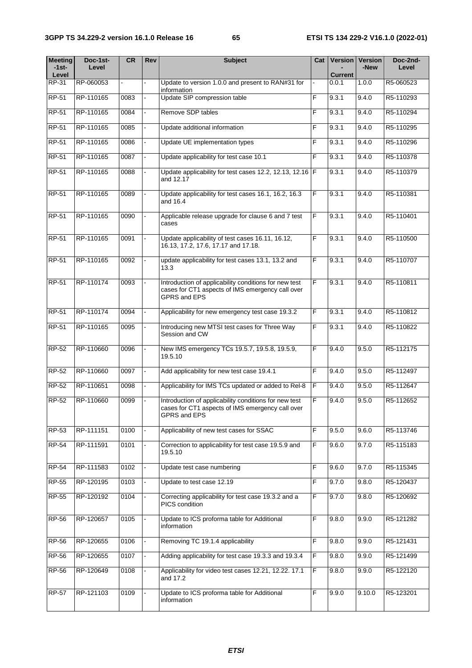| <b>Meeting</b><br>$-1$ st $-$ | Doc-1st-<br>Level | <b>CR</b> | <b>Rev</b> | <b>Subject</b>                                                                                                                   | Cat            |                         | Version   Version<br>-New | Doc-2nd-<br>Level |
|-------------------------------|-------------------|-----------|------------|----------------------------------------------------------------------------------------------------------------------------------|----------------|-------------------------|---------------------------|-------------------|
| Level<br>RP-31                | RP-060053         |           |            | Update to version 1.0.0 and present to RAN#31 for                                                                                |                | <b>Current</b><br>0.0.1 | 1.0.0                     | R5-060523         |
| <b>RP-51</b>                  | RP-110165         | 0083      |            | information<br>Update SIP compression table                                                                                      | F              | 9.3.1                   | 9.4.0                     | R5-110293         |
|                               |                   |           |            |                                                                                                                                  |                |                         |                           |                   |
| <b>RP-51</b>                  | RP-110165         | 0084      |            | Remove SDP tables                                                                                                                | F              | 9.3.1                   | 9.4.0                     | R5-110294         |
| <b>RP-51</b>                  | RP-110165         | 0085      |            | Update additional information                                                                                                    | F              | 9.3.1                   | 9.4.0                     | R5-110295         |
| <b>RP-51</b>                  | RP-110165         | 0086      |            | Update UE implementation types                                                                                                   | F              | 9.3.1                   | 9.4.0                     | R5-110296         |
| <b>RP-51</b>                  | RP-110165         | 0087      |            | Update applicability for test case 10.1                                                                                          | F              | 9.3.1                   | 9.4.0                     | R5-110378         |
| <b>RP-51</b>                  | RP-110165         | 0088      |            | Update applicability for test cases 12.2, 12.13, 12.16   F<br>and 12.17                                                          |                | 9.3.1                   | 9.4.0                     | R5-110379         |
| RP-51                         | RP-110165         | 0089      |            | Update applicability for test cases 16.1, 16.2, 16.3<br>and 16.4                                                                 | F              | 9.3.1                   | 9.4.0                     | R5-110381         |
| <b>RP-51</b>                  | RP-110165         | 0090      |            | Applicable release upgrade for clause 6 and 7 test<br>cases                                                                      | F              | 9.3.1                   | 9.4.0                     | R5-110401         |
| <b>RP-51</b>                  | RP-110165         | 0091      |            | Update applicability of test cases 16.11, 16.12,<br>16.13, 17.2, 17.6, 17.17 and 17.18.                                          | F              | 9.3.1                   | 9.4.0                     | R5-110500         |
| <b>RP-51</b>                  | RP-110165         | 0092      |            | update applicability for test cases 13.1, 13.2 and<br>13.3                                                                       | F              | 9.3.1                   | 9.4.0                     | R5-110707         |
| <b>RP-51</b>                  | RP-110174         | 0093      |            | Introduction of applicability conditions for new test<br>cases for CT1 aspects of IMS emergency call over<br><b>GPRS and EPS</b> | F              | 9.3.1                   | 9.4.0                     | R5-110811         |
| <b>RP-51</b>                  | RP-110174         | 0094      |            | Applicability for new emergency test case 19.3.2                                                                                 | F              | 9.3.1                   | 9.4.0                     | R5-110812         |
| <b>RP-51</b>                  | RP-110165         | 0095      |            | Introducing new MTSI test cases for Three Way<br>Session and CW                                                                  | F              | 9.3.1                   | 9.4.0                     | R5-110822         |
| RP-52                         | RP-110660         | 0096      |            | New IMS emergency TCs 19.5.7, 19.5.8, 19.5.9,<br>19.5.10                                                                         | F              | 9.4.0                   | 9.5.0                     | R5-112175         |
| $RP-52$                       | RP-110660         | 0097      |            | Add applicability for new test case 19.4.1                                                                                       | F              | 9.4.0                   | 9.5.0                     | R5-112497         |
| RP-52                         | RP-110651         | 0098      |            | Applicability for IMS TCs updated or added to Rel-8                                                                              | F              | 9.4.0                   | 9.5.0                     | R5-112647         |
| <b>RP-52</b>                  | RP-110660         | 0099      |            | Introduction of applicability conditions for new test<br>cases for CT1 aspects of IMS emergency call over<br>GPRS and EPS        | F              | 9.4.0                   | 9.5.0                     | R5-112652         |
| RP-53                         | RP-111151         | 0100      |            | Applicability of new test cases for SSAC                                                                                         | F              | 9.5.0                   | 9.6.0                     | R5-113746         |
| <b>RP-54</b>                  | RP-111591         | 0101      |            | Correction to applicability for test case 19.5.9 and<br>19.5.10                                                                  | F              | 9.6.0                   | 9.7.0                     | R5-115183         |
| RP-54                         | RP-111583         | 0102      |            | Update test case numbering                                                                                                       | F              | 9.6.0                   | 9.7.0                     | R5-115345         |
| <b>RP-55</b>                  | RP-120195         | 0103      |            | Update to test case 12.19                                                                                                        | F              | 9.7.0                   | 9.8.0                     | R5-120437         |
| <b>RP-55</b>                  | RP-120192         | 0104      |            | Correcting applicability for test case 19.3.2 and a<br>PICS condition                                                            | F              | 9.7.0                   | 9.8.0                     | R5-120692         |
| RP-56                         | RP-120657         | 0105      |            | Update to ICS proforma table for Additional<br>information                                                                       | F              | 9.8.0                   | 9.9.0                     | R5-121282         |
| RP-56                         | RP-120655         | 0106      |            | Removing TC 19.1.4 applicability                                                                                                 | F              | 9.8.0                   | 9.9.0                     | R5-121431         |
| RP-56                         | RP-120655         | 0107      |            | Adding applicability for test case 19.3.3 and 19.3.4                                                                             | $\overline{F}$ | 9.8.0                   | 9.9.0                     | R5-121499         |
| RP-56                         | RP-120649         | 0108      |            | Applicability for video test cases 12.21, 12.22. 17.1<br>and 17.2                                                                | $\mathsf F$    | 9.8.0                   | 9.9.0                     | R5-122120         |
| <b>RP-57</b>                  | RP-121103         | 0109      |            | Update to ICS proforma table for Additional<br>information                                                                       | F              | 9.9.0                   | 9.10.0                    | R5-123201         |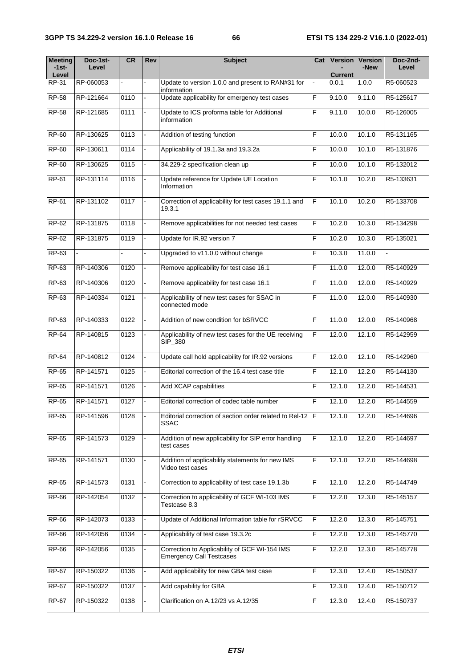| <b>Meeting</b><br>$-1$ st $-$<br>Level | Doc-1st-<br>Level | <b>CR</b> | Rev            | <b>Subject</b>                                                                   |   | Cat   Version<br>Current | <b>Version</b><br>-New | Doc-2nd-<br>Level |
|----------------------------------------|-------------------|-----------|----------------|----------------------------------------------------------------------------------|---|--------------------------|------------------------|-------------------|
| RP-31                                  | RP-060053         | ÷.        |                | Update to version 1.0.0 and present to RAN#31 for<br>information                 |   | 0.0.1                    | 1.0.0                  | R5-060523         |
| <b>RP-58</b>                           | RP-121664         | 0110      |                | Update applicability for emergency test cases                                    | F | 9.10.0                   | 9.11.0                 | R5-125617         |
| <b>RP-58</b>                           | RP-121685         | 0111      |                | Update to ICS proforma table for Additional<br>information                       | F | 9.11.0                   | 10.0.0                 | R5-126005         |
| <b>RP-60</b>                           | RP-130625         | 0113      |                | Addition of testing function                                                     | F | 10.0.0                   | 10.1.0                 | R5-131165         |
| RP-60                                  | RP-130611         | 0114      | ÷.             | Applicability of 19.1.3a and 19.3.2a                                             | F | 10.0.0                   | 10.1.0                 | R5-131876         |
| <b>RP-60</b>                           | RP-130625         | 0115      |                | 34.229-2 specification clean up                                                  | F | 10.0.0                   | 10.1.0                 | R5-132012         |
| RP-61                                  | RP-131114         | 0116      |                | Update reference for Update UE Location<br>Information                           | F | 10.1.0                   | 10.2.0                 | R5-133631         |
| RP-61                                  | RP-131102         | 0117      |                | Correction of applicability for test cases 19.1.1 and<br>19.3.1                  | F | 10.1.0                   | 10.2.0                 | R5-133708         |
| RP-62                                  | RP-131875         | 0118      |                | Remove applicabilities for not needed test cases                                 | F | 10.2.0                   | 10.3.0                 | R5-134298         |
| RP-62                                  | RP-131875         | 0119      |                | Update for IR.92 version 7                                                       | F | 10.2.0                   | 10.3.0                 | R5-135021         |
| RP-63                                  | $\mathbf{r}$      |           | ٠              | Upgraded to v11.0.0 without change                                               | F | 10.3.0                   | 11.0.0                 |                   |
| RP-63                                  | RP-140306         | 0120      | $\blacksquare$ | Remove applicability for test case 16.1                                          | F | 11.0.0                   | 12.0.0                 | R5-140929         |
| $RP-63$                                | RP-140306         | 0120      | ÷.             | Remove applicability for test case 16.1                                          | F | 11.0.0                   | 12.0.0                 | R5-140929         |
| $RP-63$                                | RP-140334         | 0121      |                | Applicability of new test cases for SSAC in<br>connected mode                    | F | 11.0.0                   | 12.0.0                 | R5-140930         |
| RP-63                                  | RP-140333         | 0122      |                | Addition of new condition for bSRVCC                                             | F | 11.0.0                   | 12.0.0                 | R5-140968         |
| <b>RP-64</b>                           | RP-140815         | 0123      |                | Applicability of new test cases for the UE receiving<br>SIP_380                  | F | 12.0.0                   | 12.1.0                 | R5-142959         |
| RP-64                                  | RP-140812         | 0124      |                | Update call hold applicability for IR.92 versions                                | F | 12.0.0                   | 12.1.0                 | R5-142960         |
| <b>RP-65</b>                           | RP-141571         | 0125      |                | Editorial correction of the 16.4 test case title                                 | F | 12.1.0                   | 12.2.0                 | R5-144130         |
| <b>RP-65</b>                           | RP-141571         | 0126      |                | Add XCAP capabilities                                                            | F | 12.1.0                   | 12.2.0                 | R5-144531         |
| <b>RP-65</b>                           | RP-141571         | 0127      |                | Editorial correction of codec table number                                       | F | 12.1.0                   | 12.2.0                 | R5-144559         |
| <b>RP-65</b>                           | RP-141596         | 0128      |                | Editorial correction of section order related to Rel-12 F<br>SSAC                |   | 12.1.0                   | 12.2.0                 | R5-144696         |
| RP-65                                  | RP-141573         | 0129      |                | Addition of new applicability for SIP error handling<br>test cases               | F | 12.1.0                   | 12.2.0                 | R5-144697         |
| RP-65                                  | RP-141571         | 0130      |                | Addition of applicability statements for new IMS<br>Video test cases             | F | 12.1.0                   | 12.2.0                 | R5-144698         |
| <b>RP-65</b>                           | RP-141573         | 0131      |                | Correction to applicability of test case 19.1.3b                                 | F | 12.1.0                   | 12.2.0                 | R5-144749         |
| RP-66                                  | RP-142054         | 0132      |                | Correction to applicability of GCF WI-103 IMS<br>Testcase 8.3                    | F | 12.2.0                   | 12.3.0                 | R5-145157         |
| RP-66                                  | RP-142073         | 0133      |                | Update of Additional Information table for rSRVCC                                | F | 12.2.0                   | 12.3.0                 | R5-145751         |
| RP-66                                  | RP-142056         | 0134      |                | Applicability of test case 19.3.2c                                               | F | 12.2.0                   | 12.3.0                 | R5-145770         |
| RP-66                                  | RP-142056         | 0135      |                | Correction to Applicability of GCF WI-154 IMS<br><b>Emergency Call Testcases</b> | F | 12.2.0                   | 12.3.0                 | R5-145778         |
| <b>RP-67</b>                           | RP-150322         | 0136      |                | Add applicability for new GBA test case                                          | F | 12.3.0                   | 12.4.0                 | R5-150537         |
| <b>RP-67</b>                           | RP-150322         | 0137      |                | Add capability for GBA                                                           | F | 12.3.0                   | 12.4.0                 | R5-150712         |
| RP-67                                  | RP-150322         | 0138      |                | Clarification on A.12/23 vs A.12/35                                              | F | 12.3.0                   | 12.4.0                 | R5-150737         |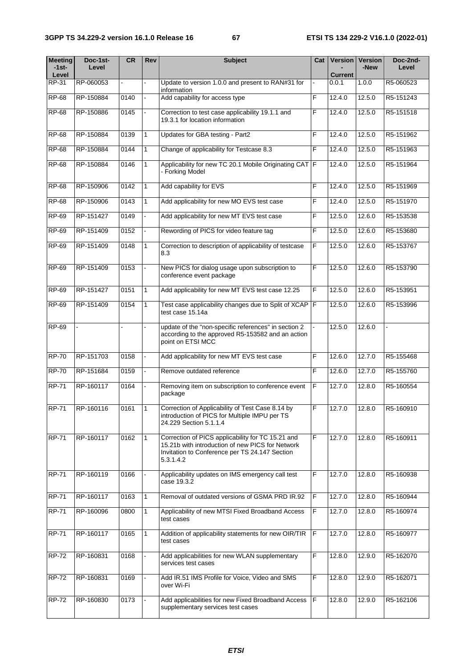| <b>Meeting</b><br>$-1$ st $-$ | Doc-1st-<br>Level | CR   | Rev            | <b>Subject</b>                                                                                                                                                       | Cat |                | <b>Version   Version</b><br>-New | Doc-2nd-<br>Level |
|-------------------------------|-------------------|------|----------------|----------------------------------------------------------------------------------------------------------------------------------------------------------------------|-----|----------------|----------------------------------|-------------------|
| Level                         |                   |      |                |                                                                                                                                                                      |     | <b>Current</b> |                                  |                   |
| RP-31                         | RP-060053         |      |                | Update to version 1.0.0 and present to RAN#31 for<br>information                                                                                                     |     | 0.0.1          | 1.0.0                            | R5-060523         |
| <b>RP-68</b>                  | RP-150884         | 0140 |                | Add capability for access type                                                                                                                                       | F   | 12.4.0         | 12.5.0                           | R5-151243         |
| <b>RP-68</b>                  | RP-150886         | 0145 |                | Correction to test case applicability 19.1.1 and<br>19.3.1 for location information                                                                                  | F   | 12.4.0         | 12.5.0                           | R5-151518         |
| <b>RP-68</b>                  | RP-150884         | 0139 | 1              | Updates for GBA testing - Part2                                                                                                                                      | F   | 12.4.0         | 12.5.0                           | R5-151962         |
| <b>RP-68</b>                  | RP-150884         | 0144 | 1              | Change of applicability for Testcase 8.3                                                                                                                             | F   | 12.4.0         | 12.5.0                           | R5-151963         |
| <b>RP-68</b>                  | RP-150884         | 0146 | 1              | Applicability for new TC 20.1 Mobile Originating CAT F<br>- Forking Model                                                                                            |     | 12.4.0         | 12.5.0                           | R5-151964         |
| <b>RP-68</b>                  | RP-150906         | 0142 | $\mathbf{1}$   | Add capability for EVS                                                                                                                                               | F   | 12.4.0         | 12.5.0                           | R5-151969         |
| <b>RP-68</b>                  | RP-150906         | 0143 | 1              | Add applicability for new MO EVS test case                                                                                                                           | F   | 12.4.0         | 12.5.0                           | R5-151970         |
| RP-69                         | RP-151427         | 0149 |                | Add applicability for new MT EVS test case                                                                                                                           | F   | 12.5.0         | 12.6.0                           | R5-153538         |
| <b>RP-69</b>                  | RP-151409         | 0152 |                | Rewording of PICS for video feature tag                                                                                                                              | F   | 12.5.0         | 12.6.0                           | R5-153680         |
| <b>RP-69</b>                  | RP-151409         | 0148 | 1              | Correction to description of applicability of testcase<br>8.3                                                                                                        | F   | 12.5.0         | 12.6.0                           | R5-153767         |
| <b>RP-69</b>                  | RP-151409         | 0153 |                | New PICS for dialog usage upon subscription to<br>conference event package                                                                                           | F   | 12.5.0         | 12.6.0                           | R5-153790         |
| <b>RP-69</b>                  | RP-151427         | 0151 | $\overline{1}$ | Add applicability for new MT EVS test case 12.25                                                                                                                     | F   | 12.5.0         | 12.6.0                           | R5-153951         |
| <b>RP-69</b>                  | RP-151409         | 0154 | $\mathbf{1}$   | Test case applicability changes due to Split of XCAP   F<br>test case 15.14a                                                                                         |     | 12.5.0         | 12.6.0                           | R5-153996         |
| <b>RP-69</b>                  |                   |      |                | update of the "non-specific references" in section 2<br>according to the approved R5-153582 and an action<br>point on ETSI MCC                                       |     | 12.5.0         | 12.6.0                           |                   |
| <b>RP-70</b>                  | RP-151703         | 0158 |                | Add applicability for new MT EVS test case                                                                                                                           | F   | 12.6.0         | 12.7.0                           | R5-155468         |
| <b>RP-70</b>                  | RP-151684         | 0159 |                | Remove outdated reference                                                                                                                                            | F   | 12.6.0         | 12.7.0                           | R5-155760         |
| <b>RP-71</b>                  | RP-160117         | 0164 |                | Removing item on subscription to conference event<br>package                                                                                                         | F   | 12.7.0         | 12.8.0                           | R5-160554         |
| <b>RP-71</b>                  | RP-160116         | 0161 | $\overline{1}$ | Correction of Applicability of Test Case 8.14 by<br>introduction of PICS for Multiple IMPU per TS<br>24.229 Section 5.1.1.4                                          | F   | 12.7.0         | 12.8.0                           | R5-160910         |
| <b>RP-71</b>                  | RP-160117         | 0162 | $\mathbf{1}$   | Correction of PICS applicability for TC 15.21 and<br>15.21b with introduction of new PICS for Network<br>Invitation to Conference per TS 24.147 Section<br>5.3.1.4.2 | F   | 12.7.0         | 12.8.0                           | R5-160911         |
| <b>RP-71</b>                  | RP-160119         | 0166 |                | Applicability updates on IMS emergency call test<br>case 19.3.2                                                                                                      | F   | 12.7.0         | 12.8.0                           | R5-160938         |
| <b>RP-71</b>                  | RP-160117         | 0163 | $\mathbf{1}$   | Removal of outdated versions of GSMA PRD IR.92                                                                                                                       | F   | 12.7.0         | 12.8.0                           | R5-160944         |
| <b>RP-71</b>                  | RP-160096         | 0800 | $\mathbf{1}$   | Applicability of new MTSI Fixed Broadband Access<br>test cases                                                                                                       | F   | 12.7.0         | 12.8.0                           | R5-160974         |
| <b>RP-71</b>                  | RP-160117         | 0165 | $\mathbf{1}$   | Addition of applicability statements for new OIR/TIR<br>test cases                                                                                                   | IF. | 12.7.0         | 12.8.0                           | R5-160977         |
| <b>RP-72</b>                  | RP-160831         | 0168 |                | Add applicabilities for new WLAN supplementary<br>services test cases                                                                                                | F   | 12.8.0         | 12.9.0                           | R5-162070         |
| <b>RP-72</b>                  | RP-160831         | 0169 |                | Add IR.51 IMS Profile for Voice, Video and SMS<br>over Wi-Fi                                                                                                         | F   | 12.8.0         | 12.9.0                           | R5-162071         |
| <b>RP-72</b>                  | RP-160830         | 0173 |                | Add applicabilities for new Fixed Broadband Access<br>supplementary services test cases                                                                              | F   | 12.8.0         | 12.9.0                           | R5-162106         |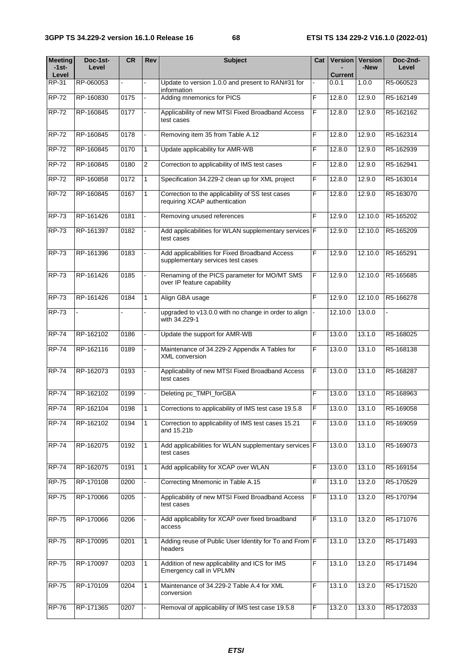| <b>Meeting</b><br>$-1$ st $-$ | Doc-1st-<br>Level | <b>CR</b> | Rev            | <b>Subject</b>                                                                      | Cat            | Version          | <b>Version</b><br>-New | Doc-2nd-<br>Level |
|-------------------------------|-------------------|-----------|----------------|-------------------------------------------------------------------------------------|----------------|------------------|------------------------|-------------------|
| Level<br>RP-31                | RP-060053         |           |                | Update to version 1.0.0 and present to RAN#31 for                                   |                | Current<br>0.0.1 | 1.0.0                  | R5-060523         |
| <b>RP-72</b>                  | RP-160830         | 0175      |                | information<br>Adding mnemonics for PICS                                            | F              | 12.8.0           | 12.9.0                 | R5-162149         |
|                               |                   |           |                |                                                                                     |                |                  |                        |                   |
| $RP-72$                       | RP-160845         | 0177      |                | Applicability of new MTSI Fixed Broadband Access<br>test cases                      | F              | 12.8.0           | 12.9.0                 | R5-162162         |
| <b>RP-72</b>                  | RP-160845         | 0178      |                | Removing item 35 from Table A.12                                                    | F              | 12.8.0           | 12.9.0                 | R5-162314         |
| $RP-72$                       | RP-160845         | 0170      | $\mathbf{1}$   | Update applicability for AMR-WB                                                     | F              | 12.8.0           | 12.9.0                 | R5-162939         |
| $RP-72$                       | RP-160845         | 0180      | $\overline{2}$ | Correction to applicability of IMS test cases                                       | F              | 12.8.0           | 12.9.0                 | R5-162941         |
| $RP-72$                       | RP-160858         | 0172      | $\mathbf{1}$   | Specification 34.229-2 clean up for XML project                                     | F              | 12.8.0           | 12.9.0                 | R5-163014         |
| $RP-72$                       | RP-160845         | 0167      | $\mathbf{1}$   | Correction to the applicability of SS test cases<br>requiring XCAP authentication   | F              | 12.8.0           | 12.9.0                 | R5-163070         |
| $RP-73$                       | RP-161426         | 0181      |                | Removing unused references                                                          | F              | 12.9.0           | 12.10.0                | R5-165202         |
| <b>RP-73</b>                  | RP-161397         | 0182      |                | Add applicabilities for WLAN supplementary services F<br>test cases                 |                | 12.9.0           | 12.10.0                | R5-165209         |
| <b>RP-73</b>                  | RP-161396         | 0183      |                | Add applicabilities for Fixed Broadband Access<br>supplementary services test cases | $\overline{F}$ | 12.9.0           | 12.10.0                | R5-165291         |
| <b>RP-73</b>                  | RP-161426         | 0185      |                | Renaming of the PICS parameter for MO/MT SMS<br>over IP feature capability          | F              | 12.9.0           | 12.10.0                | R5-165685         |
| <b>RP-73</b>                  | RP-161426         | 0184      | 1              | Align GBA usage                                                                     | F              | 12.9.0           | 12.10.0                | R5-166278         |
| <b>RP-73</b>                  |                   |           |                | upgraded to v13.0.0 with no change in order to align<br>with 34.229-1               |                | 12.10.0          | 13.0.0                 |                   |
| <b>RP-74</b>                  | RP-162102         | 0186      |                | Update the support for AMR-WB                                                       | F              | 13.0.0           | 13.1.0                 | R5-168025         |
| <b>RP-74</b>                  | RP-162116         | 0189      |                | Maintenance of 34.229-2 Appendix A Tables for<br><b>XML</b> conversion              | F              | 13.0.0           | 13.1.0                 | R5-168138         |
| $RP-74$                       | RP-162073         | 0193      |                | Applicability of new MTSI Fixed Broadband Access<br>test cases                      | F              | 13.0.0           | 13.1.0                 | R5-168287         |
| <b>RP-74</b>                  | RP-162102         | 0199      |                | Deleting pc_TMPI_forGBA                                                             | F              | 13.0.0           | 13.1.0                 | R5-168963         |
| <b>RP-74</b>                  | RP-162104         | 0198      | $\overline{1}$ | Corrections to applicability of IMS test case 19.5.8                                | F              | 13.0.0           | 13.1.0                 | R5-169058         |
| <b>RP-74</b>                  | RP-162102         | 0194      | $\mathbf{1}$   | Correction to applicability of IMS test cases 15.21<br>and 15.21b                   | F              | 13.0.0           | 13.1.0                 | R5-169059         |
| <b>RP-74</b>                  | RP-162075         | 0192      | $\mathbf{1}$   | Add applicabilities for WLAN supplementary services F<br>test cases                 |                | 13.0.0           | 13.1.0                 | R5-169073         |
| <b>RP-74</b>                  | RP-162075         | 0191      | 1              | Add applicability for XCAP over WLAN                                                | F              | 13.0.0           | 13.1.0                 | R5-169154         |
| <b>RP-75</b>                  | RP-170108         | 0200      |                | Correcting Mnemonic in Table A.15                                                   | F              | 13.1.0           | 13.2.0                 | R5-170529         |
| <b>RP-75</b>                  | RP-170066         | 0205      |                | Applicability of new MTSI Fixed Broadband Access<br>test cases                      | $\overline{F}$ | 13.1.0           | 13.2.0                 | R5-170794         |
| <b>RP-75</b>                  | RP-170066         | 0206      |                | Add applicability for XCAP over fixed broadband<br>access                           | F              | 13.1.0           | 13.2.0                 | R5-171076         |
| <b>RP-75</b>                  | RP-170095         | 0201      | 1              | Adding reuse of Public User Identity for To and From F<br>headers                   |                | 13.1.0           | 13.2.0                 | R5-171493         |
| <b>RP-75</b>                  | RP-170097         | 0203      | $\mathbf{1}$   | Addition of new applicability and ICS for IMS<br>Emergency call in VPLMN            | F              | 13.1.0           | 13.2.0                 | R5-171494         |
| <b>RP-75</b>                  | RP-170109         | 0204      | $\mathbf{1}$   | Maintenance of 34.229-2 Table A.4 for XML<br>conversion                             | F              | 13.1.0           | 13.2.0                 | R5-171520         |
| <b>RP-76</b>                  | RP-171365         | 0207      |                | Removal of applicability of IMS test case 19.5.8                                    | F              | 13.2.0           | 13.3.0                 | R5-172033         |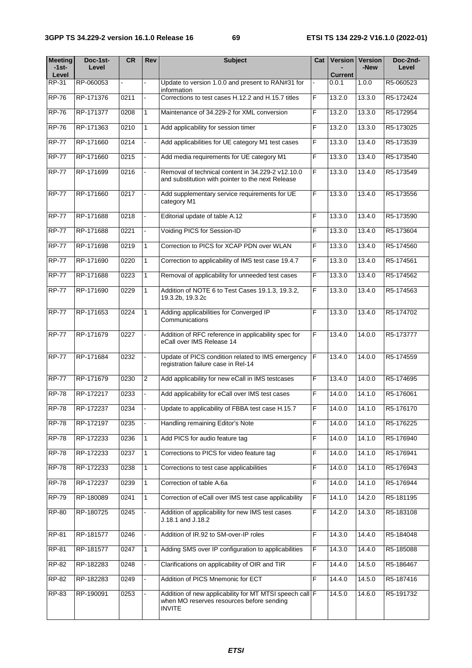| <b>Meeting</b><br>$-1$ st $-$<br>Level | Doc-1st-<br>Level | <b>CR</b> | Rev            | <b>Subject</b>                                                                                                        | Cat            | <b>Current</b>      | <b>Version   Version</b><br>-New | Doc-2nd-<br>Level |
|----------------------------------------|-------------------|-----------|----------------|-----------------------------------------------------------------------------------------------------------------------|----------------|---------------------|----------------------------------|-------------------|
| RP-31                                  | RP-060053         |           |                | Update to version 1.0.0 and present to RAN#31 for                                                                     |                | 0.0.1               | 1.0.0                            | R5-060523         |
| <b>RP-76</b>                           | RP-171376         | 0211      |                | information<br>Corrections to test cases H.12.2 and H.15.7 titles                                                     | F              | 13.2.0              | 13.3.0                           | R5-172424         |
| <b>RP-76</b>                           | RP-171377         | 0208      | $\mathbf{1}$   | Maintenance of 34,229-2 for XML conversion                                                                            | F              | 13.2.0              | 13.3.0                           | R5-172954         |
| <b>RP-76</b>                           | RP-171363         | 0210      | $\mathbf{1}$   | Add applicability for session timer                                                                                   | F              | 13.2.0              | 13.3.0                           | R5-173025         |
| <b>RP-77</b>                           | RP-171660         | 0214      | ä,             | Add applicabilities for UE category M1 test cases                                                                     | F              | 13.3.0              | 13.4.0                           | R5-173539         |
| <b>RP-77</b>                           | RP-171660         | 0215      |                | Add media requirements for UE category M1                                                                             | F              | 13.3.0              | 13.4.0                           | R5-173540         |
| <b>RP-77</b>                           | RP-171699         | 0216      |                | Removal of technical content in 34.229-2 v12.10.0<br>and substitution with pointer to the next Release                | F              | 13.3.0              | 13.4.0                           | R5-173549         |
| <b>RP-77</b>                           | RP-171660         | 0217      |                | Add supplementary service requirements for UE<br>category M1                                                          | F              | 13.3.0              | 13.4.0                           | R5-173556         |
| <b>RP-77</b>                           | RP-171688         | 0218      |                | Editorial update of table A.12                                                                                        | F              | 13.3.0              | 13.4.0                           | R5-173590         |
| <b>RP-77</b>                           | RP-171688         | 0221      |                | Voiding PICS for Session-ID                                                                                           | F              | 13.3.0              | 13.4.0                           | R5-173604         |
| <b>RP-77</b>                           | RP-171698         | 0219      | $\mathbf{1}$   | Correction to PICS for XCAP PDN over WLAN                                                                             | F              | 13.3.0              | 13.4.0                           | R5-174560         |
| <b>RP-77</b>                           | RP-171690         | 0220      | $\mathbf{1}$   | Correction to applicability of IMS test case 19.4.7                                                                   | F              | 13.3.0              | 13.4.0                           | R5-174561         |
| <b>RP-77</b>                           | RP-171688         | 0223      | $\mathbf{1}$   | Removal of applicability for unneeded test cases                                                                      | F              | 13.3.0              | 13.4.0                           | R5-174562         |
| <b>RP-77</b>                           | RP-171690         | 0229      | $\mathbf{1}$   | Addition of NOTE 6 to Test Cases 19.1.3, 19.3.2,<br>19.3.2b, 19.3.2c                                                  | F              | 13.3.0              | 13.4.0                           | R5-174563         |
| <b>RP-77</b>                           | RP-171653         | 0224      | 1              | Adding applicabilities for Converged IP<br>Communications                                                             | F              | 13.3.0              | 13.4.0                           | R5-174702         |
| <b>RP-77</b>                           | RP-171679         | 0227      |                | Addition of RFC reference in applicability spec for<br>eCall over IMS Release 14                                      | F              | 13.4.0              | 14.0.0                           | R5-173777         |
| <b>RP-77</b>                           | RP-171684         | 0232      |                | Update of PICS condition related to IMS emergency<br>registration failure case in Rel-14                              | E              | 13.4.0              | 14.0.0                           | R5-174559         |
| <b>RP-77</b>                           | RP-171679         | 0230      | $\overline{2}$ | Add applicability for new eCall in IMS testcases                                                                      | F              | 13.4.0              | 14.0.0                           | R5-174695         |
| <b>RP-78</b>                           | RP-172217         | 0233      |                | Add applicability for eCall over IMS test cases                                                                       | F              | 14.0.0              | 14.1.0                           | R5-176061         |
| <b>RP-78</b>                           | RP-172237         | 0234      |                | Update to applicability of FBBA test case H.15.7                                                                      | $\overline{F}$ | 14.0.0              | 14.1.0                           | R5-176170         |
| <b>RP-78</b>                           | RP-172197         | 0235      |                | Handling remaining Editor's Note                                                                                      | F              | 14.0.0              | 14.1.0                           | R5-176225         |
| <b>RP-78</b>                           | RP-172233         | 0236      | $\mathbf{1}$   | Add PICS for audio feature tag                                                                                        | F              | 14.0.0              | 14.1.0                           | R5-176940         |
| <b>RP-78</b>                           | RP-172233         | 0237      | $\mathbf{1}$   | Corrections to PICS for video feature tag                                                                             | F              | 14.0.0              | 14.1.0                           | R5-176941         |
| <b>RP-78</b>                           | RP-172233         | 0238      | 1              | Corrections to test case applicabilities                                                                              | F              | $\overline{14.0.0}$ | 14.1.0                           | R5-176943         |
| <b>RP-78</b>                           | RP-172237         | 0239      | 1              | Correction of table A.6a                                                                                              | F              | 14.0.0              | 14.1.0                           | R5-176944         |
| <b>RP-79</b>                           | RP-180089         | 0241      | 1              | Correction of eCall over IMS test case applicability                                                                  | F              | 14.1.0              | 14.2.0                           | R5-181195         |
| <b>RP-80</b>                           | RP-180725         | 0245      |                | Addition of applicability for new IMS test cases<br>J.18.1 and J.18.2                                                 | F              | 14.2.0              | 14.3.0                           | R5-183108         |
| RP-81                                  | RP-181577         | 0246      |                | Addition of IR.92 to SM-over-IP roles                                                                                 | F              | 14.3.0              | 14.4.0                           | R5-184048         |
| RP-81                                  | RP-181577         | 0247      | 1              | Adding SMS over IP configuration to applicabilities                                                                   | F              | 14.3.0              | 14.4.0                           | R5-185088         |
| RP-82                                  | RP-182283         | 0248      |                | Clarifications on applicability of OIR and TIR                                                                        | F              | 14.4.0              | 14.5.0                           | R5-186467         |
| RP-82                                  | RP-182283         | 0249      |                | Addition of PICS Mnemonic for ECT                                                                                     | F              | 14.4.0              | 14.5.0                           | R5-187416         |
| RP-83                                  | RP-190091         | 0253      |                | Addition of new applicability for MT MTSI speech call F<br>when MO reserves resources before sending<br><b>INVITE</b> |                | 14.5.0              | 14.6.0                           | R5-191732         |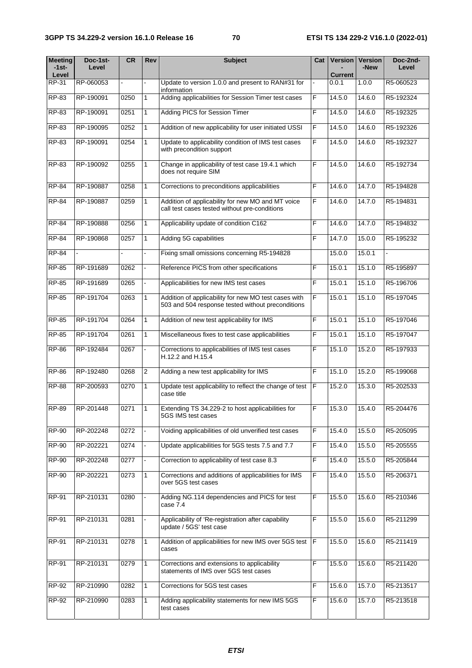| <b>Meeting</b><br>-1st-<br>Level | Doc-1st-<br>Level | <b>CR</b> | Rev            | <b>Subject</b>                                                                                            | Cat            | <b>Version</b><br><b>Current</b> | <b>Version</b><br>-New | Doc-2nd-<br>Level |
|----------------------------------|-------------------|-----------|----------------|-----------------------------------------------------------------------------------------------------------|----------------|----------------------------------|------------------------|-------------------|
| RP-31                            | RP-060053         |           |                | Update to version 1.0.0 and present to RAN#31 for<br>information                                          |                | 0.0.1                            | 1.0.0                  | R5-060523         |
| RP-83                            | RP-190091         | 0250      | 1              | Adding applicabilities for Session Timer test cases                                                       | F              | 14.5.0                           | 14.6.0                 | R5-192324         |
| RP-83                            | RP-190091         | 0251      | $\mathbf{1}$   | Adding PICS for Session Timer                                                                             | F              | 14.5.0                           | 14.6.0                 | R5-192325         |
| <b>RP-83</b>                     | RP-190095         | 0252      | $\mathbf{1}$   | Addition of new applicability for user initiated USSI                                                     | $\overline{F}$ | 14.5.0                           | 14.6.0                 | R5-192326         |
| <b>RP-83</b>                     | RP-190091         | 0254      | $\mathbf{1}$   | Update to applicability condition of IMS test cases<br>with precondition support                          | F              | 14.5.0                           | 14.6.0                 | R5-192327         |
| RP-83                            | RP-190092         | 0255      | $\mathbf{1}$   | Change in applicability of test case 19.4.1 which<br>does not require SIM                                 | F              | 14.5.0                           | 14.6.0                 | R5-192734         |
| <b>RP-84</b>                     | RP-190887         | 0258      | $\mathbf{1}$   | Corrections to preconditions applicabilities                                                              | F              | $\overline{14.6.0}$              | 14.7.0                 | R5-194828         |
| <b>RP-84</b>                     | RP-190887         | 0259      | 1              | Addition of applicability for new MO and MT voice<br>call test cases tested without pre-conditions        | F              | 14.6.0                           | 14.7.0                 | R5-194831         |
| <b>RP-84</b>                     | RP-190888         | 0256      | $\mathbf{1}$   | Applicability update of condition C162                                                                    | F              | 14.6.0                           | 14.7.0                 | R5-194832         |
| <b>RP-84</b>                     | RP-190868         | 0257      | $\mathbf{1}$   | Adding 5G capabilities                                                                                    | F              | 14.7.0                           | 15.0.0                 | R5-195232         |
| <b>RP-84</b>                     |                   |           |                | Fixing small omissions concerning R5-194828                                                               |                | 15.0.0                           | 15.0.1                 |                   |
| <b>RP-85</b>                     | RP-191689         | 0262      |                | Reference PICS from other specifications                                                                  | F              | 15.0.1                           | 15.1.0                 | R5-195897         |
| <b>RP-85</b>                     | RP-191689         | 0265      |                | Applicabilities for new IMS test cases                                                                    | F              | 15.0.1                           | 15.1.0                 | R5-196706         |
| <b>RP-85</b>                     | RP-191704         | 0263      | $\mathbf{1}$   | Addition of applicability for new MO test cases with<br>503 and 504 response tested without preconditions | F              | 15.0.1                           | 15.1.0                 | R5-197045         |
| <b>RP-85</b>                     | RP-191704         | 0264      | $\mathbf{1}$   | Addition of new test applicability for IMS                                                                | F              | 15.0.1                           | 15.1.0                 | R5-197046         |
| <b>RP-85</b>                     | RP-191704         | 0261      | 1              | Miscellaneous fixes to test case applicabilities                                                          | F              | 15.0.1                           | 15.1.0                 | R5-197047         |
| <b>RP-86</b>                     | RP-192484         | 0267      |                | Corrections to applicabilities of IMS test cases<br>H.12.2 and H.15.4                                     | F              | 15.1.0                           | 15.2.0                 | R5-197933         |
| <b>RP-86</b>                     | RP-192480         | 0268      | $\overline{2}$ | Adding a new test applicability for IMS                                                                   | F              | 15.1.0                           | 15.2.0                 | R5-199068         |
| <b>RP-88</b>                     | RP-200593         | 0270      | $\mathbf{1}$   | Update test applicability to reflect the change of test<br>case title                                     | F              | 15.2.0                           | 15.3.0                 | R5-202533         |
| <b>RP-89</b>                     | RP-201448         | 0271      | $\vert$ 1      | Extending TS 34.229-2 to host applicabilities for<br>5GS IMS test cases                                   | $\overline{F}$ | 15.3.0                           | 15.4.0                 | R5-204476         |
| <b>RP-90</b>                     | RP-202248         | 0272      |                | Voiding applicabilities of old unverified test cases                                                      | F              | 15.4.0                           | 15.5.0                 | R5-205095         |
| $RP-90$                          | RP-202221         | 0274      |                | Update applicabilities for 5GS tests 7.5 and 7.7                                                          | F              | 15.4.0                           | 15.5.0                 | R5-205555         |
| RP-90                            | RP-202248         | 0277      |                | Correction to applicability of test case 8.3                                                              | F              | 15.4.0                           | 15.5.0                 | R5-205844         |
| $RP-90$                          | RP-202221         | 0273      | $\mathbf{1}$   | Corrections and additions of applicabilities for IMS<br>over 5GS test cases                               | F              | 15.4.0                           | 15.5.0                 | R5-206371         |
| RP-91                            | RP-210131         | 0280      |                | Adding NG.114 dependencies and PICS for test<br>case 7.4                                                  | $\mathsf F$    | 15.5.0                           | 15.6.0                 | R5-210346         |
| RP-91                            | RP-210131         | 0281      |                | Applicability of 'Re-registration after capability<br>update / 5GS' test case                             | F              | 15.5.0                           | 15.6.0                 | R5-211299         |
| RP-91                            | RP-210131         | 0278      | $\mathbf{1}$   | Addition of applicabilities for new IMS over 5GS test   F<br>cases                                        |                | 15.5.0                           | 15.6.0                 | R5-211419         |
| RP-91                            | RP-210131         | 0279      | 1              | Corrections and extensions to applicability<br>statements of IMS over 5GS test cases                      | F              | 15.5.0                           | 15.6.0                 | R5-211420         |
| RP-92                            | RP-210990         | 0282      | $\mathbf{1}$   | Corrections for 5GS test cases                                                                            | F              | 15.6.0                           | 15.7.0                 | R5-213517         |
| RP-92                            | RP-210990         | 0283      | 1              | Adding applicability statements for new IMS 5GS<br>test cases                                             | F              | 15.6.0                           | 15.7.0                 | R5-213518         |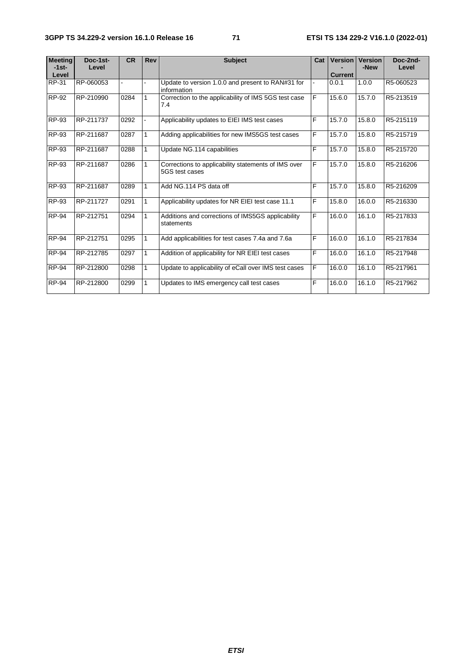| <b>Meeting</b><br>$-1$ st-<br>Level | Doc-1st-<br>Level | <b>CR</b> | <b>Rev</b> | <b>Subject</b>                                                        | Cat | <b>Version</b><br><b>Current</b> | <b>Version</b><br>-New | Doc-2nd-<br>Level |
|-------------------------------------|-------------------|-----------|------------|-----------------------------------------------------------------------|-----|----------------------------------|------------------------|-------------------|
| RP-31                               | RP-060053         |           |            | Update to version 1.0.0 and present to RAN#31 for<br>information      |     | 0.0.1                            | 1.0.0                  | R5-060523         |
| RP-92                               | RP-210990         | 0284      |            | Correction to the applicability of IMS 5GS test case<br>7.4           | F   | 15.6.0                           | 15.7.0                 | R5-213519         |
| RP-93                               | RP-211737         | 0292      |            | Applicability updates to EIEI IMS test cases                          | F   | 15.7.0                           | 15.8.0                 | R5-215119         |
| RP-93                               | RP-211687         | 0287      | 1          | Adding applicabilities for new IMS5GS test cases                      | F   | 15.7.0                           | 15.8.0                 | R5-215719         |
| <b>RP-93</b>                        | RP-211687         | 0288      | 1          | Update NG.114 capabilities                                            | F   | 15.7.0                           | 15.8.0                 | R5-215720         |
| RP-93                               | RP-211687         | 0286      | 1          | Corrections to applicability statements of IMS over<br>5GS test cases | F   | 15.7.0                           | 15.8.0                 | R5-216206         |
| RP-93                               | RP-211687         | 0289      | 1          | Add NG.114 PS data off                                                | F   | 15.7.0                           | 15.8.0                 | R5-216209         |
| RP-93                               | RP-211727         | 0291      | 1          | Applicability updates for NR EIEI test case 11.1                      | F   | 15.8.0                           | 16.0.0                 | R5-216330         |
| <b>RP-94</b>                        | RP-212751         | 0294      | 1          | Additions and corrections of IMS5GS applicability<br>statements       | F   | 16.0.0                           | 16.1.0                 | R5-217833         |
| <b>RP-94</b>                        | RP-212751         | 0295      | 1          | Add applicabilities for test cases 7.4a and 7.6a                      | F   | 16.0.0                           | 16.1.0                 | R5-217834         |
| <b>RP-94</b>                        | RP-212785         | 0297      | 1          | Addition of applicability for NR EIEI test cases                      | F   | 16.0.0                           | 16.1.0                 | R5-217948         |
| <b>RP-94</b>                        | RP-212800         | 0298      | 1          | Update to applicability of eCall over IMS test cases                  | F   | 16.0.0                           | 16.1.0                 | R5-217961         |
| <b>RP-94</b>                        | RP-212800         | 0299      | 1          | Updates to IMS emergency call test cases                              | F   | 16.0.0                           | 16.1.0                 | R5-217962         |